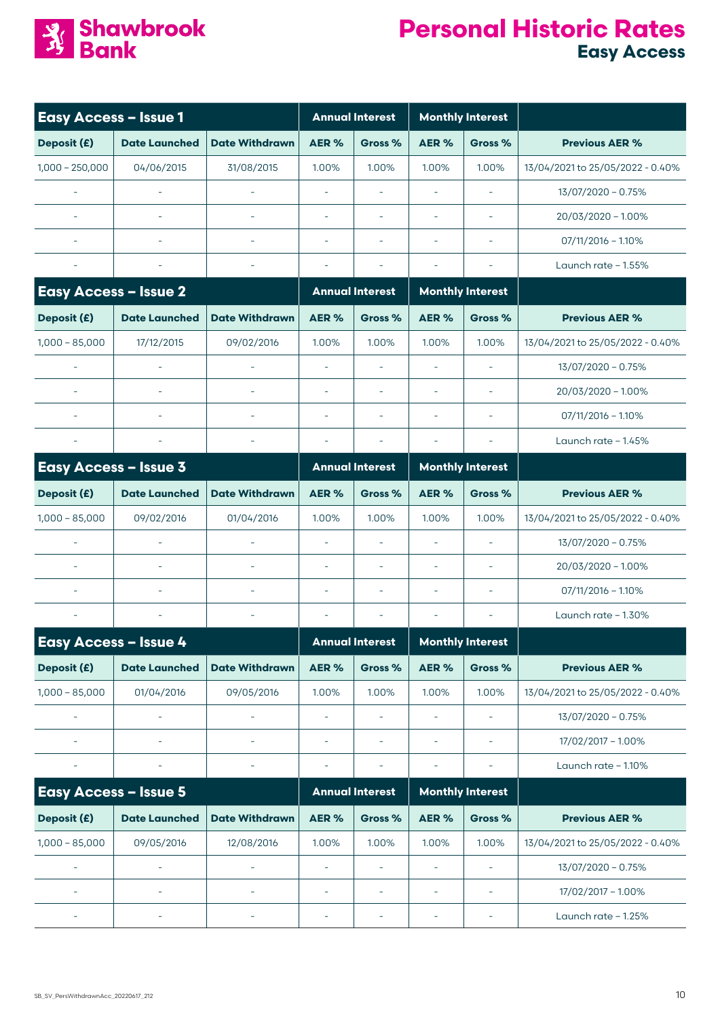

| <b>Easy Access - Issue 1</b> |                          |                          |                          | <b>Annual Interest</b>   |                          | <b>Monthly Interest</b>  |                                  |
|------------------------------|--------------------------|--------------------------|--------------------------|--------------------------|--------------------------|--------------------------|----------------------------------|
| Deposit (£)                  | <b>Date Launched</b>     | <b>Date Withdrawn</b>    | AER%                     | Gross %                  | AER%                     | Gross %                  | <b>Previous AER %</b>            |
| $1,000 - 250,000$            | 04/06/2015               | 31/08/2015               | 1.00%                    | 1.00%                    | 1.00%                    | 1.00%                    | 13/04/2021 to 25/05/2022 - 0.40% |
|                              |                          | L,                       | ÷,                       |                          | $\sim$                   |                          | 13/07/2020 - 0.75%               |
| $\sim$                       | $\bar{a}$                | $\sim$                   | ÷,                       | ÷,                       | $\overline{\phantom{a}}$ | $\sim$                   | 20/03/2020 - 1.00%               |
|                              | $\bar{a}$                | ä,                       | $\overline{\phantom{a}}$ | $\overline{\phantom{a}}$ | $\overline{\phantom{a}}$ | $\overline{\phantom{a}}$ | $07/11/2016 - 1.10%$             |
| $\overline{\phantom{a}}$     | ۰                        | $\overline{\phantom{a}}$ | $\overline{\phantom{a}}$ |                          | $\overline{\phantom{a}}$ | $\overline{\phantom{a}}$ | Launch rate $-1.55\%$            |
| <b>Easy Access - Issue 2</b> |                          |                          |                          | <b>Annual Interest</b>   |                          | <b>Monthly Interest</b>  |                                  |
| Deposit (£)                  | <b>Date Launched</b>     | <b>Date Withdrawn</b>    | AER%                     | Gross %                  | AER%                     | Gross %                  | <b>Previous AER %</b>            |
| $1,000 - 85,000$             | 17/12/2015               | 09/02/2016               | 1.00%                    | 1.00%                    | 1.00%                    | 1.00%                    | 13/04/2021 to 25/05/2022 - 0.40% |
| $\sim$                       | L,                       | ÷,                       | ÷,                       |                          | $\overline{\phantom{a}}$ | $\sim$                   | 13/07/2020 - 0.75%               |
|                              | ä,                       | $\sim$                   | $\overline{\phantom{a}}$ |                          | $\sim$                   |                          | 20/03/2020 - 1.00%               |
|                              | ÷,                       | $\sim$                   | $\overline{\phantom{a}}$ | $\bar{a}$                | $\overline{\phantom{a}}$ | $\sim$                   | $07/11/2016 - 1.10%$             |
| $\overline{\phantom{a}}$     | ۰                        | $\overline{\phantom{a}}$ | $\overline{\phantom{a}}$ |                          | $\overline{\phantom{a}}$ | $\sim$                   | Launch rate $-1.45%$             |
| <b>Easy Access - Issue 3</b> |                          |                          |                          | <b>Annual Interest</b>   |                          | <b>Monthly Interest</b>  |                                  |
| Deposit (£)                  | <b>Date Launched</b>     | <b>Date Withdrawn</b>    | AER%                     | Gross %                  | AER%                     | Gross %                  | <b>Previous AER %</b>            |
| $1,000 - 85,000$             | 09/02/2016               | 01/04/2016               | 1.00%                    | 1.00%                    | 1.00%                    | 1.00%                    | 13/04/2021 to 25/05/2022 - 0.40% |
| $\sim$                       | ä,                       | $\equiv$                 | ä,                       | ÷,                       | $\overline{\phantom{a}}$ | $\equiv$                 | 13/07/2020 - 0.75%               |
|                              |                          | L,                       | $\overline{\phantom{a}}$ | ÷,                       | $\overline{\phantom{a}}$ | ÷,                       | 20/03/2020 - 1.00%               |
|                              | ÷,                       | ÷,                       | ÷,                       | $\bar{a}$                | $\overline{\phantom{a}}$ | $\sim$                   | $07/11/2016 - 1.10\%$            |
| $\overline{\phantom{a}}$     |                          | $\overline{\phantom{a}}$ | $\overline{\phantom{a}}$ |                          | $\overline{\phantom{a}}$ | $\overline{a}$           | Launch rate $-1.30\%$            |
| <b>Easy Access - Issue 4</b> |                          |                          |                          | <b>Annual Interest</b>   |                          | <b>Monthly Interest</b>  |                                  |
| Deposit (£)                  | <b>Date Launched</b>     | <b>Date Withdrawn</b>    | AER%                     | Gross %                  | AER%                     | Gross %                  | <b>Previous AER %</b>            |
| $1,000 - 85,000$             | 01/04/2016               | 09/05/2016               | 1.00%                    | 1.00%                    | 1.00%                    | 1.00%                    | 13/04/2021 to 25/05/2022 - 0.40% |
| $\overline{\phantom{a}}$     | $\overline{\phantom{a}}$ | $\overline{\phantom{a}}$ | $\bar{\phantom{a}}$      | $\overline{\phantom{a}}$ | $\overline{\phantom{a}}$ | $\overline{\phantom{a}}$ | 13/07/2020 - 0.75%               |
|                              | L,                       | ä,                       | $\bar{\phantom{a}}$      | $\overline{\phantom{a}}$ | $\overline{\phantom{a}}$ | $\overline{\phantom{a}}$ | 17/02/2017 - 1.00%               |
| $\overline{\phantom{a}}$     | ÷                        | $\overline{\phantom{a}}$ |                          |                          | ÷                        | ÷                        | Launch rate - 1.10%              |
| <b>Easy Access - Issue 5</b> |                          |                          |                          | <b>Annual Interest</b>   |                          | <b>Monthly Interest</b>  |                                  |
| Deposit (£)                  | <b>Date Launched</b>     | <b>Date Withdrawn</b>    | AER%                     | Gross %                  | AER%                     | Gross %                  | <b>Previous AER %</b>            |
| $1,000 - 85,000$             | 09/05/2016               | 12/08/2016               | 1.00%                    | 1.00%                    | 1.00%                    | 1.00%                    | 13/04/2021 to 25/05/2022 - 0.40% |
| $\overline{\phantom{a}}$     | ÷,                       | $\overline{\phantom{a}}$ | ÷,                       | $\overline{\phantom{a}}$ | $\overline{\phantom{a}}$ | ÷,                       | 13/07/2020 - 0.75%               |
| $\sim$                       |                          | L,                       | $\bar{\phantom{a}}$      | $\overline{\phantom{a}}$ | $\overline{\phantom{a}}$ | $\overline{\phantom{a}}$ | 17/02/2017 - 1.00%               |
|                              |                          |                          | $\overline{\phantom{a}}$ | $\overline{\phantom{a}}$ | ÷                        | $\overline{a}$           | Launch rate - 1.25%              |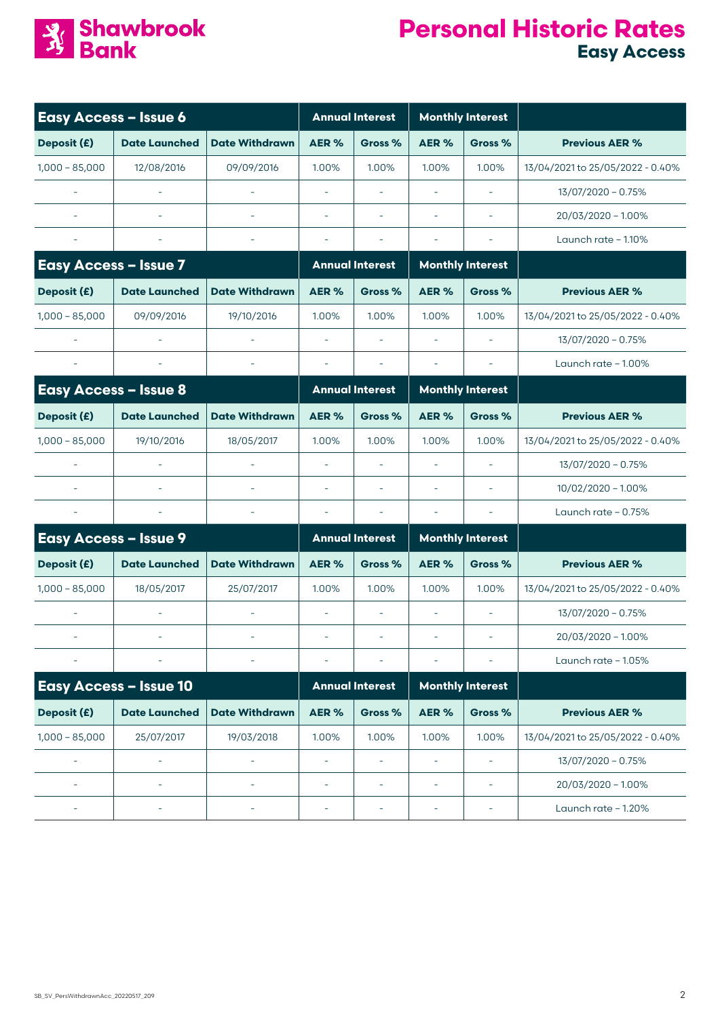

| <b>Easy Access - Issue 6</b> |                               |                          |                          | <b>Annual Interest</b>   |                          | <b>Monthly Interest</b>  |                                  |
|------------------------------|-------------------------------|--------------------------|--------------------------|--------------------------|--------------------------|--------------------------|----------------------------------|
| Deposit (£)                  | <b>Date Launched</b>          | <b>Date Withdrawn</b>    | AER%                     | Gross %                  | AER%                     | Gross %                  | <b>Previous AER %</b>            |
| $1,000 - 85,000$             | 12/08/2016                    | 09/09/2016               | 1.00%                    | 1.00%                    | 1.00%                    | 1.00%                    | 13/04/2021 to 25/05/2022 - 0.40% |
|                              | ÷,                            | $\overline{\phantom{a}}$ | $\bar{\phantom{a}}$      | $\sim$                   | $\bar{\phantom{a}}$      | $\overline{\phantom{a}}$ | 13/07/2020 - 0.75%               |
|                              |                               |                          | $\bar{\phantom{a}}$      | $\sim$                   | $\sim$                   |                          | 20/03/2020 - 1.00%               |
|                              |                               |                          | $\bar{\phantom{a}}$      | $\overline{\phantom{a}}$ | $\overline{\phantom{a}}$ |                          | Launch rate $-1.10\%$            |
| <b>Easy Access - Issue 7</b> |                               |                          |                          | <b>Annual Interest</b>   |                          | <b>Monthly Interest</b>  |                                  |
| Deposit (£)                  | <b>Date Launched</b>          | <b>Date Withdrawn</b>    | AER%                     | Gross %                  | AER%                     | Gross %                  | <b>Previous AER %</b>            |
| $1,000 - 85,000$             | 09/09/2016                    | 19/10/2016               | 1.00%                    | 1.00%                    | 1.00%                    | 1.00%                    | 13/04/2021 to 25/05/2022 - 0.40% |
|                              |                               | $\sim$                   | L,                       | $\sim$                   | $\overline{\phantom{a}}$ | $\sim$                   | 13/07/2020 - 0.75%               |
| $\overline{\phantom{a}}$     | ÷,                            | $\overline{\phantom{a}}$ | $\bar{\phantom{a}}$      |                          | $\sim$                   | $\sim$                   | Launch rate - 1.00%              |
| <b>Easy Access - Issue 8</b> |                               |                          |                          | <b>Annual Interest</b>   |                          | <b>Monthly Interest</b>  |                                  |
| Deposit (£)                  | <b>Date Launched</b>          | <b>Date Withdrawn</b>    | AER%                     | Gross %                  | AER %                    | Gross %                  | <b>Previous AER %</b>            |
| $1,000 - 85,000$             | 19/10/2016                    | 18/05/2017               | 1.00%                    | 1.00%                    | 1.00%                    | 1.00%                    | 13/04/2021 to 25/05/2022 - 0.40% |
| $\sim$                       | ÷,                            | $\sim$                   | $\bar{\phantom{a}}$      | $\sim$                   | $\sim$                   | $\sim$                   | 13/07/2020 - 0.75%               |
|                              | ٠                             |                          | $\overline{\phantom{a}}$ | $\sim$                   | $\sim$                   | $\sim$                   | 10/02/2020 - 1.00%               |
| $\overline{\phantom{a}}$     |                               | $\overline{\phantom{a}}$ | $\overline{\phantom{a}}$ | $\overline{\phantom{a}}$ | Î,                       | $\sim$                   | Launch rate $-0.75%$             |
| <b>Easy Access - Issue 9</b> |                               |                          |                          | <b>Annual Interest</b>   |                          | <b>Monthly Interest</b>  |                                  |
| Deposit (£)                  | <b>Date Launched</b>          | <b>Date Withdrawn</b>    | AER%                     | Gross %                  | AER%                     | Gross %                  | <b>Previous AER %</b>            |
| $1,000 - 85,000$             | 18/05/2017                    | 25/07/2017               | 1.00%                    | 1.00%                    | 1.00%                    | 1.00%                    | 13/04/2021 to 25/05/2022 - 0.40% |
|                              | $\sim$                        | $\sim$                   | L,                       | $\equiv$                 | $\overline{\phantom{a}}$ | $\equiv$                 | 13/07/2020 - 0.75%               |
|                              | $\overline{\phantom{a}}$      | $\overline{\phantom{a}}$ | $\overline{\phantom{a}}$ |                          |                          | $\overline{\phantom{a}}$ | 20/03/2020 - 1.00%               |
|                              |                               |                          |                          |                          |                          |                          | Launch rate - 1.05%              |
|                              | <b>Easy Access - Issue 10</b> |                          |                          | <b>Annual Interest</b>   |                          | <b>Monthly Interest</b>  |                                  |
| Deposit (£)                  | <b>Date Launched</b>          | <b>Date Withdrawn</b>    | AER%                     | Gross %                  | AER %                    | Gross %                  | <b>Previous AER %</b>            |
| $1,000 - 85,000$             | 25/07/2017                    | 19/03/2018               | 1.00%                    | 1.00%                    | 1.00%                    | 1.00%                    | 13/04/2021 to 25/05/2022 - 0.40% |
| $\sim$                       |                               |                          |                          |                          | ä,                       | L,                       | 13/07/2020 - 0.75%               |
| $\sim$                       | L,                            | L.                       | $\sim$                   | $\sim$                   | $\overline{\phantom{a}}$ | $\sim$                   | 20/03/2020 - 1.00%               |
| $\overline{\phantom{a}}$     | ÷,                            | ÷,                       | $\overline{\phantom{a}}$ | $\overline{\phantom{a}}$ | ÷                        | $\overline{\phantom{a}}$ | Launch rate - 1.20%              |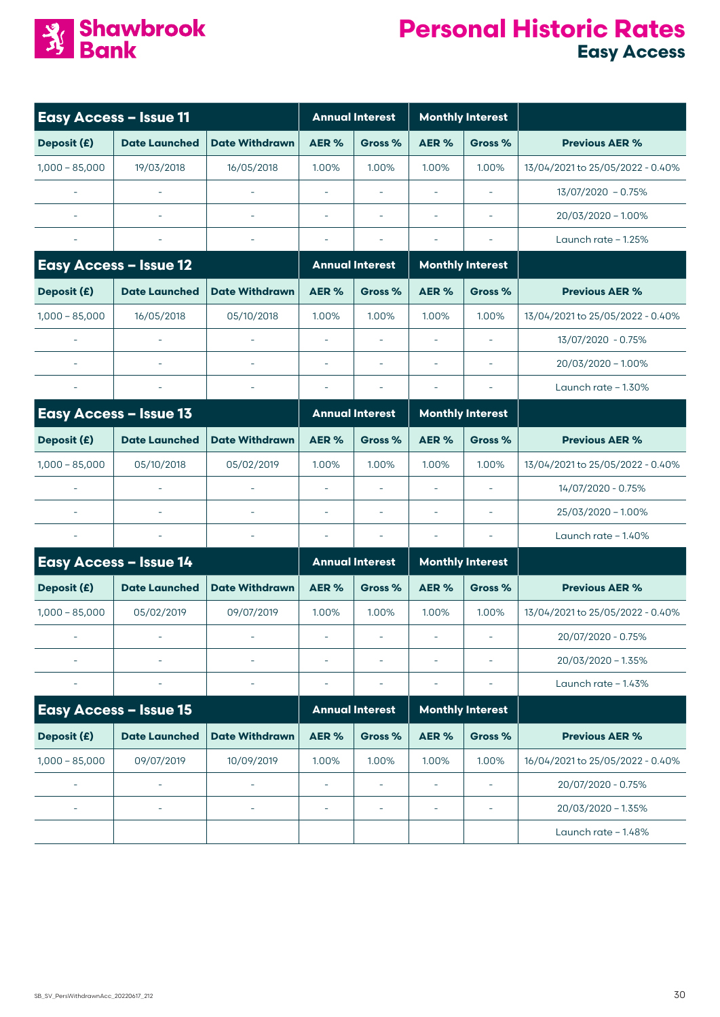

| <b>Easy Access - Issue 11</b> |                               | <b>Annual Interest</b>   |                          | <b>Monthly Interest</b>  |                          |                          |                                  |
|-------------------------------|-------------------------------|--------------------------|--------------------------|--------------------------|--------------------------|--------------------------|----------------------------------|
| Deposit (£)                   | <b>Date Launched</b>          | <b>Date Withdrawn</b>    | AER%                     | Gross %                  | AER%                     | Gross %                  | <b>Previous AER %</b>            |
| $1,000 - 85,000$              | 19/03/2018                    | 16/05/2018               | 1.00%                    | 1.00%                    | 1.00%                    | 1.00%                    | 13/04/2021 to 25/05/2022 - 0.40% |
|                               |                               |                          |                          |                          |                          |                          | 13/07/2020 - 0.75%               |
|                               |                               |                          | $\sim$                   | ä,                       | $\sim$                   | $\sim$                   | 20/03/2020 - 1.00%               |
|                               |                               |                          |                          |                          |                          |                          | Launch rate $-1.25%$             |
|                               | <b>Easy Access - Issue 12</b> |                          |                          | <b>Annual Interest</b>   |                          | <b>Monthly Interest</b>  |                                  |
| Deposit (£)                   | <b>Date Launched</b>          | <b>Date Withdrawn</b>    | AER%                     | Gross %                  | AER%                     | Gross %                  | <b>Previous AER %</b>            |
| $1,000 - 85,000$              | 16/05/2018                    | 05/10/2018               | 1.00%                    | 1.00%                    | 1.00%                    | 1.00%                    | 13/04/2021 to 25/05/2022 - 0.40% |
|                               |                               |                          | ä,                       |                          | $\overline{\phantom{a}}$ | $\sim$                   | 13/07/2020 - 0.75%               |
|                               |                               |                          | ä,                       |                          | $\overline{\phantom{a}}$ |                          | 20/03/2020 - 1.00%               |
|                               |                               |                          | ä,                       |                          | $\overline{\phantom{a}}$ |                          | Launch rate - 1.30%              |
|                               | <b>Easy Access - Issue 13</b> |                          |                          | <b>Annual Interest</b>   |                          | <b>Monthly Interest</b>  |                                  |
| Deposit (£)                   | <b>Date Launched</b>          | <b>Date Withdrawn</b>    | AER%                     | Gross %                  | AER%                     | Gross %                  | <b>Previous AER %</b>            |
| $1,000 - 85,000$              | 05/10/2018                    | 05/02/2019               | 1.00%                    | 1.00%                    | 1.00%                    | 1.00%                    | 13/04/2021 to 25/05/2022 - 0.40% |
|                               |                               |                          | $\overline{\phantom{a}}$ | $\overline{\phantom{a}}$ | $\overline{\phantom{a}}$ | $\sim$                   | 14/07/2020 - 0.75%               |
|                               |                               |                          | $\overline{\phantom{a}}$ |                          | $\overline{\phantom{a}}$ | $\overline{\phantom{a}}$ | 25/03/2020 - 1.00%               |
|                               |                               |                          | $\overline{\phantom{a}}$ |                          | $\overline{\phantom{a}}$ |                          | Launch rate $-1.40\%$            |
|                               | <b>Easy Access - Issue 14</b> |                          |                          | <b>Annual Interest</b>   |                          | <b>Monthly Interest</b>  |                                  |
| Deposit (£)                   | <b>Date Launched</b>          | <b>Date Withdrawn</b>    | AER%                     | Gross %                  | AER%                     | Gross %                  | <b>Previous AER %</b>            |
| $1,000 - 85,000$              | 05/02/2019                    | 09/07/2019               | 1.00%                    | 1.00%                    | 1.00%                    | 1.00%                    | 13/04/2021 to 25/05/2022 - 0.40% |
|                               |                               |                          | $\overline{\phantom{a}}$ | $\overline{\phantom{a}}$ | $\overline{\phantom{a}}$ | $\sim$                   | 20/07/2020 - 0.75%               |
|                               |                               |                          | $\overline{\phantom{a}}$ |                          | ä,                       |                          | 20/03/2020 - 1.35%               |
|                               |                               |                          |                          |                          |                          |                          | Launch rate - 1.43%              |
|                               | <b>Easy Access - Issue 15</b> |                          |                          | <b>Annual Interest</b>   |                          | <b>Monthly Interest</b>  |                                  |
| Deposit (£)                   | <b>Date Launched</b>          | <b>Date Withdrawn</b>    | AER%                     | Gross %                  | AER %                    | Gross %                  | <b>Previous AER %</b>            |
| $1,000 - 85,000$              | 09/07/2019                    | 10/09/2019               | 1.00%                    | 1.00%                    | 1.00%                    | 1.00%                    | 16/04/2021 to 25/05/2022 - 0.40% |
|                               | ÷,                            |                          | $\overline{\phantom{a}}$ | $\overline{a}$           | $\overline{\phantom{a}}$ | $\overline{\phantom{a}}$ | 20/07/2020 - 0.75%               |
|                               | $\overline{\phantom{a}}$      | $\overline{\phantom{a}}$ | $\overline{\phantom{a}}$ | $\overline{\phantom{a}}$ | $\overline{\phantom{a}}$ | $\overline{\phantom{a}}$ | 20/03/2020 - 1.35%               |
|                               |                               |                          |                          |                          |                          |                          | Launch rate - 1.48%              |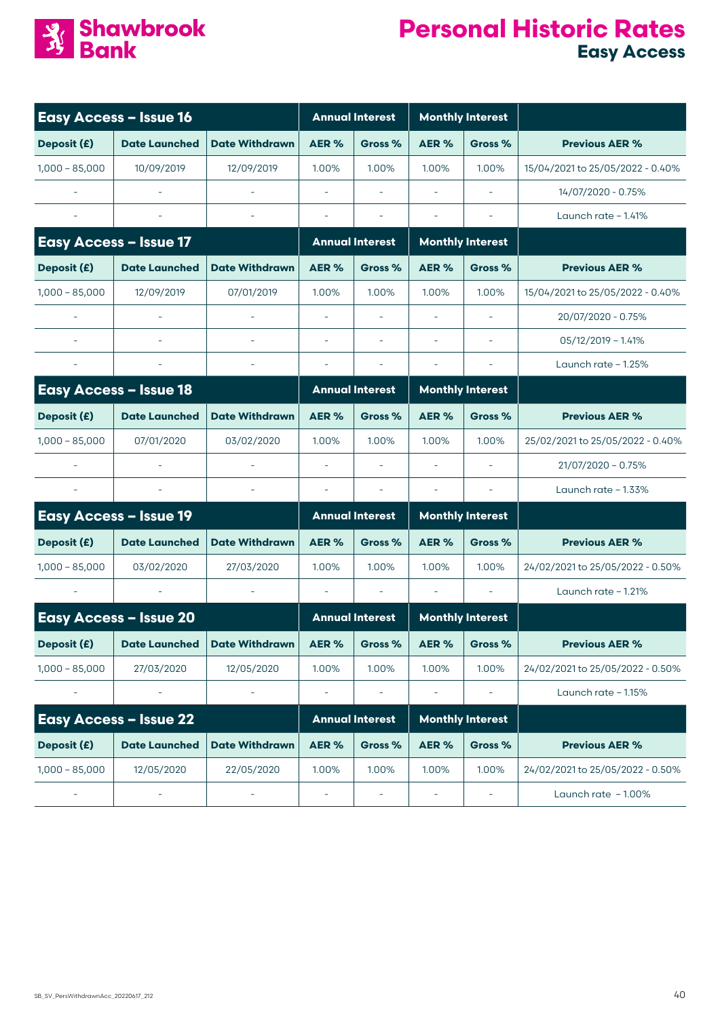

| <b>Easy Access - Issue 16</b> |                               |                        | <b>Annual Interest</b>   |                        | <b>Monthly Interest</b>  |                          |                                  |
|-------------------------------|-------------------------------|------------------------|--------------------------|------------------------|--------------------------|--------------------------|----------------------------------|
| Deposit (£)                   | <b>Date Launched</b>          | <b>Date Withdrawn</b>  | AER%                     | Gross %                | AER %                    | Gross %                  | <b>Previous AER %</b>            |
| $1,000 - 85,000$              | 10/09/2019                    | 12/09/2019             | 1.00%                    | 1.00%                  | 1.00%                    | 1.00%                    | 15/04/2021 to 25/05/2022 - 0.40% |
|                               |                               |                        |                          |                        |                          |                          | 14/07/2020 - 0.75%               |
|                               |                               |                        | ÷,                       |                        | $\overline{\phantom{a}}$ |                          | Launch rate $-1.41%$             |
| <b>Easy Access - Issue 17</b> |                               | <b>Annual Interest</b> |                          |                        | <b>Monthly Interest</b>  |                          |                                  |
| Deposit (£)                   | <b>Date Launched</b>          | <b>Date Withdrawn</b>  | AER%                     | Gross %                | AER%                     | Gross %                  | <b>Previous AER %</b>            |
| $1,000 - 85,000$              | 12/09/2019                    | 07/01/2019             | 1.00%                    | 1.00%                  | 1.00%                    | 1.00%                    | 15/04/2021 to 25/05/2022 - 0.40% |
|                               |                               |                        |                          |                        | $\sim$                   |                          | 20/07/2020 - 0.75%               |
|                               |                               |                        | $\sim$                   |                        |                          | $\overline{\phantom{a}}$ | $05/12/2019 - 1.41%$             |
|                               |                               |                        | $\overline{\phantom{a}}$ |                        |                          |                          | Launch rate $-1.25%$             |
|                               | <b>Easy Access - Issue 18</b> |                        |                          | <b>Annual Interest</b> |                          | <b>Monthly Interest</b>  |                                  |
| Deposit (£)                   | <b>Date Launched</b>          | <b>Date Withdrawn</b>  | AER%                     | Gross %                | AER%                     | Gross %                  | <b>Previous AER %</b>            |
| $1,000 - 85,000$              | 07/01/2020                    | 03/02/2020             | 1.00%                    | 1.00%                  | 1.00%                    | 1.00%                    | 25/02/2021 to 25/05/2022 - 0.40% |
|                               |                               |                        |                          |                        |                          |                          | 21/07/2020 - 0.75%               |
|                               |                               |                        |                          |                        |                          |                          | Launch rate $-1.33%$             |
|                               | <b>Easy Access - Issue 19</b> |                        |                          | <b>Annual Interest</b> |                          | <b>Monthly Interest</b>  |                                  |
| Deposit (£)                   | <b>Date Launched</b>          | <b>Date Withdrawn</b>  | AER%                     | Gross %                | <b>AER%</b>              | Gross %                  | <b>Previous AER %</b>            |
| $1,000 - 85,000$              | 03/02/2020                    | 27/03/2020             | 1.00%                    | 1.00%                  | 1.00%                    | 1.00%                    | 24/02/2021 to 25/05/2022 - 0.50% |
|                               |                               |                        |                          |                        |                          |                          | Launch rate $-1.21%$             |
|                               | <b>Easy Access - Issue 20</b> |                        |                          | <b>Annual Interest</b> |                          | <b>Monthly Interest</b>  |                                  |
| Deposit (£)                   | <b>Date Launched</b>          | <b>Date Withdrawn</b>  | AER %                    | Gross %                | AER %                    | Gross %                  | <b>Previous AER %</b>            |
| $1,000 - 85,000$              | 27/03/2020                    | 12/05/2020             | 1.00%                    | 1.00%                  | 1.00%                    | 1.00%                    | 24/02/2021 to 25/05/2022 - 0.50% |
|                               |                               |                        |                          |                        |                          |                          | Launch rate - 1.15%              |
|                               | <b>Easy Access - Issue 22</b> |                        |                          | <b>Annual Interest</b> |                          | <b>Monthly Interest</b>  |                                  |
| Deposit (£)                   | <b>Date Launched</b>          | <b>Date Withdrawn</b>  | AER%                     | Gross %                | AER%                     | Gross %                  | <b>Previous AER %</b>            |
| $1,000 - 85,000$              | 12/05/2020                    | 22/05/2020             | 1.00%                    | 1.00%                  | 1.00%                    | 1.00%                    | 24/02/2021 to 25/05/2022 - 0.50% |
|                               |                               |                        |                          |                        |                          |                          | Launch rate - 1.00%              |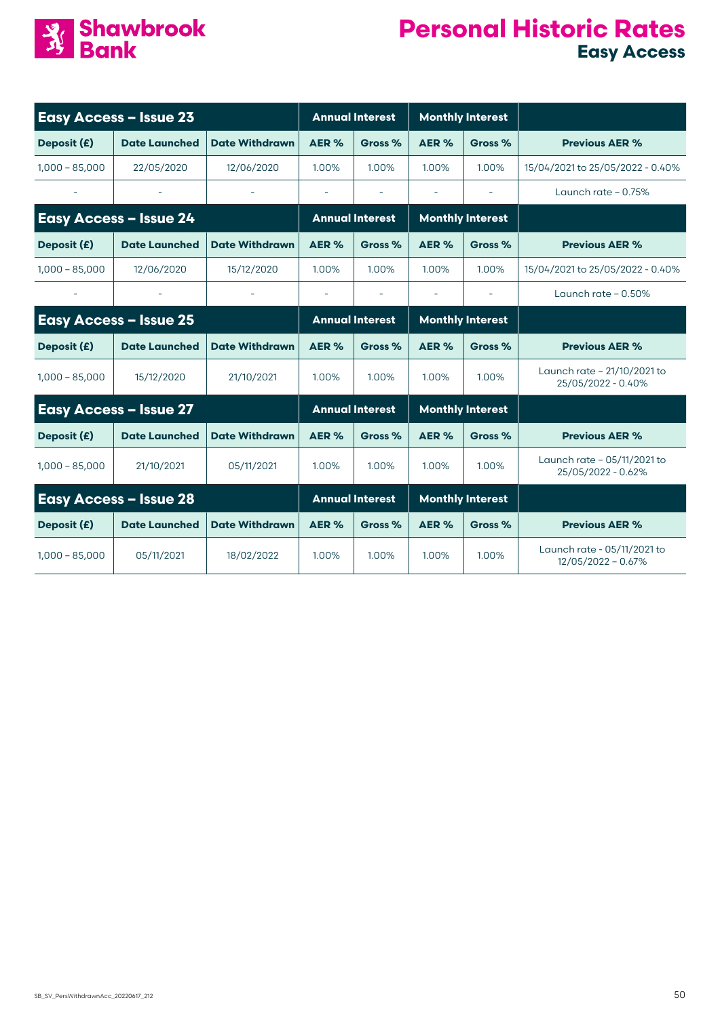

| <b>Easy Access - Issue 23</b> |                               |                       |                          | <b>Annual Interest</b>   |                | <b>Monthly Interest</b>  |                                                     |
|-------------------------------|-------------------------------|-----------------------|--------------------------|--------------------------|----------------|--------------------------|-----------------------------------------------------|
| Deposit (£)                   | <b>Date Launched</b>          | <b>Date Withdrawn</b> | AER %                    | Gross %                  | AER %          | Gross %                  | <b>Previous AER %</b>                               |
| $1,000 - 85,000$              | 22/05/2020                    | 12/06/2020            | 1.00%                    | 1.00%                    | 1.00%          | 1.00%                    | 15/04/2021 to 25/05/2022 - 0.40%                    |
|                               |                               |                       |                          |                          |                |                          | Launch rate $-0.75%$                                |
|                               | <b>Easy Access - Issue 24</b> |                       |                          | <b>Annual Interest</b>   |                | <b>Monthly Interest</b>  |                                                     |
| Deposit (£)                   | <b>Date Launched</b>          | <b>Date Withdrawn</b> | AER %                    | Gross %                  | AER %          | Gross %                  | <b>Previous AER %</b>                               |
| $1,000 - 85,000$              | 12/06/2020                    | 15/12/2020            | 1.00%                    | 1.00%                    | 1.00%          | 1.00%                    | 15/04/2021 to 25/05/2022 - 0.40%                    |
|                               |                               |                       | $\overline{\phantom{a}}$ | $\overline{\phantom{a}}$ | $\overline{a}$ | $\overline{\phantom{a}}$ | Launch rate $-0.50\%$                               |
|                               | <b>Easy Access - Issue 25</b> |                       |                          | <b>Annual Interest</b>   |                | <b>Monthly Interest</b>  |                                                     |
| Deposit (£)                   | <b>Date Launched</b>          | <b>Date Withdrawn</b> | AER%                     | Gross %                  | AER%           | Gross %                  | <b>Previous AER %</b>                               |
| $1,000 - 85,000$              | 15/12/2020                    | 21/10/2021            | 1.00%                    | 1.00%                    | 1.00%          | 1.00%                    | Launch rate - 21/10/2021 to<br>25/05/2022 - 0.40%   |
|                               | <b>Easy Access - Issue 27</b> |                       |                          | <b>Annual Interest</b>   |                | <b>Monthly Interest</b>  |                                                     |
| Deposit (£)                   | <b>Date Launched</b>          | <b>Date Withdrawn</b> | AER%                     | Gross %                  | AER%           | Gross %                  | <b>Previous AER %</b>                               |
| $1,000 - 85,000$              | 21/10/2021                    | 05/11/2021            | 1.00%                    | 1.00%                    | 1.00%          | 1.00%                    | Launch rate - 05/11/2021 to<br>25/05/2022 - 0.62%   |
|                               | <b>Easy Access - Issue 28</b> |                       |                          | <b>Annual Interest</b>   |                | <b>Monthly Interest</b>  |                                                     |
| Deposit (£)                   | <b>Date Launched</b>          | <b>Date Withdrawn</b> | AER%                     | Gross %                  | AER%           | Gross %                  | <b>Previous AER %</b>                               |
| $1,000 - 85,000$              | 05/11/2021                    | 18/02/2022            | 1.00%                    | 1.00%                    | 1.00%          | 1.00%                    | Launch rate - 05/11/2021 to<br>$12/05/2022 - 0.67%$ |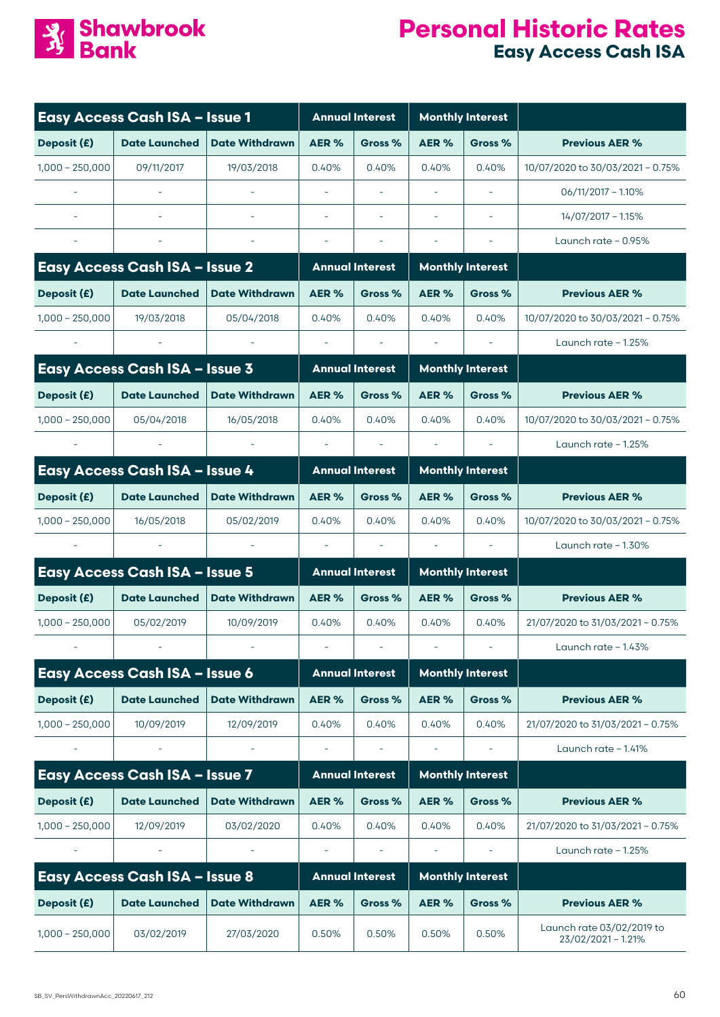

## **Personal Historic Rates Easy Access Cash ISA**

|                   | <b>Easy Access Cash ISA - Issue 1</b> |                       |                          | <b>Annual Interest</b>   |                          | <b>Monthly Interest</b> |                                                 |
|-------------------|---------------------------------------|-----------------------|--------------------------|--------------------------|--------------------------|-------------------------|-------------------------------------------------|
| Deposit (£)       | <b>Date Launched</b>                  | <b>Date Withdrawn</b> | AER%                     | Gross %                  | AER%                     | Gross %                 | <b>Previous AER %</b>                           |
| $1,000 - 250,000$ | 09/11/2017                            | 19/03/2018            | 0.40%                    | 0.40%                    | 0.40%                    | 0.40%                   | 10/07/2020 to 30/03/2021 - 0.75%                |
|                   |                                       |                       |                          |                          |                          |                         | $06/11/2017 - 1.10%$                            |
|                   |                                       |                       |                          |                          |                          |                         | 14/07/2017 - 1.15%                              |
|                   |                                       |                       |                          |                          |                          |                         | Launch rate $-0.95%$                            |
|                   | <b>Easy Access Cash ISA - Issue 2</b> |                       |                          | <b>Annual Interest</b>   |                          | <b>Monthly Interest</b> |                                                 |
| Deposit (£)       | <b>Date Launched</b>                  | <b>Date Withdrawn</b> | AER%                     | Gross %                  | AER %                    | Gross %                 | <b>Previous AER %</b>                           |
| $1,000 - 250,000$ | 19/03/2018                            | 05/04/2018            | 0.40%                    | 0.40%                    | 0.40%                    | 0.40%                   | 10/07/2020 to 30/03/2021 - 0.75%                |
|                   |                                       |                       | $\overline{\phantom{a}}$ |                          |                          |                         | Launch rate $-1.25%$                            |
|                   | <b>Easy Access Cash ISA - Issue 3</b> |                       |                          | <b>Annual Interest</b>   |                          | <b>Monthly Interest</b> |                                                 |
| Deposit (£)       | <b>Date Launched</b>                  | <b>Date Withdrawn</b> | AER%                     | Gross %                  | AER %                    | Gross %                 | <b>Previous AER %</b>                           |
| $1,000 - 250,000$ | 05/04/2018                            | 16/05/2018            | 0.40%                    | 0.40%                    | 0.40%                    | 0.40%                   | 10/07/2020 to 30/03/2021 - 0.75%                |
|                   |                                       |                       |                          |                          |                          |                         | Launch rate $-1.25%$                            |
|                   | <b>Easy Access Cash ISA - Issue 4</b> |                       |                          | <b>Annual Interest</b>   |                          | <b>Monthly Interest</b> |                                                 |
| Deposit (£)       | <b>Date Launched</b>                  | <b>Date Withdrawn</b> | AER%                     | Gross %                  | AER %                    | Gross %                 | <b>Previous AER %</b>                           |
| $1,000 - 250,000$ | 16/05/2018                            | 05/02/2019            | 0.40%                    | 0.40%                    | 0.40%                    | 0.40%                   | 10/07/2020 to 30/03/2021 - 0.75%                |
|                   |                                       |                       |                          |                          | $\overline{\phantom{a}}$ |                         | Launch rate $-1.30\%$                           |
|                   | Easy Access Cash ISA - Issue 5        |                       |                          | <b>Annual Interest</b>   |                          | <b>Monthly Interest</b> |                                                 |
| Deposit (£)       | <b>Date Launched</b>                  | <b>Date Withdrawn</b> | AER%                     | Gross %                  | AER%                     | Gross %                 | <b>Previous AER %</b>                           |
| $1,000 - 250,000$ | 05/02/2019                            | 10/09/2019            | 0.40%                    | 0.40%                    | 0.40%                    | 0.40%                   | 21/07/2020 to 31/03/2021 - 0.75%                |
|                   |                                       |                       | $\overline{\phantom{a}}$ | $\overline{\phantom{a}}$ | $\overline{\phantom{a}}$ |                         | Launch rate - 1.43%                             |
|                   | <b>Easy Access Cash ISA - Issue 6</b> |                       |                          | <b>Annual Interest</b>   |                          | <b>Monthly Interest</b> |                                                 |
| Deposit (£)       | <b>Date Launched</b>                  | <b>Date Withdrawn</b> | AER%                     | Gross %                  | AER%                     | Gross %                 | <b>Previous AER %</b>                           |
| $1,000 - 250,000$ | 10/09/2019                            | 12/09/2019            | 0.40%                    | 0.40%                    | 0.40%                    | 0.40%                   | 21/07/2020 to 31/03/2021 - 0.75%                |
|                   |                                       |                       |                          |                          |                          |                         | Launch rate $-1.41%$                            |
|                   | Easy Access Cash ISA - Issue 7        |                       |                          | <b>Annual Interest</b>   |                          | <b>Monthly Interest</b> |                                                 |
| Deposit (£)       | <b>Date Launched</b>                  | <b>Date Withdrawn</b> | AER%                     | Gross %                  | AER %                    | Gross %                 | <b>Previous AER %</b>                           |
| $1,000 - 250,000$ | 12/09/2019                            | 03/02/2020            | 0.40%                    | 0.40%                    | 0.40%                    | 0.40%                   | 21/07/2020 to 31/03/2021 - 0.75%                |
|                   |                                       |                       |                          |                          |                          |                         | Launch rate $-1.25%$                            |
|                   | <b>Easy Access Cash ISA - Issue 8</b> |                       |                          | <b>Annual Interest</b>   |                          | <b>Monthly Interest</b> |                                                 |
| Deposit (£)       | <b>Date Launched</b>                  | <b>Date Withdrawn</b> | AER%                     | Gross %                  | AER%                     | Gross %                 | <b>Previous AER %</b>                           |
| $1,000 - 250,000$ | 03/02/2019                            | 27/03/2020            | 0.50%                    | 0.50%                    | 0.50%                    | 0.50%                   | Launch rate 03/02/2019 to<br>23/02/2021 - 1.21% |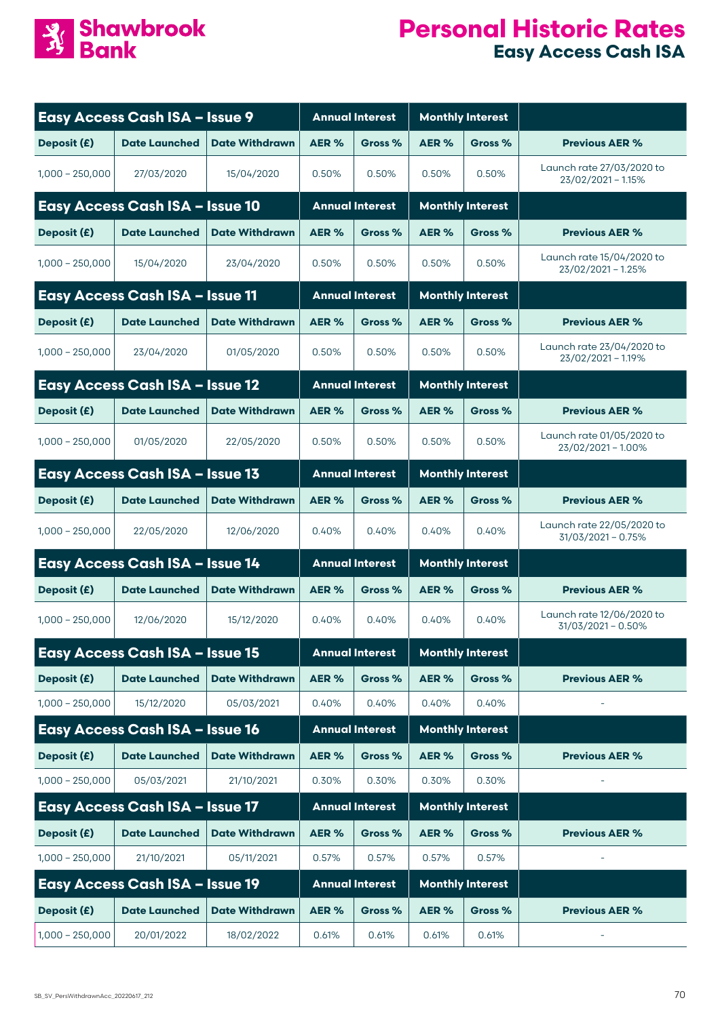

#### **Personal Historic Rates Easy Access Cash ISA**

|                   | <b>Easy Access Cash ISA - Issue 9</b>  |                       | <b>Annual Interest</b> |                        | <b>Monthly Interest</b> |                         |                                                 |
|-------------------|----------------------------------------|-----------------------|------------------------|------------------------|-------------------------|-------------------------|-------------------------------------------------|
| Deposit (£)       | <b>Date Launched</b>                   | <b>Date Withdrawn</b> | AER%                   | Gross %                | AER%                    | Gross %                 | <b>Previous AER %</b>                           |
| $1.000 - 250.000$ | 27/03/2020                             | 15/04/2020            | 0.50%                  | 0.50%                  | 0.50%                   | 0.50%                   | Launch rate 27/03/2020 to<br>23/02/2021 - 1.15% |
|                   | <b>Easy Access Cash ISA - Issue 10</b> |                       | <b>Annual Interest</b> |                        |                         | <b>Monthly Interest</b> |                                                 |
| Deposit (£)       | <b>Date Launched</b>                   | <b>Date Withdrawn</b> | AER%                   | Gross %                | AER%                    | Gross %                 | <b>Previous AER %</b>                           |
| $1,000 - 250,000$ | 15/04/2020                             | 23/04/2020            | 0.50%                  | 0.50%                  | 0.50%                   | 0.50%                   | Launch rate 15/04/2020 to<br>23/02/2021 - 1.25% |
|                   | <b>Easy Access Cash ISA - Issue 11</b> |                       | <b>Annual Interest</b> |                        |                         | <b>Monthly Interest</b> |                                                 |
| Deposit (£)       | <b>Date Launched</b>                   | <b>Date Withdrawn</b> | AER%                   | Gross %                | AER <sub>%</sub>        | Gross %                 | <b>Previous AER %</b>                           |
| $1,000 - 250,000$ | 23/04/2020                             | 01/05/2020            | 0.50%                  | 0.50%                  | 0.50%                   | 0.50%                   | Launch rate 23/04/2020 to<br>23/02/2021 - 1.19% |
|                   | <b>Easy Access Cash ISA - Issue 12</b> |                       | <b>Annual Interest</b> |                        |                         | <b>Monthly Interest</b> |                                                 |
| Deposit (£)       | <b>Date Launched</b>                   | <b>Date Withdrawn</b> | AER%                   | Gross %                | AER%                    | Gross %                 | <b>Previous AER %</b>                           |
| $1.000 - 250.000$ | 01/05/2020                             | 22/05/2020            | 0.50%                  | 0.50%                  | 0.50%                   | 0.50%                   | Launch rate 01/05/2020 to<br>23/02/2021 - 1.00% |
|                   | Easy Access Cash ISA - Issue 13        |                       | <b>Annual Interest</b> |                        |                         | <b>Monthly Interest</b> |                                                 |
| Deposit (£)       | <b>Date Launched</b>                   | <b>Date Withdrawn</b> | AER%                   | Gross %                | AER%                    | Gross %                 | <b>Previous AER %</b>                           |
| $1,000 - 250,000$ | 22/05/2020                             | 12/06/2020            | 0.40%                  | 0.40%                  | 0.40%                   | 0.40%                   | Launch rate 22/05/2020 to<br>31/03/2021 - 0.75% |
|                   | <b>Easy Access Cash ISA - Issue 14</b> |                       |                        | <b>Annual Interest</b> |                         | <b>Monthly Interest</b> |                                                 |
| Deposit (£)       | <b>Date Launched</b>                   | <b>Date Withdrawn</b> | AER %                  | Gross %                | AER %                   | Gross %                 | <b>Previous AER %</b>                           |
| $1,000 - 250,000$ | 12/06/2020                             | 15/12/2020            | 0.40%                  | 0.40%                  | 0.40%                   | 0.40%                   | Launch rate 12/06/2020 to<br>31/03/2021 - 0.50% |
|                   | <b>Easy Access Cash ISA - Issue 15</b> |                       |                        | <b>Annual Interest</b> |                         | <b>Monthly Interest</b> |                                                 |
| Deposit (£)       | <b>Date Launched</b>                   | <b>Date Withdrawn</b> | AER %                  | Gross %                | AER%                    | Gross %                 | <b>Previous AER %</b>                           |
| $1,000 - 250,000$ | 15/12/2020                             | 05/03/2021            | 0.40%                  | 0.40%                  | 0.40%                   | 0.40%                   |                                                 |
|                   | <b>Easy Access Cash ISA - Issue 16</b> |                       |                        | <b>Annual Interest</b> |                         | <b>Monthly Interest</b> |                                                 |
| Deposit (£)       | <b>Date Launched</b>                   | <b>Date Withdrawn</b> | AER%                   | Gross %                | AER%                    | Gross %                 | <b>Previous AER %</b>                           |
| $1,000 - 250,000$ | 05/03/2021                             | 21/10/2021            | 0.30%                  | 0.30%                  | 0.30%                   | 0.30%                   |                                                 |
|                   | <b>Easy Access Cash ISA - Issue 17</b> |                       |                        | <b>Annual Interest</b> |                         | <b>Monthly Interest</b> |                                                 |
| Deposit (£)       | <b>Date Launched</b>                   | <b>Date Withdrawn</b> | AER%                   | Gross %                | AER%                    | Gross %                 | <b>Previous AER %</b>                           |
| $1,000 - 250,000$ | 21/10/2021                             | 05/11/2021            | 0.57%                  | 0.57%                  | 0.57%                   | 0.57%                   |                                                 |
|                   | <b>Easy Access Cash ISA - Issue 19</b> |                       |                        | <b>Annual Interest</b> |                         | <b>Monthly Interest</b> |                                                 |
| Deposit (£)       | <b>Date Launched</b>                   | <b>Date Withdrawn</b> | AER%                   | Gross %                | AER%                    | Gross %                 | <b>Previous AER %</b>                           |
| $1,000 - 250,000$ | 20/01/2022                             | 18/02/2022            | 0.61%                  | 0.61%                  | 0.61%                   | 0.61%                   |                                                 |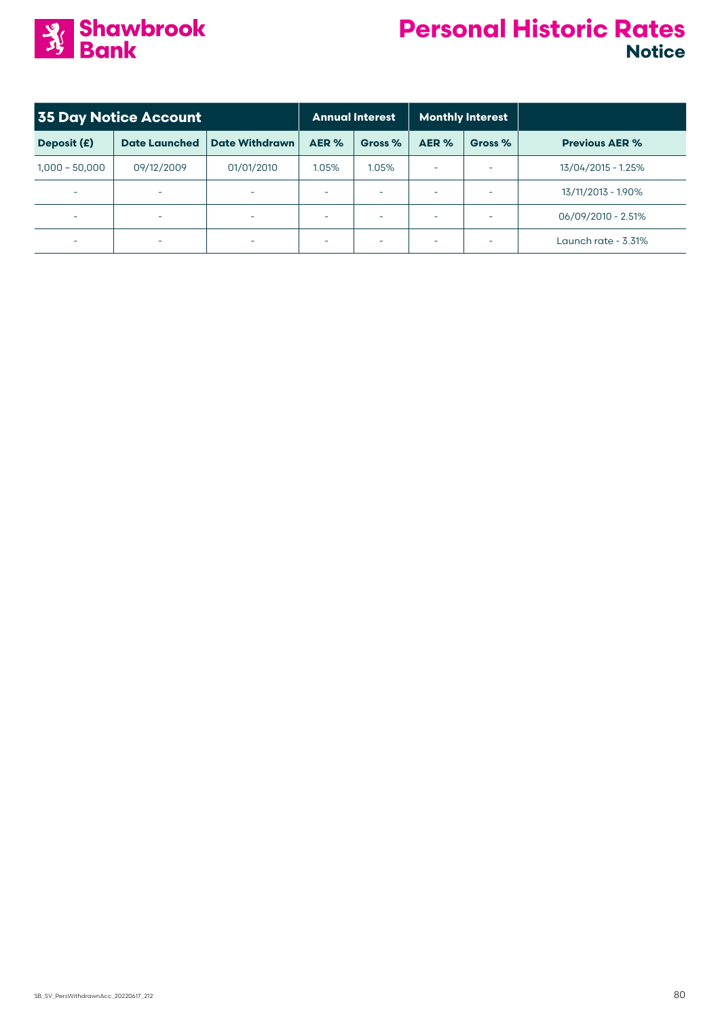

| <b>35 Day Notice Account</b> |                          |                          | <b>Annual Interest</b>   |         | <b>Monthly Interest</b> |                          |                       |
|------------------------------|--------------------------|--------------------------|--------------------------|---------|-------------------------|--------------------------|-----------------------|
| Deposit (£)                  | <b>Date Launched</b>     | <b>Date Withdrawn</b>    | AER %                    | Gross % | AER %                   | Gross %                  | <b>Previous AER %</b> |
| $1,000 - 50,000$             | 09/12/2009               | 01/01/2010               | 1.05%                    | 1.05%   |                         | $\overline{\phantom{a}}$ | 13/04/2015 - 1.25%    |
| $\overline{\phantom{a}}$     | ٠                        | -                        | $\overline{\phantom{a}}$ |         |                         | $\overline{\phantom{a}}$ | 13/11/2013 - 1.90%    |
| $\overline{\phantom{a}}$     | ٠                        | $\overline{\phantom{a}}$ | $\equiv$                 |         |                         | $\overline{\phantom{a}}$ | 06/09/2010 - 2.51%    |
| $\overline{\phantom{0}}$     | $\overline{\phantom{a}}$ | $\overline{\phantom{a}}$ | $\overline{\phantom{a}}$ |         |                         | $\overline{\phantom{a}}$ | Launch rate - 3.31%   |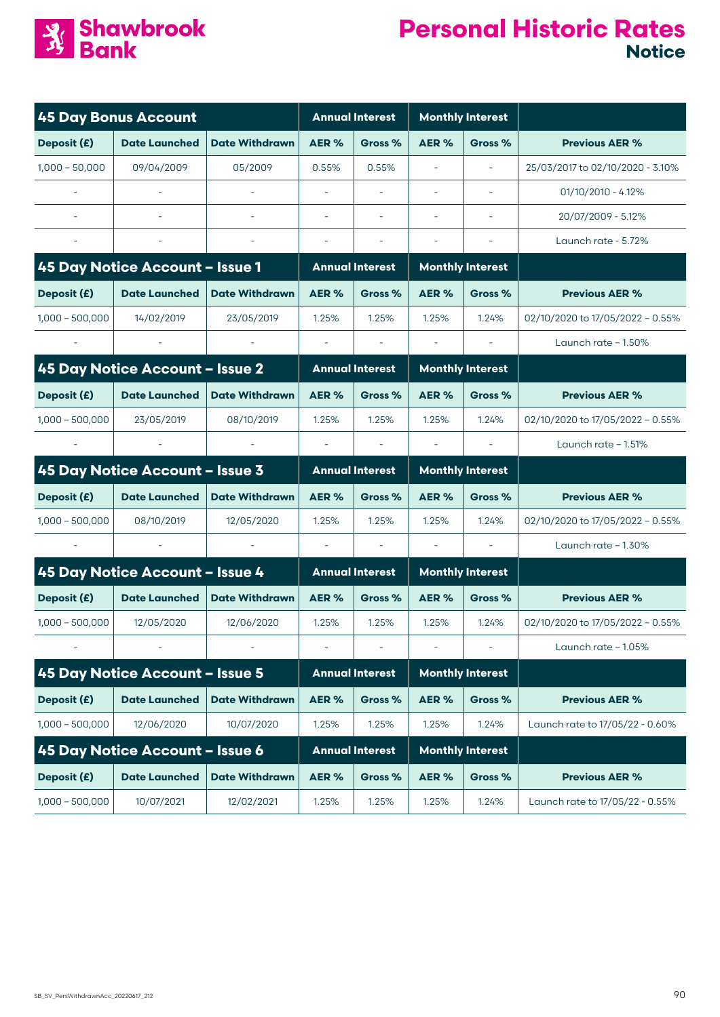

| <b>45 Day Bonus Account</b> |                                 | <b>Annual Interest</b> |                          | <b>Monthly Interest</b>  |                          |                          |                                  |
|-----------------------------|---------------------------------|------------------------|--------------------------|--------------------------|--------------------------|--------------------------|----------------------------------|
| Deposit (£)                 | <b>Date Launched</b>            | <b>Date Withdrawn</b>  | AER%                     | Gross %                  | AER%                     | Gross %                  | <b>Previous AER %</b>            |
| $1,000 - 50,000$            | 09/04/2009                      | 05/2009                | 0.55%                    | 0.55%                    | $\overline{\phantom{a}}$ | $\overline{\phantom{a}}$ | 25/03/2017 to 02/10/2020 - 3.10% |
|                             |                                 |                        |                          |                          |                          |                          | $01/10/2010 - 4.12%$             |
|                             |                                 |                        | $\sim$                   |                          |                          |                          | 20/07/2009 - 5.12%               |
|                             |                                 |                        | $\overline{\phantom{a}}$ | $\overline{\phantom{a}}$ |                          |                          | Launch rate - 5.72%              |
|                             | 45 Day Notice Account - Issue 1 |                        |                          | <b>Annual Interest</b>   |                          | <b>Monthly Interest</b>  |                                  |
| Deposit (£)                 | <b>Date Launched</b>            | <b>Date Withdrawn</b>  | AER %                    | Gross %                  | AER%                     | Gross %                  | <b>Previous AER %</b>            |
| $1,000 - 500,000$           | 14/02/2019                      | 23/05/2019             | 1.25%                    | 1.25%                    | 1.25%                    | 1.24%                    | 02/10/2020 to 17/05/2022 - 0.55% |
|                             |                                 |                        | $\overline{\phantom{a}}$ |                          | $\overline{\phantom{a}}$ |                          | Launch rate $-1.50\%$            |
|                             | 45 Day Notice Account - Issue 2 |                        |                          | <b>Annual Interest</b>   |                          | <b>Monthly Interest</b>  |                                  |
| Deposit (£)                 | <b>Date Launched</b>            | <b>Date Withdrawn</b>  | AER%                     | Gross %                  | AER%                     | Gross %                  | <b>Previous AER %</b>            |
| $1,000 - 500,000$           | 23/05/2019                      | 08/10/2019             | 1.25%                    | 1.25%                    | 1.25%                    | 1.24%                    | 02/10/2020 to 17/05/2022 - 0.55% |
|                             |                                 |                        | $\overline{\phantom{a}}$ |                          | $\overline{\phantom{a}}$ | $\overline{\phantom{a}}$ | Launch rate $-1.51%$             |
|                             | 45 Day Notice Account - Issue 3 |                        |                          | <b>Annual Interest</b>   |                          | <b>Monthly Interest</b>  |                                  |
| Deposit (£)                 | <b>Date Launched</b>            | <b>Date Withdrawn</b>  | AER%                     | Gross %                  | AER%                     | Gross %                  | <b>Previous AER %</b>            |
| $1,000 - 500,000$           | 08/10/2019                      | 12/05/2020             | 1.25%                    | 1.25%                    | 1.25%                    | 1.24%                    | 02/10/2020 to 17/05/2022 - 0.55% |
|                             |                                 |                        | $\overline{\phantom{a}}$ |                          | $\overline{\phantom{a}}$ | $\overline{\phantom{a}}$ | Launch rate $-1.30\%$            |
|                             | 45 Day Notice Account - Issue 4 |                        |                          | <b>Annual Interest</b>   |                          | <b>Monthly Interest</b>  |                                  |
| Deposit (£)                 | <b>Date Launched</b>            | <b>Date Withdrawn</b>  | AER%                     | Gross %                  | AER%                     | Gross %                  | <b>Previous AER %</b>            |
| $1,000 - 500,000$           | 12/05/2020                      | 12/06/2020             | 1.25%                    | 1.25%                    | 1.25%                    | 1.24%                    | 02/10/2020 to 17/05/2022 - 0.55% |
|                             |                                 |                        |                          |                          |                          |                          | Launch rate - 1.05%              |
|                             | 45 Day Notice Account - Issue 5 |                        |                          | <b>Annual Interest</b>   |                          | <b>Monthly Interest</b>  |                                  |
| Deposit (£)                 | <b>Date Launched</b>            | <b>Date Withdrawn</b>  | AER%                     | Gross %                  | AER%                     | Gross %                  | <b>Previous AER %</b>            |
| $1,000 - 500,000$           | 12/06/2020                      | 10/07/2020             | 1.25%                    | 1.25%                    | 1.25%                    | 1.24%                    | Launch rate to 17/05/22 - 0.60%  |
|                             | 45 Day Notice Account - Issue 6 |                        |                          | <b>Annual Interest</b>   |                          | <b>Monthly Interest</b>  |                                  |
| Deposit (£)                 | <b>Date Launched</b>            | <b>Date Withdrawn</b>  | AER%                     | Gross %                  | AER%                     | Gross %                  | <b>Previous AER %</b>            |
| $1,000 - 500,000$           | 10/07/2021                      | 12/02/2021             | 1.25%                    | 1.25%                    | 1.25%                    | 1.24%                    | Launch rate to 17/05/22 - 0.55%  |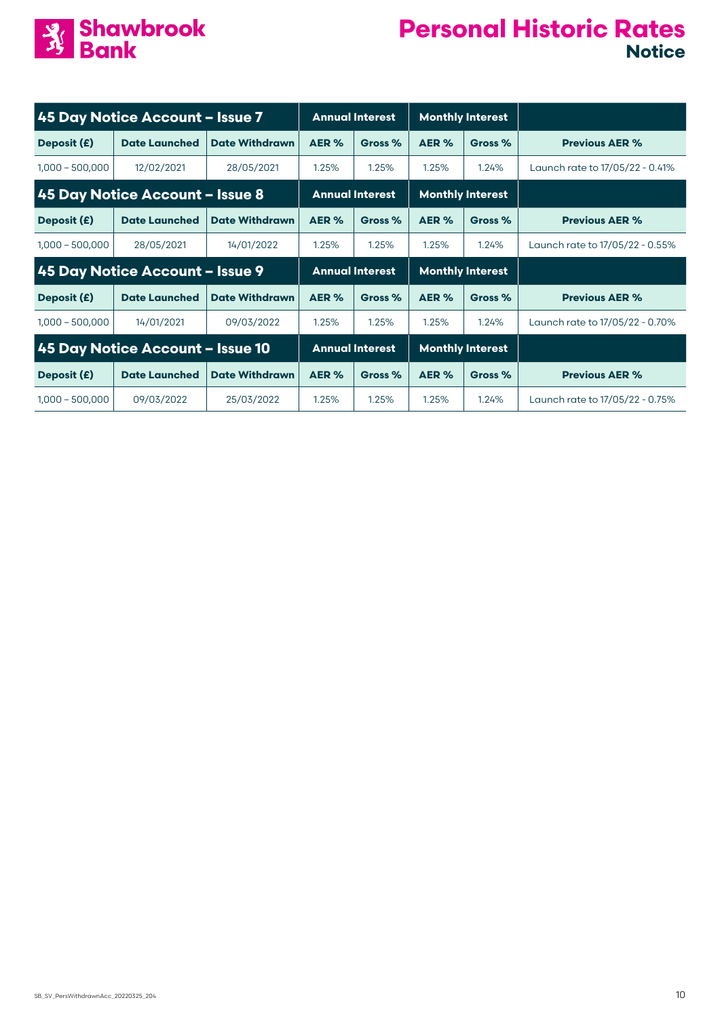

| 45 Day Notice Account - Issue 7 |                                  |                        | <b>Annual Interest</b> |                         | <b>Monthly Interest</b> |                         |                                 |
|---------------------------------|----------------------------------|------------------------|------------------------|-------------------------|-------------------------|-------------------------|---------------------------------|
| Deposit (£)                     | <b>Date Launched</b>             | <b>Date Withdrawn</b>  | AER %                  | Gross %                 | AER %                   | Gross %                 | <b>Previous AER %</b>           |
| $1,000 - 500,000$               | 12/02/2021                       | 28/05/2021             | 1.25%                  | 1.25%                   | 1.25%                   | 1.24%                   | Launch rate to 17/05/22 - 0.41% |
| 45 Day Notice Account - Issue 8 |                                  | <b>Annual Interest</b> |                        | <b>Monthly Interest</b> |                         |                         |                                 |
| Deposit (£)                     | <b>Date Launched</b>             | <b>Date Withdrawn</b>  | AER %                  | Gross %                 | AER %                   | Gross %                 | <b>Previous AER %</b>           |
| $1,000 - 500,000$               | 28/05/2021                       | 14/01/2022             | 1.25%                  | 1.25%                   | 1.25%                   | 1.24%                   | Launch rate to 17/05/22 - 0.55% |
|                                 | 45 Day Notice Account - Issue 9  |                        | <b>Annual Interest</b> |                         |                         | <b>Monthly Interest</b> |                                 |
| Deposit (£)                     | <b>Date Launched</b>             | <b>Date Withdrawn</b>  | AER %                  | Gross %                 | AER %                   | Gross %                 | <b>Previous AER %</b>           |
| $1,000 - 500,000$               | 14/01/2021                       | 09/03/2022             | 1.25%                  | 1.25%                   | 1.25%                   | 1.24%                   | Launch rate to 17/05/22 - 0.70% |
|                                 | 45 Day Notice Account - Issue 10 |                        |                        | <b>Annual Interest</b>  | <b>Monthly Interest</b> |                         |                                 |
| Deposit (£)                     | <b>Date Launched</b>             | <b>Date Withdrawn</b>  | AER %                  | Gross %                 | AER %                   | Gross %                 | <b>Previous AER %</b>           |
| $1,000 - 500,000$               | 09/03/2022                       | 25/03/2022             | 1.25%                  |                         | 1.25%                   | 1.24%                   |                                 |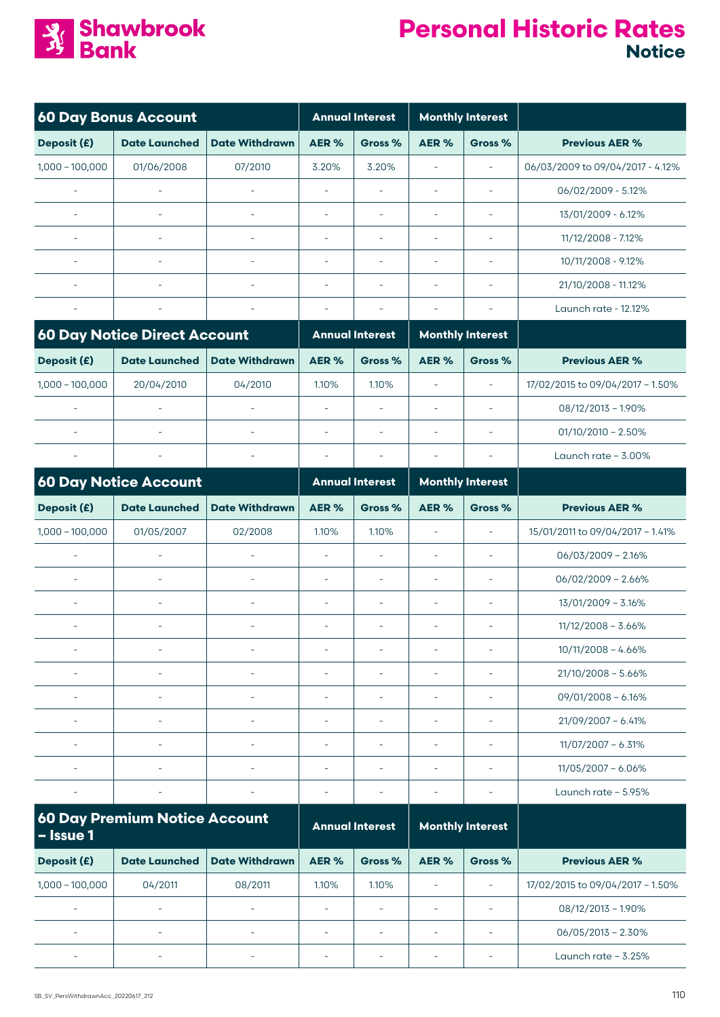

| <b>60 Day Bonus Account</b> |                                      |                          | <b>Annual Interest</b>   |                          | <b>Monthly Interest</b>  |                          |                                  |
|-----------------------------|--------------------------------------|--------------------------|--------------------------|--------------------------|--------------------------|--------------------------|----------------------------------|
| Deposit (£)                 | <b>Date Launched</b>                 | <b>Date Withdrawn</b>    | AER%                     | Gross %                  | AER%                     | Gross %                  | <b>Previous AER %</b>            |
| $1,000 - 100,000$           | 01/06/2008                           | 07/2010                  | 3.20%                    | 3.20%                    | $\sim$                   | $\bar{\phantom{a}}$      | 06/03/2009 to 09/04/2017 - 4.12% |
| $\sim$                      | $\sim$                               | L,                       |                          |                          | i.                       | ä,                       | 06/02/2009 - 5.12%               |
| $\overline{\phantom{a}}$    | $\overline{\phantom{a}}$             | $\overline{\phantom{a}}$ | $\overline{\phantom{a}}$ | $\sim$                   | $\overline{\phantom{a}}$ | $\sim$                   | 13/01/2009 - 6.12%               |
| ÷,                          | $\sim$                               | L.                       | $\equiv$                 | $\sim$                   | $\sim$                   | $\bar{\phantom{a}}$      | 11/12/2008 - 7.12%               |
|                             | $\overline{\phantom{a}}$             | ٠                        | $\sim$                   | $\equiv$                 | $\sim$                   | ÷                        | 10/11/2008 - 9.12%               |
|                             | $\overline{\phantom{a}}$             | L.                       | $\sim$                   | $\sim$                   | $\overline{\phantom{a}}$ | $\sim$                   | 21/10/2008 - 11.12%              |
|                             |                                      | ٠                        | $\overline{\phantom{a}}$ | $\overline{\phantom{a}}$ | $\overline{\phantom{a}}$ | $\sim$                   | Launch rate - 12.12%             |
|                             | <b>60 Day Notice Direct Account</b>  |                          |                          | <b>Annual Interest</b>   |                          | <b>Monthly Interest</b>  |                                  |
| Deposit (£)                 | <b>Date Launched</b>                 | <b>Date Withdrawn</b>    | AER%                     | Gross %                  | AER%                     | Gross %                  | <b>Previous AER %</b>            |
| $1,000 - 100,000$           | 20/04/2010                           | 04/2010                  | 1.10%                    | 1.10%                    | $\sim$                   | $\sim$                   | 17/02/2015 to 09/04/2017 - 1.50% |
| $\sim$                      | $\overline{\phantom{a}}$             | ÷,                       | i.                       | ÷,                       | $\sim$                   | ÷,                       | $08/12/2013 - 1.90\%$            |
| $\sim$                      | $\bar{\phantom{a}}$                  | $\bar{a}$                | $\overline{\phantom{a}}$ | $\sim$                   | i.                       | $\sim$                   | $01/10/2010 - 2.50\%$            |
|                             |                                      | L.                       | $\overline{\phantom{a}}$ | ÷,                       | $\overline{\phantom{a}}$ | $\sim$                   | Launch rate - 3.00%              |
|                             | <b>60 Day Notice Account</b>         |                          |                          | <b>Annual Interest</b>   |                          | <b>Monthly Interest</b>  |                                  |
| Deposit (£)                 | <b>Date Launched</b>                 | <b>Date Withdrawn</b>    | AER%                     | Gross %                  | AER%                     | Gross %                  | <b>Previous AER %</b>            |
| $1,000 - 100,000$           | 01/05/2007                           | 02/2008                  | 1.10%                    | 1.10%                    | $\overline{\phantom{a}}$ | $\bar{\phantom{a}}$      | 15/01/2011 to 09/04/2017 - 1.41% |
| $\sim$                      | $\bar{\phantom{a}}$                  | L.                       | $\equiv$                 | $\bar{\phantom{a}}$      | $\overline{\phantom{a}}$ | $\overline{\phantom{a}}$ | $06/03/2009 - 2.16%$             |
|                             | ÷,                                   | L,                       | i.                       | $\bar{\phantom{a}}$      | $\sim$                   | ä,                       | $06/02/2009 - 2.66%$             |
|                             | ÷,                                   | L.                       | $\overline{\phantom{a}}$ | ÷,                       | $\overline{\phantom{a}}$ | L.                       | $13/01/2009 - 3.16%$             |
| $\sim$                      | ÷,                                   | $\equiv$                 | $\equiv$                 | $\overline{\phantom{a}}$ | $\overline{\phantom{a}}$ | $\overline{\phantom{a}}$ | $11/12/2008 - 3.66%$             |
|                             | $\sim$                               | L.                       | $\overline{\phantom{a}}$ | $\overline{\phantom{a}}$ | $\overline{\phantom{a}}$ | $\sim$                   | $10/11/2008 - 4.66%$             |
|                             |                                      | L.                       | $\sim$                   | $\sim$                   | $\sim$                   | $\sim$                   | $21/10/2008 - 5.66%$             |
|                             | $\overline{\phantom{a}}$             | L.                       | $\sim$                   | $\overline{\phantom{a}}$ | $\overline{\phantom{a}}$ | $\sim$                   | $09/01/2008 - 6.16%$             |
| $\overline{\phantom{a}}$    | ÷,                                   | $\overline{\phantom{a}}$ | $\overline{\phantom{a}}$ | $\overline{\phantom{a}}$ | $\overline{\phantom{a}}$ | $\overline{\phantom{a}}$ | $21/09/2007 - 6.41%$             |
| $\overline{\phantom{a}}$    | ÷                                    | ÷,                       | $\overline{\phantom{a}}$ | $\overline{\phantom{a}}$ | $\overline{\phantom{a}}$ | $\overline{\phantom{a}}$ | $11/07/2007 - 6.31%$             |
|                             | $\overline{\phantom{a}}$             | $\overline{\phantom{a}}$ | $\overline{\phantom{a}}$ | $\overline{\phantom{a}}$ | $\overline{\phantom{a}}$ | $\overline{\phantom{a}}$ | $11/05/2007 - 6.06%$             |
| $\overline{\phantom{a}}$    | ÷                                    | ÷,                       | $\overline{\phantom{a}}$ | $\overline{\phantom{a}}$ | $\overline{\phantom{a}}$ | $\overline{\phantom{a}}$ | Launch rate $-5.95%$             |
| - Issue 1                   | <b>60 Day Premium Notice Account</b> |                          |                          | <b>Annual Interest</b>   |                          | <b>Monthly Interest</b>  |                                  |
| Deposit (£)                 | <b>Date Launched</b>                 | <b>Date Withdrawn</b>    | AER%                     | Gross %                  | AER%                     | Gross %                  | <b>Previous AER %</b>            |
| $1,000 - 100,000$           | 04/2011                              | 08/2011                  | 1.10%                    | 1.10%                    | $\overline{\phantom{a}}$ | $\overline{\phantom{a}}$ | 17/02/2015 to 09/04/2017 - 1.50% |
| $\overline{\phantom{a}}$    | L,                                   | L,                       | $\overline{\phantom{a}}$ | $\overline{\phantom{a}}$ | $\overline{\phantom{a}}$ | $\overline{\phantom{a}}$ | $08/12/2013 - 1.90\%$            |
| $\overline{\phantom{a}}$    | $\overline{\phantom{a}}$             | $\overline{\phantom{a}}$ | $\overline{\phantom{a}}$ | $\overline{\phantom{a}}$ | $\overline{\phantom{a}}$ | $\overline{\phantom{a}}$ | $06/05/2013 - 2.30\%$            |
|                             | $\overline{\phantom{a}}$             |                          | ÷                        | $\overline{\phantom{a}}$ | $\overline{\phantom{a}}$ | $\overline{\phantom{a}}$ | Launch rate - 3.25%              |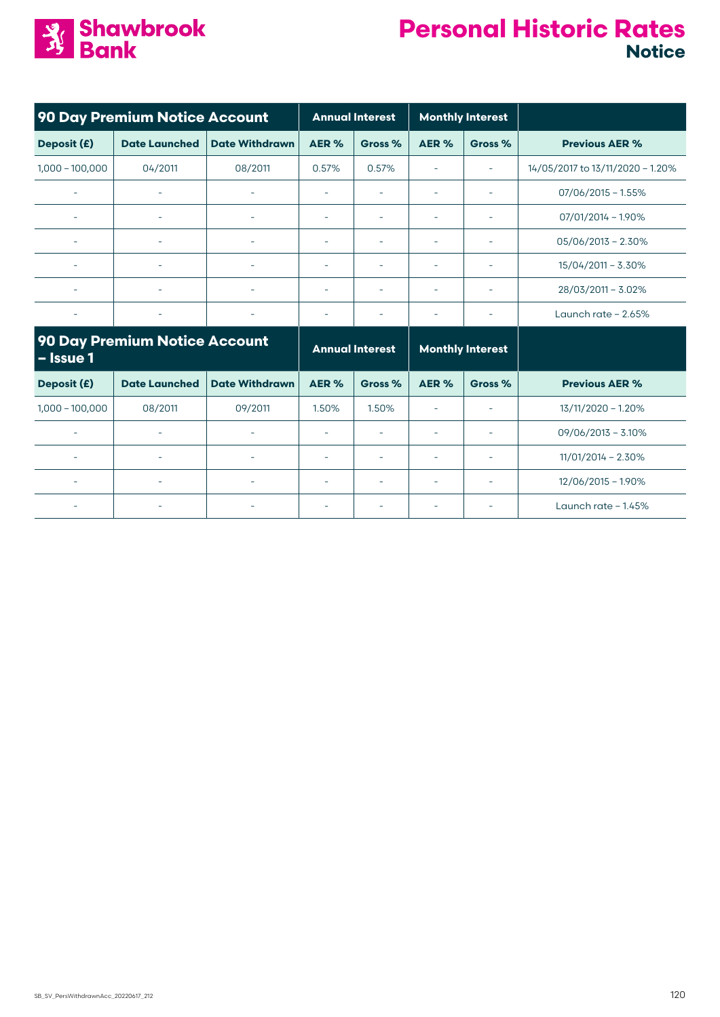

| 90 Day Premium Notice Account                     |                          |                        | <b>Annual Interest</b>   |                         | <b>Monthly Interest</b>  |                          |                                  |
|---------------------------------------------------|--------------------------|------------------------|--------------------------|-------------------------|--------------------------|--------------------------|----------------------------------|
| Deposit (£)                                       | <b>Date Launched</b>     | <b>Date Withdrawn</b>  | AER %                    | Gross %                 | AER %                    | Gross %                  | <b>Previous AER %</b>            |
| $1,000 - 100,000$                                 | 04/2011                  | 08/2011                | 0.57%                    | 0.57%                   | ۰                        | $\overline{\phantom{a}}$ | 14/05/2017 to 13/11/2020 - 1.20% |
|                                                   | ÷                        |                        | ÷,                       |                         |                          | ÷                        | $07/06/2015 - 1.55%$             |
|                                                   |                          |                        | ۰                        |                         |                          |                          | $07/01/2014 - 1.90\%$            |
|                                                   | ۰                        |                        | ۰                        |                         |                          |                          | $05/06/2013 - 2.30\%$            |
| $\overline{\phantom{a}}$                          | $\overline{\phantom{a}}$ | ٠                      | $\overline{\phantom{a}}$ |                         | ٠                        | $\overline{\phantom{a}}$ | 15/04/2011 - 3.30%               |
|                                                   | $\overline{\phantom{a}}$ | ÷                      | $\sim$                   |                         |                          | $\overline{\phantom{a}}$ | 28/03/2011 - 3.02%               |
| $\overline{\phantom{a}}$                          | $\overline{\phantom{0}}$ | ٠                      | ۰                        |                         |                          |                          | Launch rate $-2.65%$             |
| <b>90 Day Premium Notice Account</b><br>- Issue 1 |                          | <b>Annual Interest</b> |                          | <b>Monthly Interest</b> |                          |                          |                                  |
| Deposit (£)                                       | <b>Date Launched</b>     | <b>Date Withdrawn</b>  | AER %                    | Gross %                 | AER %                    | Gross %                  | <b>Previous AER %</b>            |
| $1,000 - 100,000$                                 | 08/2011                  | 09/2011                | 1.50%                    | 1.50%                   | $\overline{\phantom{a}}$ | $\overline{\phantom{a}}$ | 13/11/2020 - 1.20%               |
| $\overline{\phantom{a}}$                          | $\overline{\phantom{a}}$ | ٠                      | $\overline{\phantom{a}}$ |                         |                          | $\overline{\phantom{a}}$ | $09/06/2013 - 3.10\%$            |

- | - | - | - | - | - | - | - | 11/01/2014 – 2.30%

- - - - - - - 12/06/2015 – 1.90%

- - - - - - - Launch rate – 1.45%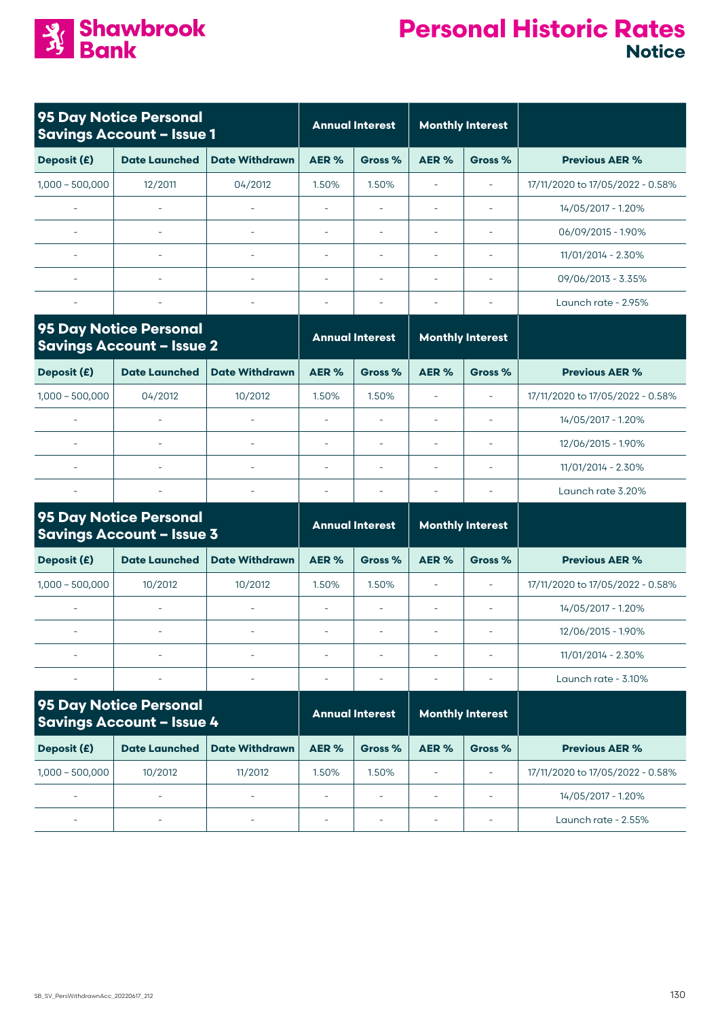

|                          | 95 Day Notice Personal<br><b>Savings Account - Issue 1</b> |                       |                          | <b>Annual Interest</b>   | <b>Monthly Interest</b> |                          |                                  |  |
|--------------------------|------------------------------------------------------------|-----------------------|--------------------------|--------------------------|-------------------------|--------------------------|----------------------------------|--|
| Deposit (£)              | <b>Date Launched</b>                                       | <b>Date Withdrawn</b> | AER%                     | Gross %                  | AER %                   | Gross %                  | <b>Previous AER %</b>            |  |
| $1,000 - 500,000$        | 12/2011                                                    | 04/2012               | 1.50%                    | 1.50%                    |                         | $\overline{\phantom{0}}$ | 17/11/2020 to 17/05/2022 - 0.58% |  |
| $\overline{\phantom{a}}$ | ۰                                                          | ۰                     | $\overline{\phantom{a}}$ |                          |                         | $\overline{\phantom{a}}$ | 14/05/2017 - 1.20%               |  |
| $\overline{\phantom{a}}$ | ۰                                                          | ۰                     | ۰                        |                          |                         | $\overline{\phantom{0}}$ | 06/09/2015 - 1.90%               |  |
| ٠                        | ٠                                                          | ۰                     | $\overline{\phantom{a}}$ |                          |                         | $\overline{\phantom{a}}$ | 11/01/2014 - 2.30%               |  |
| $\overline{\phantom{a}}$ | ۰                                                          | ۰                     | ÷                        |                          |                         | $\overline{\phantom{0}}$ | $09/06/2013 - 3.35%$             |  |
| $\overline{\phantom{a}}$ | ٠                                                          | ٠                     | ۰                        | $\overline{\phantom{0}}$ |                         | ٠                        | Launch rate - 2.95%              |  |
|                          | <b>95 Day Notice Personal</b>                              |                       |                          | <b>Annual Interest</b>   |                         | <b>Monthly Interest</b>  |                                  |  |

|                          | <b>Savings Account - Issue 2</b> |                       |                          | <b>Annual Interest</b> | <b>Monthly Interest</b> |                          |                                  |
|--------------------------|----------------------------------|-----------------------|--------------------------|------------------------|-------------------------|--------------------------|----------------------------------|
| Deposit (£)              | <b>Date Launched</b>             | <b>Date Withdrawn</b> | AER %                    | Gross %                | AER %                   | Gross %                  | <b>Previous AER %</b>            |
| $1,000 - 500,000$        | 04/2012                          | 10/2012               | 1.50%                    | $.50\%$                |                         | $\overline{\phantom{a}}$ | 17/11/2020 to 17/05/2022 - 0.58% |
| $\overline{\phantom{a}}$ | ۰                                |                       | ۰                        |                        |                         |                          | 14/05/2017 - 1.20%               |
| $\overline{\phantom{a}}$ | ۰                                |                       | $\overline{\phantom{0}}$ |                        |                         | $\overline{\phantom{0}}$ | 12/06/2015 - 1.90%               |
| $\overline{\phantom{a}}$ | ۰                                |                       | $\overline{\phantom{0}}$ |                        |                         |                          | 11/01/2014 - 2.30%               |
|                          |                                  |                       |                          |                        |                         |                          | Launch rate 3.20%                |

|                   | 95 Day Notice Personal<br><b>Savings Account - Issue 3</b> |                       |                          | <b>Annual Interest</b> | <b>Monthly Interest</b> |         |                                  |
|-------------------|------------------------------------------------------------|-----------------------|--------------------------|------------------------|-------------------------|---------|----------------------------------|
| Deposit (£)       | <b>Date Launched</b>                                       | <b>Date Withdrawn</b> | AER %                    | Gross %                | AER %                   | Gross % | <b>Previous AER %</b>            |
| $1,000 - 500,000$ | 10/2012                                                    | 10/2012               | 1.50%                    | 1.50%                  |                         |         | 17/11/2020 to 17/05/2022 - 0.58% |
|                   |                                                            |                       | ۰                        |                        |                         |         | 14/05/2017 - 1.20%               |
|                   |                                                            |                       | ۰                        |                        |                         |         | 12/06/2015 - 1.90%               |
|                   |                                                            |                       | $\overline{\phantom{0}}$ |                        |                         |         | 11/01/2014 - 2.30%               |
|                   |                                                            |                       |                          |                        |                         |         | Launch rate - 3.10%              |

|                          | 95 Day Notice Personal<br><b>Savings Account - Issue 4</b> |                       |                          | <b>Annual Interest</b> |       | <b>Monthly Interest</b> |                                  |
|--------------------------|------------------------------------------------------------|-----------------------|--------------------------|------------------------|-------|-------------------------|----------------------------------|
| Deposit (£)              | <b>Date Launched</b>                                       | <b>Date Withdrawn</b> | AER %                    | Gross %                | AER % | Gross %                 | <b>Previous AER %</b>            |
| $1,000 - 500,000$        | 10/2012                                                    | 11/2012               | 1.50%                    | 1.50%                  |       |                         | 17/11/2020 to 17/05/2022 - 0.58% |
| $\sim$                   | ۰                                                          |                       | -                        |                        |       |                         | 14/05/2017 - 1.20%               |
| $\overline{\phantom{a}}$ | ۰                                                          | -                     | $\overline{\phantom{0}}$ | -                      |       |                         | Launch rate - 2.55%              |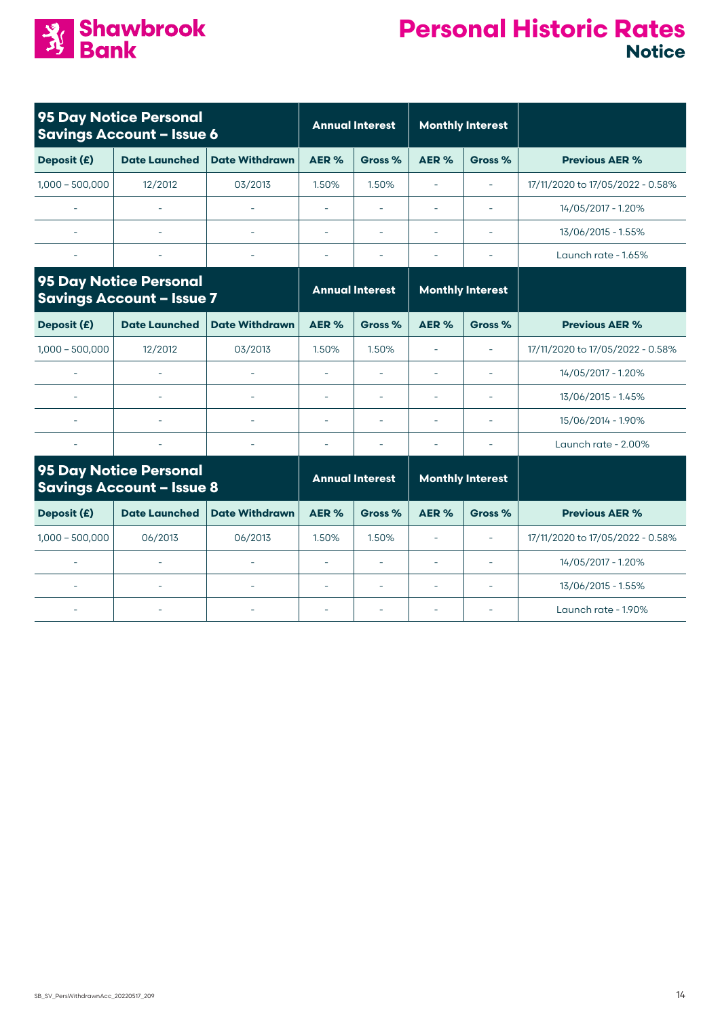

|                     | 95 Day Notice Personal<br><b>Savings Account - Issue 6</b>        |                          |                          | <b>Annual Interest</b>   | <b>Monthly Interest</b> |                          |                                  |
|---------------------|-------------------------------------------------------------------|--------------------------|--------------------------|--------------------------|-------------------------|--------------------------|----------------------------------|
| Deposit (£)         | <b>Date Launched</b>                                              | <b>Date Withdrawn</b>    | AER%                     | Gross %                  | AER%                    | Gross %                  | <b>Previous AER %</b>            |
| $1,000 - 500,000$   | 12/2012                                                           | 03/2013                  | 1.50%                    | 1.50%                    |                         |                          | 17/11/2020 to 17/05/2022 - 0.58% |
| ÷.                  |                                                                   | L.                       | L,                       | $\sim$                   | ÷                       | ٠                        | 14/05/2017 - 1.20%               |
|                     |                                                                   |                          | ÷,                       |                          |                         |                          | 13/06/2015 - 1.55%               |
|                     |                                                                   |                          |                          |                          |                         |                          | Launch rate - 1.65%              |
|                     | 95 Day Notice Personal<br><b>Savings Account - Issue 7</b>        |                          |                          | <b>Annual Interest</b>   |                         | <b>Monthly Interest</b>  |                                  |
| Deposit (£)         | <b>Date Launched</b>                                              | <b>Date Withdrawn</b>    | AER %                    | Gross %                  | AER %                   | Gross %                  | <b>Previous AER %</b>            |
| $1,000 - 500,000$   | 12/2012                                                           | 03/2013                  | 1.50%                    | 1.50%                    | L,                      | ÷,                       | 17/11/2020 to 17/05/2022 - 0.58% |
| ÷.                  |                                                                   |                          | ä,                       | $\equiv$                 | ÷                       | $\overline{\phantom{a}}$ | 14/05/2017 - 1.20%               |
|                     | $\equiv$                                                          | $\overline{\phantom{a}}$ | $\overline{\phantom{a}}$ | $\overline{\phantom{a}}$ | L,                      | ÷,                       | 13/06/2015 - 1.45%               |
|                     |                                                                   |                          | L,                       | ÷,                       |                         |                          | 15/06/2014 - 1.90%               |
|                     |                                                                   |                          | L,                       | $\overline{\phantom{a}}$ | ÷                       | ٠                        | Launch rate - 2.00%              |
|                     | <b>95 Day Notice Personal</b><br><b>Savings Account - Issue 8</b> |                          |                          | <b>Annual Interest</b>   |                         | <b>Monthly Interest</b>  |                                  |
| Deposit (£)         | <b>Date Launched</b>                                              | <b>Date Withdrawn</b>    | AER%                     | Gross %                  | AER %                   | Gross %                  | <b>Previous AER %</b>            |
| $1,000 - 500,000$   | 06/2013                                                           | 06/2013                  | 1.50%                    | 1.50%                    | $\sim$                  | ÷.                       | 17/11/2020 to 17/05/2022 - 0.58% |
| L.                  | ÷,                                                                | $\equiv$                 | L,                       |                          | L,                      |                          | 14/05/2017 - 1.20%               |
| $\bar{\phantom{a}}$ |                                                                   | ÷,                       | $\sim$                   | $\bar{a}$                | L,                      | $\overline{\phantom{a}}$ | 13/06/2015 - 1.55%               |
|                     |                                                                   |                          |                          | ٠                        |                         |                          | Launch rate - 1.90%              |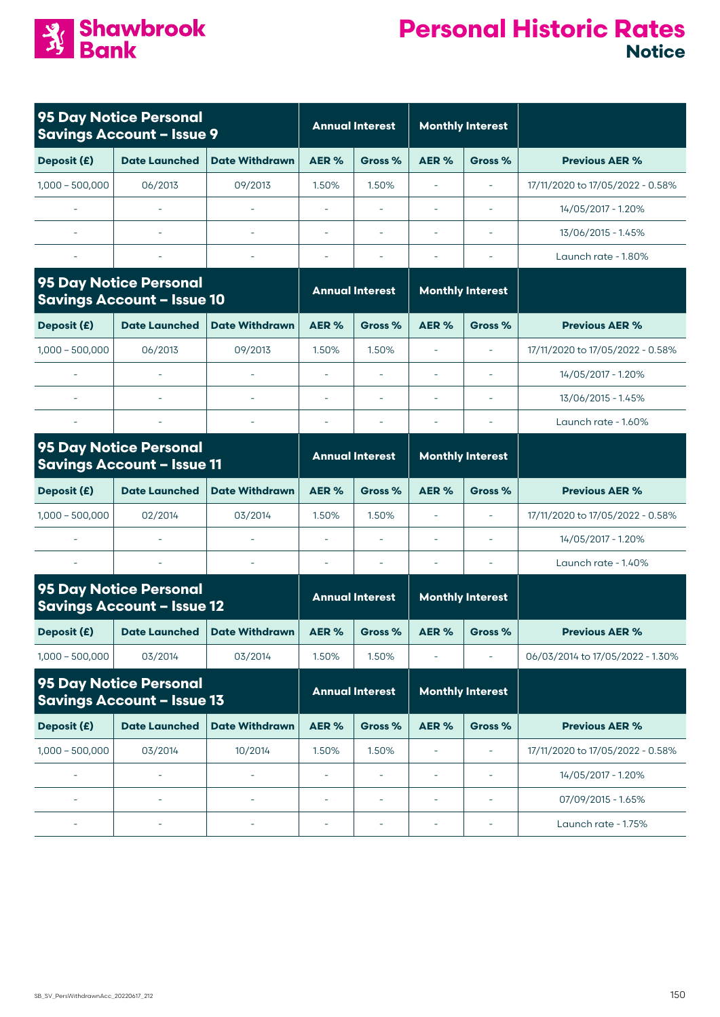

|                          | 95 Day Notice Personal<br><b>Savings Account - Issue 9</b>         |                          |                          | <b>Annual Interest</b>   |                          | <b>Monthly Interest</b>  |                                  |
|--------------------------|--------------------------------------------------------------------|--------------------------|--------------------------|--------------------------|--------------------------|--------------------------|----------------------------------|
| Deposit (£)              | <b>Date Launched</b>                                               | <b>Date Withdrawn</b>    | AER %                    | Gross %                  | AER <sub>%</sub>         | Gross %                  | <b>Previous AER %</b>            |
| $1,000 - 500,000$        | 06/2013                                                            | 09/2013                  | 1.50%                    | 1.50%                    | $\overline{\phantom{a}}$ | $\overline{\phantom{a}}$ | 17/11/2020 to 17/05/2022 - 0.58% |
|                          |                                                                    |                          | L,                       |                          |                          |                          | 14/05/2017 - 1.20%               |
|                          |                                                                    |                          | ä,                       |                          |                          |                          | 13/06/2015 - 1.45%               |
|                          |                                                                    | $\sim$                   | ÷,                       | ٠                        | $\overline{\phantom{a}}$ | $\overline{\phantom{a}}$ | Launch rate - 1.80%              |
|                          | <b>95 Day Notice Personal</b><br><b>Savings Account - Issue 10</b> |                          |                          | <b>Annual Interest</b>   |                          | <b>Monthly Interest</b>  |                                  |
| Deposit (£)              | <b>Date Launched</b>                                               | <b>Date Withdrawn</b>    | AER %                    | Gross %                  | AER %                    | Gross %                  | <b>Previous AER %</b>            |
| $1,000 - 500,000$        | 06/2013                                                            | 09/2013                  | 1.50%                    | 1.50%                    |                          | $\overline{\phantom{a}}$ | 17/11/2020 to 17/05/2022 - 0.58% |
|                          |                                                                    |                          |                          |                          |                          |                          | 14/05/2017 - 1.20%               |
|                          |                                                                    |                          | $\overline{\phantom{a}}$ | $\overline{\phantom{a}}$ | $\overline{\phantom{a}}$ | $\overline{\phantom{a}}$ | 13/06/2015 - 1.45%               |
|                          |                                                                    | $\overline{\phantom{a}}$ | $\overline{\phantom{a}}$ |                          |                          |                          | Launch rate - 1.60%              |
|                          | <b>95 Day Notice Personal</b><br><b>Savings Account - Issue 11</b> |                          |                          | <b>Annual Interest</b>   |                          | <b>Monthly Interest</b>  |                                  |
| Deposit (£)              | <b>Date Launched</b>                                               | <b>Date Withdrawn</b>    | AER %                    | Gross %                  | AER %                    | Gross %                  | <b>Previous AER %</b>            |
| $1,000 - 500,000$        | 02/2014                                                            | 03/2014                  | 1.50%                    | 1.50%                    | $\overline{\phantom{a}}$ | $\overline{\phantom{a}}$ | 17/11/2020 to 17/05/2022 - 0.58% |
|                          |                                                                    |                          | $\overline{\phantom{a}}$ | $\overline{\phantom{a}}$ | $\overline{\phantom{a}}$ | $\overline{\phantom{a}}$ | 14/05/2017 - 1.20%               |
|                          |                                                                    |                          | $\overline{\phantom{a}}$ |                          |                          |                          | Launch rate - 1.40%              |
|                          | 95 Day Notice Personal<br><b>Savings Account - Issue 12</b>        |                          |                          | <b>Annual Interest</b>   |                          | <b>Monthly Interest</b>  |                                  |
| Deposit (£)              | <b>Date Launched</b>                                               | <b>Date Withdrawn</b>    | AER %                    | Gross %                  | AER%                     | Gross %                  | <b>Previous AER %</b>            |
| $1,000 - 500,000$        | 03/2014                                                            | 03/2014                  | 1.50%                    | 1.50%                    |                          | $\overline{\phantom{a}}$ | 06/03/2014 to 17/05/2022 - 1.30% |
|                          | <b>95 Day Notice Personal</b><br><b>Savings Account - Issue 13</b> |                          |                          | <b>Annual Interest</b>   |                          | <b>Monthly Interest</b>  |                                  |
| Deposit (£)              | <b>Date Launched</b>                                               | <b>Date Withdrawn</b>    | AER%                     | Gross %                  | AER%                     | Gross %                  | <b>Previous AER %</b>            |
| $1,000 - 500,000$        | 03/2014                                                            | 10/2014                  | 1.50%                    | 1.50%                    | L,                       | $\overline{\phantom{a}}$ | 17/11/2020 to 17/05/2022 - 0.58% |
|                          | $\overline{a}$                                                     |                          |                          |                          | $\overline{\phantom{a}}$ | $\overline{\phantom{a}}$ | 14/05/2017 - 1.20%               |
| $\overline{\phantom{a}}$ | L,                                                                 | $\overline{\phantom{a}}$ | $\overline{a}$           | $\overline{\phantom{0}}$ | $\overline{\phantom{a}}$ | $\overline{\phantom{a}}$ | 07/09/2015 - 1.65%               |
|                          |                                                                    |                          |                          |                          |                          |                          | Launch rate - 1.75%              |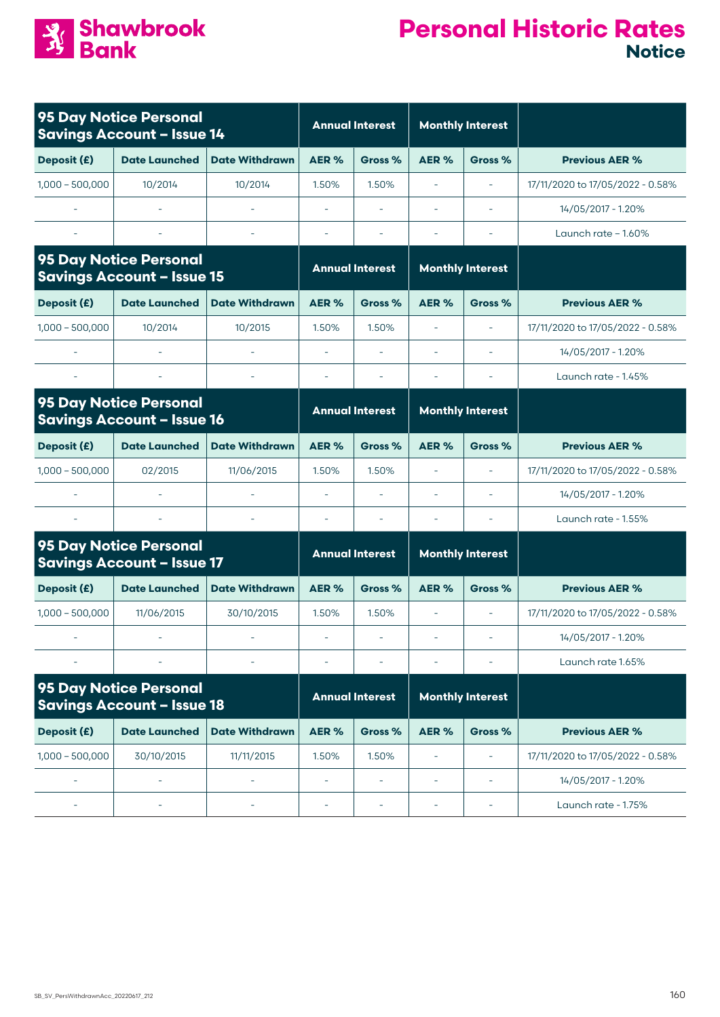

|                     | <b>95 Day Notice Personal</b><br><b>Savings Account - Issue 14</b> |                          |                          | <b>Annual Interest</b>   |                          | <b>Monthly Interest</b>  |                                  |
|---------------------|--------------------------------------------------------------------|--------------------------|--------------------------|--------------------------|--------------------------|--------------------------|----------------------------------|
| Deposit (£)         | <b>Date Launched</b>                                               | <b>Date Withdrawn</b>    | AER%                     | Gross %                  | AER%                     | Gross %                  | <b>Previous AER %</b>            |
| $1.000 - 500.000$   | 10/2014                                                            | 10/2014                  | 1.50%                    | 1.50%                    | $\sim$                   | $\overline{\phantom{a}}$ | 17/11/2020 to 17/05/2022 - 0.58% |
|                     |                                                                    |                          |                          |                          |                          |                          | 14/05/2017 - 1.20%               |
|                     |                                                                    |                          |                          |                          |                          |                          | Launch rate $-1.60\%$            |
|                     | <b>95 Day Notice Personal</b><br><b>Savings Account - Issue 15</b> |                          |                          | <b>Annual Interest</b>   |                          | <b>Monthly Interest</b>  |                                  |
| Deposit (£)         | <b>Date Launched</b>                                               | <b>Date Withdrawn</b>    | AER%                     | Gross %                  | AER%                     | Gross %                  | <b>Previous AER %</b>            |
| $1,000 - 500,000$   | 10/2014                                                            | 10/2015                  | 1.50%                    | 1.50%                    | L,                       | ÷,                       | 17/11/2020 to 17/05/2022 - 0.58% |
|                     |                                                                    |                          |                          |                          |                          |                          | 14/05/2017 - 1.20%               |
|                     |                                                                    |                          | i.                       |                          |                          |                          | Launch rate - 1.45%              |
|                     | 95 Day Notice Personal<br><b>Savings Account - Issue 16</b>        |                          |                          | <b>Annual Interest</b>   |                          | <b>Monthly Interest</b>  |                                  |
| Deposit (£)         | <b>Date Launched</b>                                               | <b>Date Withdrawn</b>    | AER %                    | Gross %                  | AER%                     | Gross %                  | <b>Previous AER %</b>            |
| $1,000 - 500,000$   | 02/2015                                                            | 11/06/2015               | 1.50%                    | 1.50%                    | L,                       | ÷,                       | 17/11/2020 to 17/05/2022 - 0.58% |
|                     |                                                                    |                          | L,                       |                          |                          |                          | 14/05/2017 - 1.20%               |
|                     |                                                                    | $\overline{\phantom{a}}$ | $\overline{\phantom{a}}$ | $\overline{\phantom{a}}$ | ä,                       | $\bar{\phantom{a}}$      | Launch rate - 1.55%              |
|                     | <b>95 Day Notice Personal</b><br><b>Savings Account - Issue 17</b> |                          |                          | <b>Annual Interest</b>   |                          | <b>Monthly Interest</b>  |                                  |
| Deposit (£)         | <b>Date Launched</b>                                               | <b>Date Withdrawn</b>    | AER %                    | Gross %                  | AER %                    | Gross %                  | <b>Previous AER %</b>            |
| $1,000 - 500,000$   | 11/06/2015                                                         | 30/10/2015               | 1.50%                    | 1.50%                    | $\overline{\phantom{a}}$ | $\bar{\phantom{a}}$      | 17/11/2020 to 17/05/2022 - 0.58% |
|                     |                                                                    |                          | $\overline{\phantom{a}}$ | $\sim$                   |                          |                          | 14/05/2017 - 1.20%               |
|                     |                                                                    |                          |                          |                          |                          |                          | Launch rate 1.65%                |
|                     | 95 Day Notice Personal<br><b>Savings Account - Issue 18</b>        |                          |                          | <b>Annual Interest</b>   |                          | <b>Monthly Interest</b>  |                                  |
| Deposit (£)         | <b>Date Launched</b>                                               | <b>Date Withdrawn</b>    | AER%                     | Gross %                  | AER%                     | Gross %                  | <b>Previous AER %</b>            |
| $1,000 - 500,000$   | 30/10/2015                                                         | 11/11/2015               | 1.50%                    | 1.50%                    | ä,                       |                          | 17/11/2020 to 17/05/2022 - 0.58% |
| $\bar{\phantom{a}}$ | L,                                                                 | L.                       | L,                       | ÷,                       | ÷                        | $\overline{\phantom{a}}$ | 14/05/2017 - 1.20%               |
|                     |                                                                    |                          | ä,                       | $\overline{\phantom{a}}$ |                          |                          | Launch rate - 1.75%              |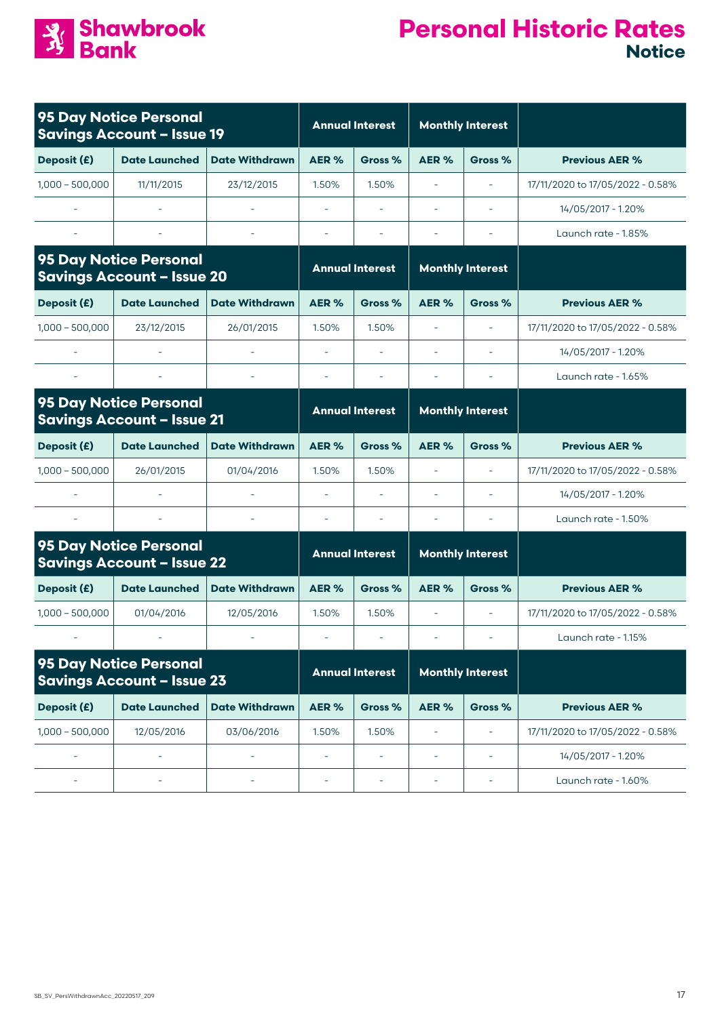

|                   | 95 Day Notice Personal<br><b>Savings Account - Issue 19</b>        |                          |                          | <b>Annual Interest</b>   |                          | <b>Monthly Interest</b>  |                                  |
|-------------------|--------------------------------------------------------------------|--------------------------|--------------------------|--------------------------|--------------------------|--------------------------|----------------------------------|
| Deposit (£)       | <b>Date Launched</b>                                               | <b>Date Withdrawn</b>    | AER %                    | Gross %                  | AER <sub>%</sub>         | Gross %                  | <b>Previous AER %</b>            |
| $1,000 - 500,000$ | 11/11/2015                                                         | 23/12/2015               | 1.50%                    | 1.50%                    |                          |                          | 17/11/2020 to 17/05/2022 - 0.58% |
|                   |                                                                    |                          | L,                       | ÷.                       |                          | ÷.                       | 14/05/2017 - 1.20%               |
|                   |                                                                    |                          |                          |                          |                          |                          | Launch rate - 1.85%              |
|                   | 95 Day Notice Personal<br><b>Savings Account - Issue 20</b>        |                          |                          | <b>Annual Interest</b>   |                          | <b>Monthly Interest</b>  |                                  |
| Deposit (£)       | <b>Date Launched</b>                                               | <b>Date Withdrawn</b>    | AER%                     | Gross %                  | AER%                     | Gross %                  | <b>Previous AER %</b>            |
| $1,000 - 500,000$ | 23/12/2015                                                         | 26/01/2015               | 1.50%                    | 1.50%                    | $\overline{\phantom{0}}$ | $\overline{\phantom{a}}$ | 17/11/2020 to 17/05/2022 - 0.58% |
|                   |                                                                    |                          | $\bar{\phantom{a}}$      | ÷,                       |                          |                          | 14/05/2017 - 1.20%               |
|                   |                                                                    |                          |                          |                          |                          |                          | Launch rate - 1.65%              |
|                   | 95 Day Notice Personal<br><b>Savings Account - Issue 21</b>        |                          |                          | <b>Annual Interest</b>   |                          | <b>Monthly Interest</b>  |                                  |
| Deposit (£)       | <b>Date Launched</b>                                               | <b>Date Withdrawn</b>    | AER%                     | Gross %                  | AER%                     | Gross %                  | <b>Previous AER %</b>            |
| $1,000 - 500,000$ | 26/01/2015                                                         | 01/04/2016               | 1.50%                    | 1.50%                    | ä,                       | $\bar{\phantom{a}}$      | 17/11/2020 to 17/05/2022 - 0.58% |
|                   |                                                                    |                          |                          |                          |                          |                          | 14/05/2017 - 1.20%               |
|                   |                                                                    | $\overline{\phantom{a}}$ | $\overline{\phantom{a}}$ | $\sim$                   | ÷                        | $\overline{\phantom{a}}$ | Launch rate - 1.50%              |
|                   | <b>95 Day Notice Personal</b><br><b>Savings Account - Issue 22</b> |                          |                          | <b>Annual Interest</b>   |                          | <b>Monthly Interest</b>  |                                  |
| Deposit (£)       | <b>Date Launched</b>                                               | <b>Date Withdrawn</b>    | AER%                     | Gross %                  | AER%                     | Gross %                  | <b>Previous AER %</b>            |
| $1,000 - 500,000$ | 01/04/2016                                                         | 12/05/2016               | 1.50%                    | 1.50%                    | $\overline{\phantom{a}}$ | $\overline{\phantom{a}}$ | 17/11/2020 to 17/05/2022 - 0.58% |
|                   |                                                                    |                          |                          |                          |                          |                          | Launch rate - 1.15%              |
|                   | <b>95 Day Notice Personal</b><br><b>Savings Account - Issue 23</b> |                          |                          | <b>Annual Interest</b>   |                          | <b>Monthly Interest</b>  |                                  |
| Deposit (£)       | <b>Date Launched</b>                                               | <b>Date Withdrawn</b>    | AER%                     | Gross %                  | AER%                     | Gross %                  | <b>Previous AER %</b>            |
| $1,000 - 500,000$ | 12/05/2016                                                         | 03/06/2016               | 1.50%                    | 1.50%                    |                          |                          | 17/11/2020 to 17/05/2022 - 0.58% |
| ÷,                |                                                                    |                          | $\overline{\phantom{0}}$ | $\overline{\phantom{a}}$ | ÷                        |                          | 14/05/2017 - 1.20%               |
|                   |                                                                    |                          | $\overline{\phantom{0}}$ | ÷                        |                          |                          | Launch rate - 1.60%              |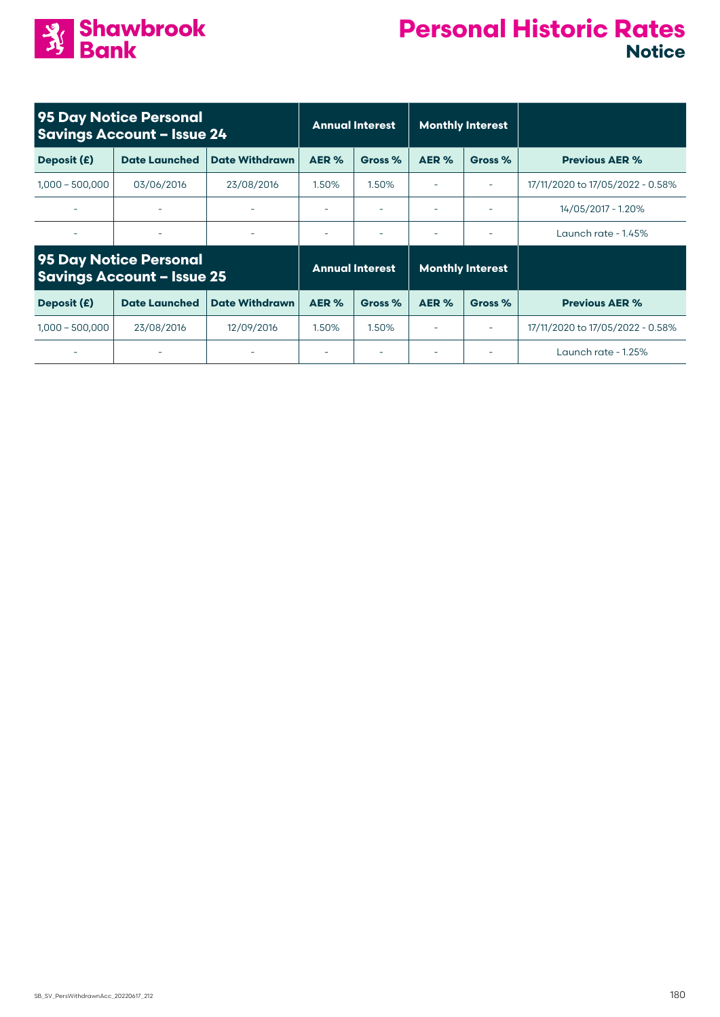

|                          | 95 Day Notice Personal<br><b>Savings Account - Issue 24</b> |                       |                          | <b>Annual Interest</b> | <b>Monthly Interest</b> |                          |                                  |
|--------------------------|-------------------------------------------------------------|-----------------------|--------------------------|------------------------|-------------------------|--------------------------|----------------------------------|
| Deposit (£)              | <b>Date Launched</b>                                        | <b>Date Withdrawn</b> | AER %                    | Gross %                | AER %<br>Gross %        |                          | <b>Previous AER %</b>            |
| $1,000 - 500,000$        | 03/06/2016                                                  | 23/08/2016            | 1.50%                    | 1.50%                  |                         | $\overline{\phantom{a}}$ | 17/11/2020 to 17/05/2022 - 0.58% |
| $\overline{\phantom{a}}$ |                                                             |                       | $\overline{\phantom{a}}$ |                        |                         |                          | 14/05/2017 - 1.20%               |
| ۰                        | ۰                                                           |                       | $\overline{\phantom{a}}$ |                        |                         |                          | Launch rate - 1.45%              |
|                          | 95 Day Notice Personal<br><b>Savings Account - Issue 25</b> |                       |                          | <b>Annual Interest</b> |                         | <b>Monthly Interest</b>  |                                  |
| Deposit (£)              | <b>Date Launched</b>                                        | <b>Date Withdrawn</b> | AER %                    | Gross %                | AER %                   | Gross %                  | <b>Previous AER %</b>            |
| $1,000 - 500,000$        | 23/08/2016                                                  | 12/09/2016            | 1.50%                    | 1.50%                  |                         | $\overline{\phantom{a}}$ | 17/11/2020 to 17/05/2022 - 0.58% |
|                          |                                                             |                       | $\overline{\phantom{a}}$ |                        |                         |                          | Launch rate - 1.25%              |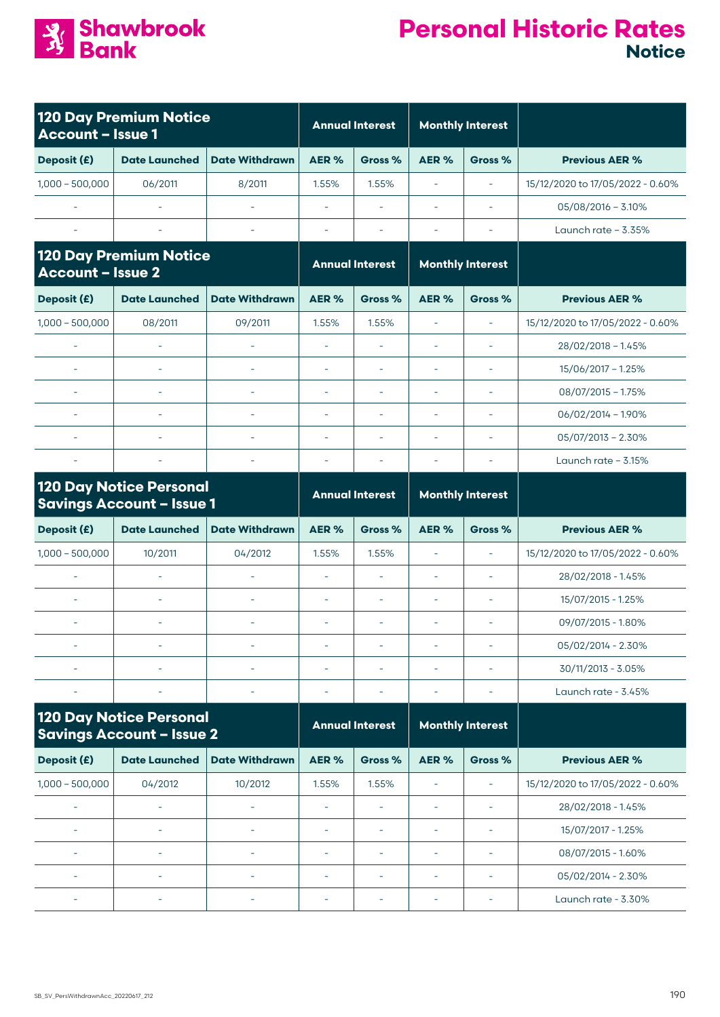

| Account - Issue 1        | <b>120 Day Premium Notice</b>                                      |                          |                          | <b>Annual Interest</b>   | <b>Monthly Interest</b>  |                          |                                  |
|--------------------------|--------------------------------------------------------------------|--------------------------|--------------------------|--------------------------|--------------------------|--------------------------|----------------------------------|
| Deposit (£)              | <b>Date Launched</b>                                               | <b>Date Withdrawn</b>    | AER%                     | Gross %                  | AER%                     | Gross %                  | <b>Previous AER %</b>            |
| $1,000 - 500,000$        | 06/2011                                                            | 8/2011                   | 1.55%                    | 1.55%                    | $\bar{\phantom{a}}$      | $\bar{\phantom{a}}$      | 15/12/2020 to 17/05/2022 - 0.60% |
|                          |                                                                    |                          |                          |                          | $\sim$                   |                          | $05/08/2016 - 3.10%$             |
|                          |                                                                    |                          | $\sim$                   |                          |                          |                          | Launch rate - 3.35%              |
| <b>Account - Issue 2</b> | <b>120 Day Premium Notice</b>                                      |                          |                          | <b>Annual Interest</b>   |                          | <b>Monthly Interest</b>  |                                  |
| Deposit (£)              | <b>Date Launched</b>                                               | <b>Date Withdrawn</b>    | AER%                     | Gross %                  | AER%                     | Gross %                  | <b>Previous AER %</b>            |
| $1,000 - 500,000$        | 08/2011                                                            | 09/2011                  | 1.55%                    | 1.55%                    | $\bar{\phantom{a}}$      |                          | 15/12/2020 to 17/05/2022 - 0.60% |
|                          |                                                                    |                          | $\overline{\phantom{a}}$ | ÷,                       | $\sim$                   |                          | $28/02/2018 - 1.45%$             |
|                          | ÷                                                                  | $\overline{\phantom{a}}$ | $\sim$                   |                          | $\sim$                   | $\overline{\phantom{a}}$ | 15/06/2017 - 1.25%               |
|                          | $\overline{\phantom{a}}$                                           | $\sim$                   | $\sim$                   | $\bar{\phantom{a}}$      | $\sim$                   | $\overline{\phantom{a}}$ | $08/07/2015 - 1.75%$             |
|                          | $\sim$                                                             |                          | $\overline{\phantom{a}}$ | $\sim$                   | $\sim$                   | i.                       | $06/02/2014 - 1.90\%$            |
| ÷.                       | $\sim$                                                             | ä,                       | i.                       | ä,                       | $\sim$                   | $\sim$                   | $05/07/2013 - 2.30\%$            |
|                          |                                                                    |                          |                          |                          | $\sim$                   |                          | Launch rate $-3.15%$             |
|                          | <b>120 Day Notice Personal</b><br><b>Savings Account - Issue 1</b> |                          |                          | <b>Annual Interest</b>   |                          | <b>Monthly Interest</b>  |                                  |
| Deposit (£)              | <b>Date Launched</b>                                               | <b>Date Withdrawn</b>    | AER%                     | Gross %                  | AER%                     | Gross %                  | <b>Previous AER %</b>            |
| $1,000 - 500,000$        | 10/2011                                                            | 04/2012                  | 1.55%                    | 1.55%                    | $\bar{\phantom{a}}$      | $\bar{\phantom{a}}$      | 15/12/2020 to 17/05/2022 - 0.60% |
|                          |                                                                    |                          |                          |                          | $\sim$                   | $\sim$                   | 28/02/2018 - 1.45%               |
|                          | L.                                                                 | $\sim$                   | $\sim$                   |                          | $\sim$                   | $\sim$                   | 15/07/2015 - 1.25%               |
| $\sim$                   | $\overline{\phantom{a}}$                                           | $\sim$                   | $\overline{\phantom{a}}$ | $\overline{\phantom{a}}$ | $\overline{\phantom{a}}$ | $\bar{a}$                | 09/07/2015 - 1.80%               |
|                          |                                                                    |                          |                          |                          |                          |                          | 05/02/2014 - 2.30%               |
|                          | $\sim$                                                             |                          | $\overline{\phantom{a}}$ |                          |                          |                          | 30/11/2013 - 3.05%               |
|                          |                                                                    |                          |                          |                          |                          |                          | Launch rate - 3.45%              |
|                          | <b>120 Day Notice Personal</b><br><b>Savings Account - Issue 2</b> |                          |                          | <b>Annual Interest</b>   |                          | <b>Monthly Interest</b>  |                                  |
| Deposit (£)              | <b>Date Launched</b>                                               | <b>Date Withdrawn</b>    | AER%                     | Gross %                  | AER%                     | Gross %                  | <b>Previous AER %</b>            |
| $1,000 - 500,000$        | 04/2012                                                            | 10/2012                  | 1.55%                    | 1.55%                    | $\overline{\phantom{a}}$ | $\equiv$                 | 15/12/2020 to 17/05/2022 - 0.60% |
|                          |                                                                    |                          | i.                       | $\sim$                   | $\overline{\phantom{a}}$ |                          | 28/02/2018 - 1.45%               |
|                          |                                                                    |                          |                          |                          | $\overline{\phantom{a}}$ |                          | 15/07/2017 - 1.25%               |
|                          |                                                                    |                          |                          |                          | L.                       |                          | 08/07/2015 - 1.60%               |
|                          |                                                                    | ÷,                       | $\overline{\phantom{a}}$ | $\overline{\phantom{a}}$ | $\overline{\phantom{a}}$ |                          | 05/02/2014 - 2.30%               |
|                          | ÷                                                                  | ۰                        | ÷                        |                          | ÷                        |                          | Launch rate - 3.30%              |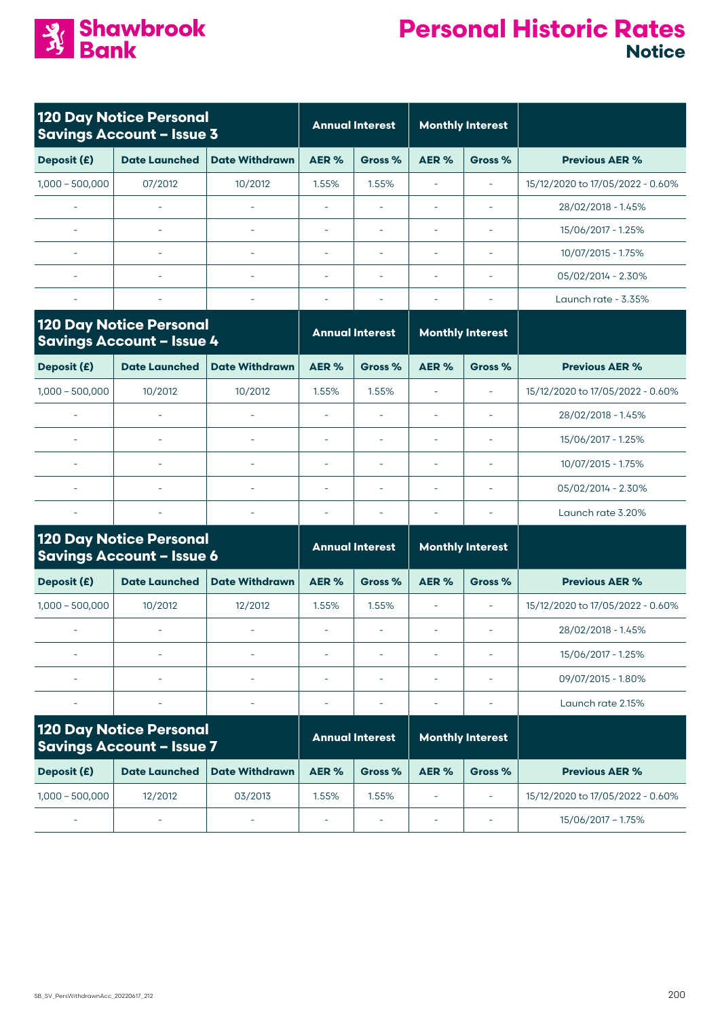

|                          | <b>120 Day Notice Personal</b><br><b>Savings Account - Issue 3</b> |                       |                          | <b>Annual Interest</b> | <b>Monthly Interest</b> |                          |                                  |
|--------------------------|--------------------------------------------------------------------|-----------------------|--------------------------|------------------------|-------------------------|--------------------------|----------------------------------|
| Deposit (£)              | <b>Date Launched</b>                                               | <b>Date Withdrawn</b> | AER %                    | Gross %                | AER %                   | Gross %                  | <b>Previous AER %</b>            |
| $1,000 - 500,000$        | 07/2012                                                            | 10/2012               | 1.55%                    | 1.55%                  |                         | $\overline{\phantom{a}}$ | 15/12/2020 to 17/05/2022 - 0.60% |
| $\overline{\phantom{0}}$ | $\overline{\phantom{a}}$                                           |                       | $\overline{\phantom{a}}$ |                        |                         | $\overline{\phantom{a}}$ | 28/02/2018 - 1.45%               |
| $\overline{\phantom{a}}$ | ۰                                                                  |                       | ۰                        |                        |                         | ٠                        | 15/06/2017 - 1.25%               |
| $\overline{\phantom{0}}$ | $\overline{\phantom{a}}$                                           | ٠                     | ٠                        |                        |                         | $\overline{\phantom{a}}$ | 10/07/2015 - 1.75%               |
| $\overline{\phantom{a}}$ | $\overline{\phantom{0}}$                                           |                       | $\overline{\phantom{a}}$ |                        |                         | $\overline{\phantom{0}}$ | 05/02/2014 - 2.30%               |
|                          | $\overline{\phantom{0}}$                                           |                       | $\overline{\phantom{0}}$ |                        |                         |                          | Launch rate - 3.35%              |

|                                  | <b>Monthly Interest</b>  |      | <b>Annual Interest</b> |                          |                       | <b>120 Day Notice Personal</b><br><b>Savings Account - Issue 4</b> |                   |
|----------------------------------|--------------------------|------|------------------------|--------------------------|-----------------------|--------------------------------------------------------------------|-------------------|
| <b>Previous AER %</b>            | Gross %                  | AER% | Gross %                | AER %                    | <b>Date Withdrawn</b> | <b>Date Launched</b>                                               | Deposit (£)       |
| 15/12/2020 to 17/05/2022 - 0.60% | $\overline{\phantom{a}}$ |      | 1.55%                  | 1.55%                    | 10/2012               | 10/2012                                                            | $1,000 - 500,000$ |
| 28/02/2018 - 1.45%               |                          |      |                        | $\overline{\phantom{a}}$ |                       |                                                                    |                   |
| 15/06/2017 - 1.25%               |                          |      |                        | $\overline{\phantom{0}}$ |                       |                                                                    |                   |
| 10/07/2015 - 1.75%               |                          |      |                        | $\overline{\phantom{0}}$ |                       |                                                                    |                   |
| 05/02/2014 - 2.30%               |                          |      |                        | $\overline{\phantom{0}}$ |                       |                                                                    |                   |
| Launch rate 3.20%                |                          |      |                        |                          |                       |                                                                    |                   |

| <b>120 Day Notice Personal</b><br><b>Savings Account - Issue 6</b> |                      | <b>Annual Interest</b> |                          | <b>Monthly Interest</b> |       |         |                                  |
|--------------------------------------------------------------------|----------------------|------------------------|--------------------------|-------------------------|-------|---------|----------------------------------|
| Deposit (£)                                                        | <b>Date Launched</b> | <b>Date Withdrawn</b>  | AER %                    | Gross %                 | AER % | Gross % | <b>Previous AER %</b>            |
| $1.000 - 500.000$                                                  | 10/2012              | 12/2012                | 1.55%                    | 1.55%                   |       |         | 15/12/2020 to 17/05/2022 - 0.60% |
|                                                                    |                      | ٠                      |                          |                         |       |         | 28/02/2018 - 1.45%               |
| ۰                                                                  | -                    | ٠                      | $\overline{\phantom{a}}$ |                         |       |         | 15/06/2017 - 1.25%               |
|                                                                    | ٠                    | ٠                      | $\overline{\phantom{a}}$ |                         |       |         | 09/07/2015 - 1.80%               |
|                                                                    |                      |                        |                          |                         |       |         | Launch rate 2.15%                |

| <b>120 Day Notice Personal</b><br><b>Savings Account - Issue 7</b> |                          | <b>Annual Interest</b>   |                          | <b>Monthly Interest</b> |       |                          |                                  |
|--------------------------------------------------------------------|--------------------------|--------------------------|--------------------------|-------------------------|-------|--------------------------|----------------------------------|
| Deposit (£)                                                        | <b>Date Launched</b>     | <b>Date Withdrawn</b>    | AER %                    | Gross %                 | AER % | Gross %                  | <b>Previous AER %</b>            |
| $1.000 - 500.000$                                                  | 12/2012                  | 03/2013                  | .55%                     | 1.55%                   |       | $\overline{\phantom{0}}$ | 15/12/2020 to 17/05/2022 - 0.60% |
| $\overline{\phantom{0}}$                                           | $\overline{\phantom{a}}$ | $\overline{\phantom{0}}$ | $\overline{\phantom{a}}$ |                         |       | $\overline{\phantom{0}}$ | 15/06/2017 - 1.75%               |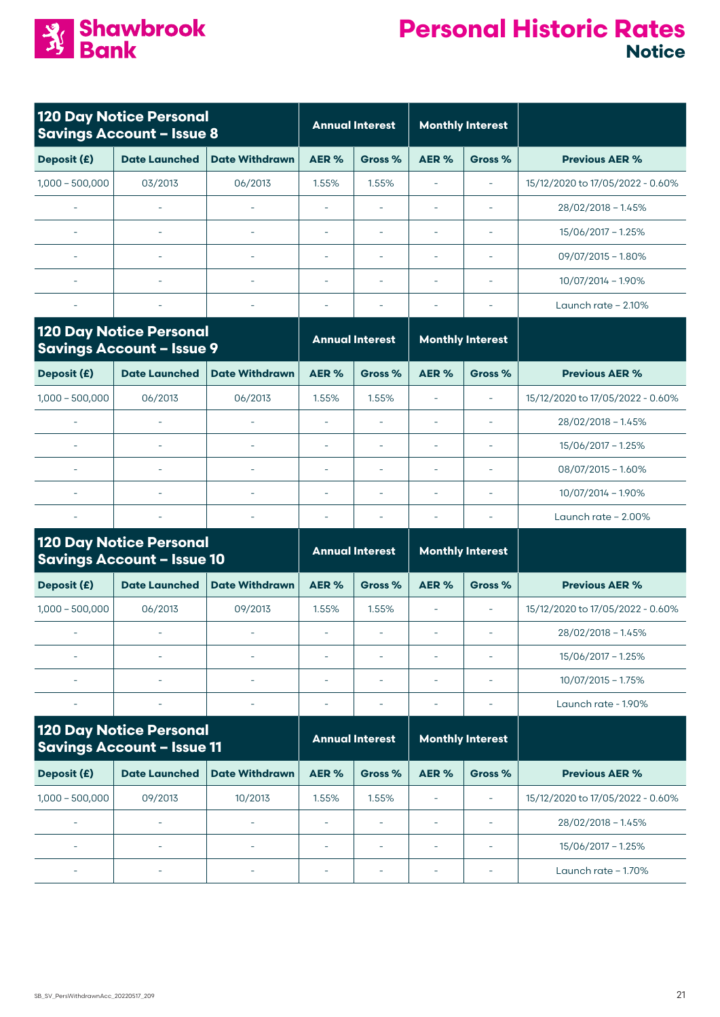

| <b>120 Day Notice Personal</b><br><b>Savings Account - Issue 8</b>  |                                                                     | <b>Annual Interest</b>   |                          | <b>Monthly Interest</b>  |                          |                          |                                  |
|---------------------------------------------------------------------|---------------------------------------------------------------------|--------------------------|--------------------------|--------------------------|--------------------------|--------------------------|----------------------------------|
| Deposit (£)                                                         | <b>Date Launched</b>                                                | <b>Date Withdrawn</b>    | AER%                     | Gross %                  | AER%                     | Gross %                  | <b>Previous AER %</b>            |
| $1,000 - 500,000$                                                   | 03/2013                                                             | 06/2013                  | 1.55%                    | 1.55%                    | $\sim$                   | ÷,                       | 15/12/2020 to 17/05/2022 - 0.60% |
|                                                                     |                                                                     |                          |                          |                          |                          | $\overline{\phantom{a}}$ | $28/02/2018 - 1.45%$             |
| $\sim$                                                              |                                                                     | $\overline{\phantom{a}}$ | $\overline{\phantom{a}}$ | $\sim$                   | $\sim$                   | ÷,                       | 15/06/2017 - 1.25%               |
|                                                                     |                                                                     | $\sim$                   | $\sim$                   |                          | $\sim$                   | $\overline{\phantom{a}}$ | $09/07/2015 - 1.80\%$            |
| $\bar{\phantom{a}}$                                                 | $\bar{\phantom{a}}$                                                 | $\overline{\phantom{a}}$ | $\overline{\phantom{a}}$ | ÷,                       | L.                       | L,                       | 10/07/2014 - 1.90%               |
|                                                                     |                                                                     |                          |                          |                          |                          | ÷,                       | Launch rate $-2.10\%$            |
| <b>120 Day Notice Personal</b><br><b>Savings Account - Issue 9</b>  |                                                                     |                          |                          | <b>Annual Interest</b>   | <b>Monthly Interest</b>  |                          |                                  |
| Deposit (£)                                                         | <b>Date Launched</b>                                                | <b>Date Withdrawn</b>    | AER%                     | Gross %                  | AER%                     | Gross %                  | <b>Previous AER %</b>            |
| $1,000 - 500,000$                                                   | 06/2013                                                             | 06/2013                  | 1.55%                    | 1.55%                    | $\overline{\phantom{a}}$ | $\sim$                   | 15/12/2020 to 17/05/2022 - 0.60% |
|                                                                     |                                                                     |                          | i.                       |                          | $\sim$                   |                          | 28/02/2018 - 1.45%               |
|                                                                     |                                                                     |                          | $\overline{\phantom{a}}$ | $\bar{a}$                | $\overline{\phantom{a}}$ | ÷                        | 15/06/2017 - 1.25%               |
|                                                                     | $\bar{\phantom{a}}$                                                 | $\overline{\phantom{a}}$ | $\overline{\phantom{a}}$ | ÷,                       | L.                       | ä,                       | $08/07/2015 - 1.60\%$            |
|                                                                     |                                                                     | $\sim$                   | $\sim$                   |                          |                          |                          | 10/07/2014 - 1.90%               |
|                                                                     |                                                                     |                          | i.                       |                          | $\sim$                   |                          | Launch rate - 2.00%              |
|                                                                     | <b>120 Day Notice Personal</b><br><b>Savings Account - Issue 10</b> |                          | <b>Annual Interest</b>   |                          | <b>Monthly Interest</b>  |                          |                                  |
| Deposit (£)                                                         | <b>Date Launched</b>                                                | <b>Date Withdrawn</b>    | AER%                     | Gross %                  | AER %                    | Gross %                  | <b>Previous AER %</b>            |
| $1,000 - 500,000$                                                   | 06/2013                                                             | 09/2013                  | 1.55%                    | 1.55%                    | $\sim$                   | $\sim$                   | 15/12/2020 to 17/05/2022 - 0.60% |
|                                                                     |                                                                     |                          |                          |                          |                          |                          | $28/02/2018 - 1.45%$             |
|                                                                     |                                                                     |                          |                          |                          |                          |                          | 15/06/2017 - 1.25%               |
|                                                                     | $\overline{\phantom{a}}$                                            | $\overline{\phantom{a}}$ | $\overline{\phantom{a}}$ |                          | $\overline{\phantom{a}}$ | Ē,                       | $10/07/2015 - 1.75%$             |
|                                                                     |                                                                     |                          | $\overline{\phantom{a}}$ | $\overline{\phantom{a}}$ | $\overline{\phantom{a}}$ | Ē,                       | Launch rate - 1.90%              |
| <b>120 Day Notice Personal</b><br><b>Savings Account - Issue 11</b> |                                                                     |                          | <b>Annual Interest</b>   |                          | <b>Monthly Interest</b>  |                          |                                  |
| Deposit (£)                                                         | <b>Date Launched</b>                                                | <b>Date Withdrawn</b>    | AER%                     | Gross %                  | AER%                     | Gross %                  | <b>Previous AER %</b>            |
| $1,000 - 500,000$                                                   | 09/2013                                                             | 10/2013                  | 1.55%                    | 1.55%                    | $\equiv$                 | $\sim$                   | 15/12/2020 to 17/05/2022 - 0.60% |
| $\bar{\phantom{a}}$                                                 |                                                                     |                          |                          |                          | $\sim$                   | ÷                        | $28/02/2018 - 1.45%$             |
| $\overline{\phantom{a}}$                                            | $\overline{\phantom{a}}$                                            | $\overline{\phantom{a}}$ | $\overline{\phantom{a}}$ | $\bar{\phantom{a}}$      | $\overline{\phantom{a}}$ | $\overline{\phantom{a}}$ | $15/06/2017 - 1.25%$             |
|                                                                     | ÷                                                                   |                          | ÷                        | ÷                        | ÷                        |                          | Launch rate $-1.70\%$            |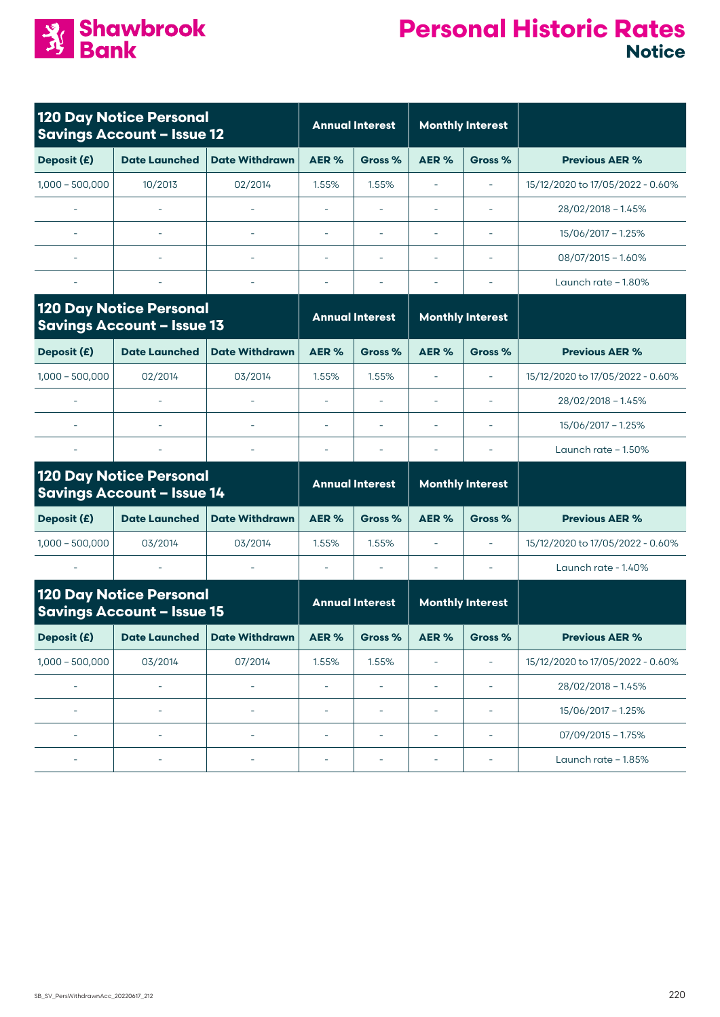

| <b>120 Day Notice Personal</b><br><b>Savings Account - Issue 12</b> |                                                                     | <b>Annual Interest</b>   |                          | <b>Monthly Interest</b>  |                          |                          |                                  |
|---------------------------------------------------------------------|---------------------------------------------------------------------|--------------------------|--------------------------|--------------------------|--------------------------|--------------------------|----------------------------------|
| Deposit (£)                                                         | <b>Date Launched</b>                                                | <b>Date Withdrawn</b>    | AER %                    | Gross %                  | AER%                     | Gross %                  | <b>Previous AER %</b>            |
| $1,000 - 500,000$                                                   | 10/2013                                                             | 02/2014                  | 1.55%                    | 1.55%                    | $\bar{\phantom{a}}$      | $\bar{a}$                | 15/12/2020 to 17/05/2022 - 0.60% |
| $\equiv$                                                            |                                                                     |                          | $\overline{\phantom{a}}$ | $\overline{\phantom{a}}$ | $\overline{\phantom{a}}$ | $\overline{\phantom{a}}$ | $28/02/2018 - 1.45%$             |
|                                                                     |                                                                     |                          | ä,                       | ٠                        |                          |                          | 15/06/2017 - 1.25%               |
|                                                                     |                                                                     |                          | ÷,                       | ٠                        | $\overline{\phantom{a}}$ |                          | $08/07/2015 - 1.60\%$            |
| $\sim$                                                              |                                                                     | $\sim$                   | $\bar{\phantom{a}}$      | $\overline{\phantom{0}}$ |                          | $\overline{\phantom{a}}$ | Launch rate $-1.80\%$            |
| <b>120 Day Notice Personal</b><br><b>Savings Account - Issue 13</b> |                                                                     | <b>Annual Interest</b>   |                          | <b>Monthly Interest</b>  |                          |                          |                                  |
| Deposit (£)                                                         | <b>Date Launched</b>                                                | <b>Date Withdrawn</b>    | AER %                    | Gross %                  | AER%                     | Gross %                  | <b>Previous AER %</b>            |
| $1,000 - 500,000$                                                   | 02/2014                                                             | 03/2014                  | 1.55%                    | 1.55%                    | ÷,                       | $\bar{a}$                | 15/12/2020 to 17/05/2022 - 0.60% |
|                                                                     |                                                                     |                          | ÷,                       | $\overline{\phantom{a}}$ | $\overline{\phantom{a}}$ | $\overline{\phantom{a}}$ | $28/02/2018 - 1.45%$             |
|                                                                     | $\overline{\phantom{a}}$                                            | $\overline{\phantom{a}}$ | $\overline{\phantom{a}}$ | ÷,                       | $\overline{\phantom{a}}$ |                          | 15/06/2017 - 1.25%               |
|                                                                     |                                                                     |                          | $\bar{\phantom{a}}$      |                          |                          |                          | Launch rate $-1.50\%$            |
|                                                                     | <b>120 Day Notice Personal</b><br><b>Savings Account - Issue 14</b> |                          | <b>Annual Interest</b>   |                          |                          | <b>Monthly Interest</b>  |                                  |
| Deposit (£)                                                         | <b>Date Launched</b>                                                | <b>Date Withdrawn</b>    | AER %                    | Gross %                  | AER <sub>%</sub>         | Gross %                  | <b>Previous AER %</b>            |
| $1,000 - 500,000$                                                   | 03/2014                                                             | 03/2014                  | 1.55%                    | 1.55%                    | ÷,                       | $\bar{a}$                | 15/12/2020 to 17/05/2022 - 0.60% |
|                                                                     |                                                                     |                          | $\overline{\phantom{a}}$ |                          |                          |                          | Launch rate - 1.40%              |
|                                                                     | <b>120 Day Notice Personal</b><br><b>Savings Account - Issue 15</b> |                          |                          | <b>Annual Interest</b>   |                          | <b>Monthly Interest</b>  |                                  |
| Deposit (£)                                                         | <b>Date Launched</b>                                                | <b>Date Withdrawn</b>    | AER%                     | Gross %                  | AER %                    | Gross %                  | <b>Previous AER %</b>            |
| $1,000 - 500,000$                                                   | 03/2014                                                             | 07/2014                  | 1.55%                    | 1.55%                    | $\overline{\phantom{a}}$ | ÷,                       | 15/12/2020 to 17/05/2022 - 0.60% |
| ÷,                                                                  | -                                                                   | ÷,                       | ÷,                       | $\overline{\phantom{a}}$ | $\overline{\phantom{a}}$ | ÷                        | 28/02/2018 - 1.45%               |
| ÷,                                                                  | $\overline{\phantom{a}}$                                            | L,                       | ÷,                       | $\overline{\phantom{0}}$ | $\overline{\phantom{a}}$ | $\overline{\phantom{a}}$ | 15/06/2017 - 1.25%               |
| $\overline{\phantom{a}}$                                            | ä,                                                                  | $\overline{\phantom{a}}$ | ÷,                       | $\overline{\phantom{0}}$ | $\bar{\phantom{a}}$      | $\bar{\phantom{a}}$      | $07/09/2015 - 1.75%$             |
| $\overline{\phantom{a}}$                                            | L,                                                                  | $\sim$                   | ä,                       | ÷,                       | $\bar{\phantom{a}}$      | $\overline{\phantom{a}}$ | Launch rate - 1.85%              |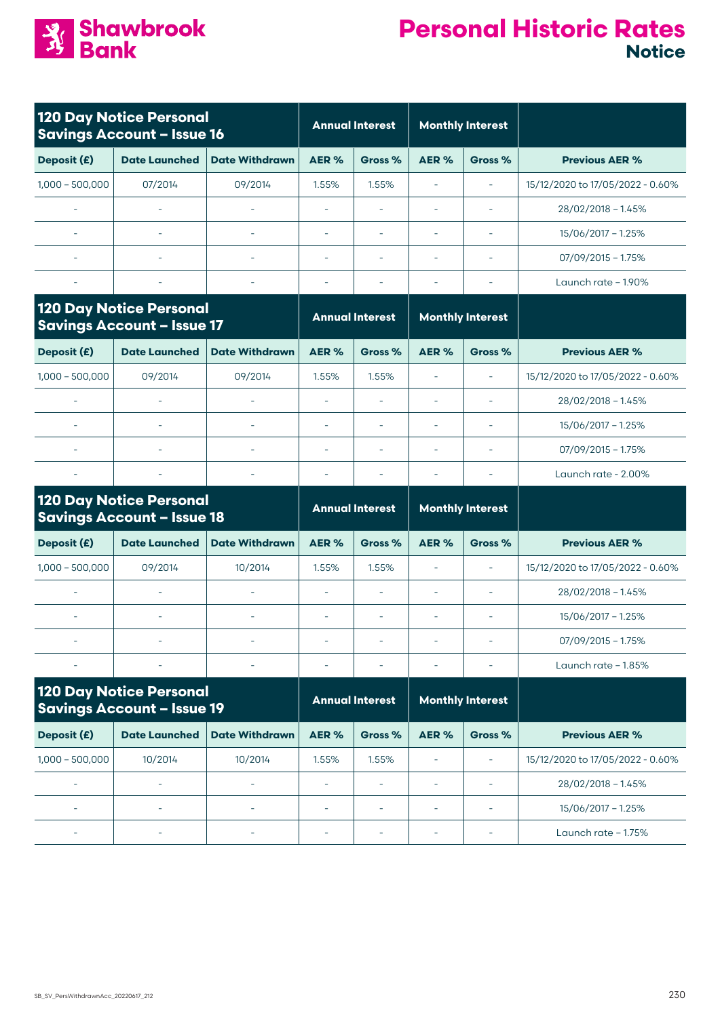

| <b>120 Day Notice Personal</b><br><b>Savings Account - Issue 16</b> |                                                                     |                          | <b>Annual Interest</b>   |                          | <b>Monthly Interest</b>  |                         |                                  |
|---------------------------------------------------------------------|---------------------------------------------------------------------|--------------------------|--------------------------|--------------------------|--------------------------|-------------------------|----------------------------------|
| Deposit (£)                                                         | <b>Date Launched</b>                                                | <b>Date Withdrawn</b>    | AER%                     | Gross %                  | AER%                     | Gross %                 | <b>Previous AER %</b>            |
| $1,000 - 500,000$                                                   | 07/2014                                                             | 09/2014                  | 1.55%                    | 1.55%                    | $\overline{\phantom{a}}$ | $\sim$                  | 15/12/2020 to 17/05/2022 - 0.60% |
|                                                                     |                                                                     |                          | ä,                       |                          |                          | $\sim$                  | $28/02/2018 - 1.45%$             |
|                                                                     |                                                                     | $\sim$                   | ÷,                       | $\sim$                   | ÷,                       | ÷,                      | 15/06/2017 - 1.25%               |
|                                                                     |                                                                     |                          | ä,                       | $\bar{\phantom{a}}$      | ä,                       | $\sim$                  | $07/09/2015 - 1.75%$             |
|                                                                     |                                                                     |                          | $\overline{\phantom{a}}$ | $\overline{\phantom{a}}$ | Ē,                       | $\sim$                  | Launch rate $-1.90\%$            |
|                                                                     | <b>120 Day Notice Personal</b><br><b>Savings Account - Issue 17</b> |                          |                          | <b>Annual Interest</b>   |                          | <b>Monthly Interest</b> |                                  |
| Deposit (£)                                                         | <b>Date Launched</b>                                                | <b>Date Withdrawn</b>    | AER%                     | Gross %                  | AER %                    | Gross %                 | <b>Previous AER %</b>            |
| $1,000 - 500,000$                                                   | 09/2014                                                             | 09/2014                  | 1.55%                    | 1.55%                    | ÷,                       | $\sim$                  | 15/12/2020 to 17/05/2022 - 0.60% |
|                                                                     |                                                                     |                          | ÷,                       |                          | ÷,                       |                         | $28/02/2018 - 1.45%$             |
|                                                                     | $\sim$                                                              | $\sim$                   | $\overline{\phantom{a}}$ | $\sim$                   | $\overline{\phantom{a}}$ | $\sim$                  | 15/06/2017 - 1.25%               |
|                                                                     |                                                                     |                          | $\overline{\phantom{a}}$ |                          | Ē,                       | $\sim$                  | $07/09/2015 - 1.75%$             |
|                                                                     |                                                                     |                          | $\overline{\phantom{a}}$ | $\sim$                   | ٠                        | $\sim$                  | Launch rate - 2.00%              |
|                                                                     | <b>120 Day Notice Personal</b><br><b>Savings Account - Issue 18</b> |                          | <b>Annual Interest</b>   |                          | <b>Monthly Interest</b>  |                         |                                  |
| Deposit (£)                                                         | <b>Date Launched</b>                                                | <b>Date Withdrawn</b>    | AER%                     | Gross %                  | AER%                     | Gross %                 | <b>Previous AER %</b>            |
| $1,000 - 500,000$                                                   | 09/2014                                                             | 10/2014                  | 1.55%                    | 1.55%                    | i.                       | $\sim$                  | 15/12/2020 to 17/05/2022 - 0.60% |
|                                                                     | $\sim$                                                              | L.                       | ä,                       | i.                       | Ē,                       | $\sim$                  | $28/02/2018 - 1.45%$             |
|                                                                     |                                                                     |                          | $\overline{\phantom{a}}$ | $\sim$                   | $\sim$                   | ÷                       | 15/06/2017 - 1.25%               |
|                                                                     |                                                                     |                          |                          |                          |                          |                         | $07/09/2015 - 1.75%$             |
|                                                                     |                                                                     |                          |                          |                          |                          |                         | Launch rate $-1.85%$             |
| <b>120 Day Notice Personal</b><br><b>Savings Account - Issue 19</b> |                                                                     |                          | <b>Annual Interest</b>   |                          | <b>Monthly Interest</b>  |                         |                                  |
| Deposit (£)                                                         | <b>Date Launched</b>                                                | <b>Date Withdrawn</b>    | AER %                    | Gross %                  | AER%                     | Gross %                 | <b>Previous AER %</b>            |
| $1,000 - 500,000$                                                   | 10/2014                                                             | 10/2014                  | 1.55%                    | 1.55%                    | L,                       | $\sim$                  | 15/12/2020 to 17/05/2022 - 0.60% |
| ٠                                                                   |                                                                     |                          | $\overline{\phantom{a}}$ | $\overline{\phantom{a}}$ | Ē,                       |                         | $28/02/2018 - 1.45%$             |
| $\sim$                                                              | ÷,                                                                  | $\overline{\phantom{a}}$ | $\overline{\phantom{a}}$ | $\sim$                   | $\overline{\phantom{a}}$ | $\sim$                  | 15/06/2017 - 1.25%               |
|                                                                     |                                                                     |                          |                          |                          | ÷                        |                         | Launch rate - 1.75%              |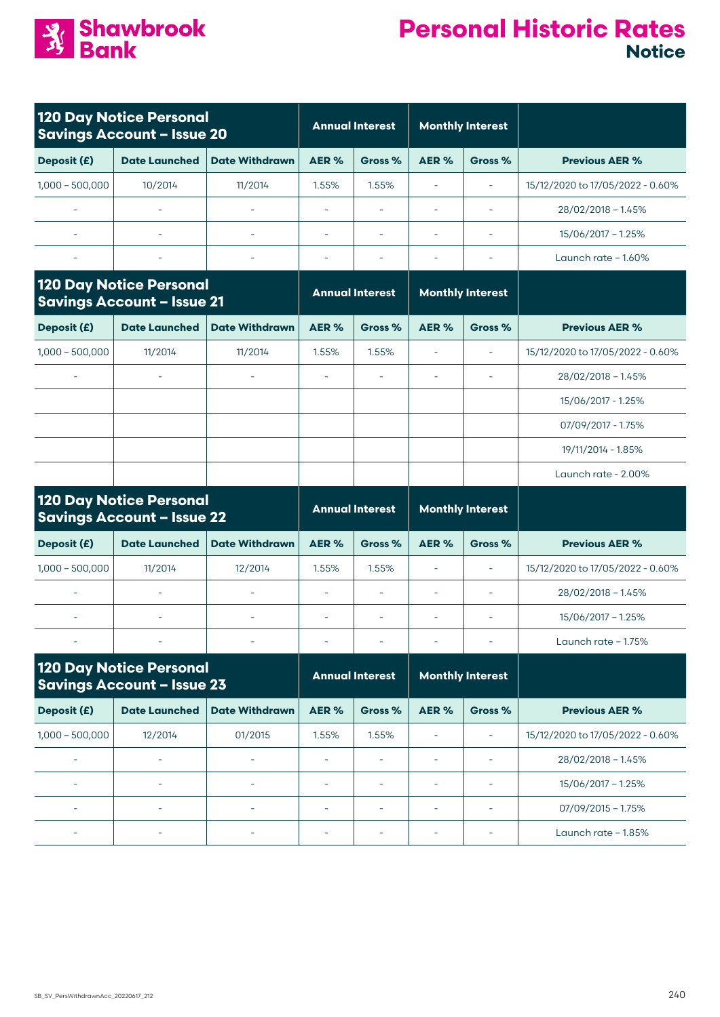

| <b>120 Day Notice Personal</b><br><b>Savings Account - Issue 20</b> |                                                                     | <b>Annual Interest</b>   |                          | <b>Monthly Interest</b>  |                          |                          |                                  |
|---------------------------------------------------------------------|---------------------------------------------------------------------|--------------------------|--------------------------|--------------------------|--------------------------|--------------------------|----------------------------------|
| Deposit (£)                                                         | <b>Date Launched</b>                                                | <b>Date Withdrawn</b>    | AER%                     | Gross %                  | AER%                     | Gross %                  | <b>Previous AER %</b>            |
| $1,000 - 500,000$                                                   | 10/2014                                                             | 11/2014                  | 1.55%                    | 1.55%                    | ÷,                       | $\overline{\phantom{a}}$ | 15/12/2020 to 17/05/2022 - 0.60% |
|                                                                     |                                                                     |                          | L,                       |                          |                          | $\sim$                   | 28/02/2018 - 1.45%               |
|                                                                     |                                                                     | $\overline{\phantom{a}}$ | ÷,                       |                          | $\overline{\phantom{a}}$ | $\overline{\phantom{a}}$ | 15/06/2017 - 1.25%               |
|                                                                     |                                                                     | $\overline{\phantom{a}}$ | L,                       |                          | L.                       |                          | Launch rate - 1.60%              |
| <b>120 Day Notice Personal</b><br><b>Savings Account - Issue 21</b> |                                                                     | <b>Annual Interest</b>   |                          | <b>Monthly Interest</b>  |                          |                          |                                  |
| Deposit (£)                                                         | <b>Date Launched</b>                                                | <b>Date Withdrawn</b>    | AER%                     | Gross %                  | AER%                     | Gross %                  | <b>Previous AER %</b>            |
| $1,000 - 500,000$                                                   | 11/2014                                                             | 11/2014                  | 1.55%                    | 1.55%                    | $\overline{\phantom{a}}$ | $\bar{\phantom{a}}$      | 15/12/2020 to 17/05/2022 - 0.60% |
|                                                                     |                                                                     |                          |                          |                          |                          | ÷,                       | 28/02/2018 - 1.45%               |
|                                                                     |                                                                     |                          |                          |                          |                          |                          | 15/06/2017 - 1.25%               |
|                                                                     |                                                                     |                          |                          |                          |                          |                          | 07/09/2017 - 1.75%               |
|                                                                     |                                                                     |                          |                          |                          |                          |                          | 19/11/2014 - 1.85%               |
|                                                                     |                                                                     |                          |                          |                          |                          |                          | Launch rate - 2.00%              |
|                                                                     | <b>120 Day Notice Personal</b><br><b>Savings Account - Issue 22</b> |                          | <b>Annual Interest</b>   |                          | <b>Monthly Interest</b>  |                          |                                  |
| Deposit (£)                                                         | <b>Date Launched</b>                                                | <b>Date Withdrawn</b>    | AER%                     | Gross %                  | AER %                    | Gross %                  | <b>Previous AER %</b>            |
| $1,000 - 500,000$                                                   | 11/2014                                                             | 12/2014                  | 1.55%                    | 1.55%                    | L.                       | $\overline{\phantom{a}}$ | 15/12/2020 to 17/05/2022 - 0.60% |
| $\bar{\phantom{a}}$                                                 | $\sim$                                                              | $\overline{\phantom{a}}$ | $\overline{\phantom{a}}$ | $\sim$                   | L.                       | $\sim$                   | $28/02/2018 - 1.45%$             |
|                                                                     |                                                                     |                          | $\bar{\phantom{a}}$      | $\bar{a}$                | $\bar{a}$                | $\sim$                   | 15/06/2017 - 1.25%               |
|                                                                     |                                                                     |                          |                          |                          |                          |                          | Launch rate $-1.75%$             |
|                                                                     | <b>120 Day Notice Personal</b><br><b>Savings Account - Issue 23</b> |                          | <b>Annual Interest</b>   |                          |                          | <b>Monthly Interest</b>  |                                  |
| Deposit (£)                                                         | <b>Date Launched</b>                                                | <b>Date Withdrawn</b>    | AER%                     | Gross %                  | AER%                     | Gross %                  | <b>Previous AER %</b>            |
| $1,000 - 500,000$                                                   | 12/2014                                                             | 01/2015                  | 1.55%                    | 1.55%                    | ÷,                       | $\overline{a}$           | 15/12/2020 to 17/05/2022 - 0.60% |
|                                                                     |                                                                     |                          |                          |                          | $\overline{a}$           |                          | 28/02/2018 - 1.45%               |
|                                                                     |                                                                     |                          | ÷,                       |                          |                          |                          | 15/06/2017 - 1.25%               |
| $\bar{\phantom{a}}$                                                 | $\overline{\phantom{a}}$                                            | $\overline{\phantom{a}}$ | ÷,                       | $\overline{\phantom{a}}$ | $\overline{a}$           | $\overline{\phantom{a}}$ | $07/09/2015 - 1.75%$             |
|                                                                     | ÷                                                                   |                          | ÷                        | ÷                        | ÷                        | ÷                        | Launch rate - 1.85%              |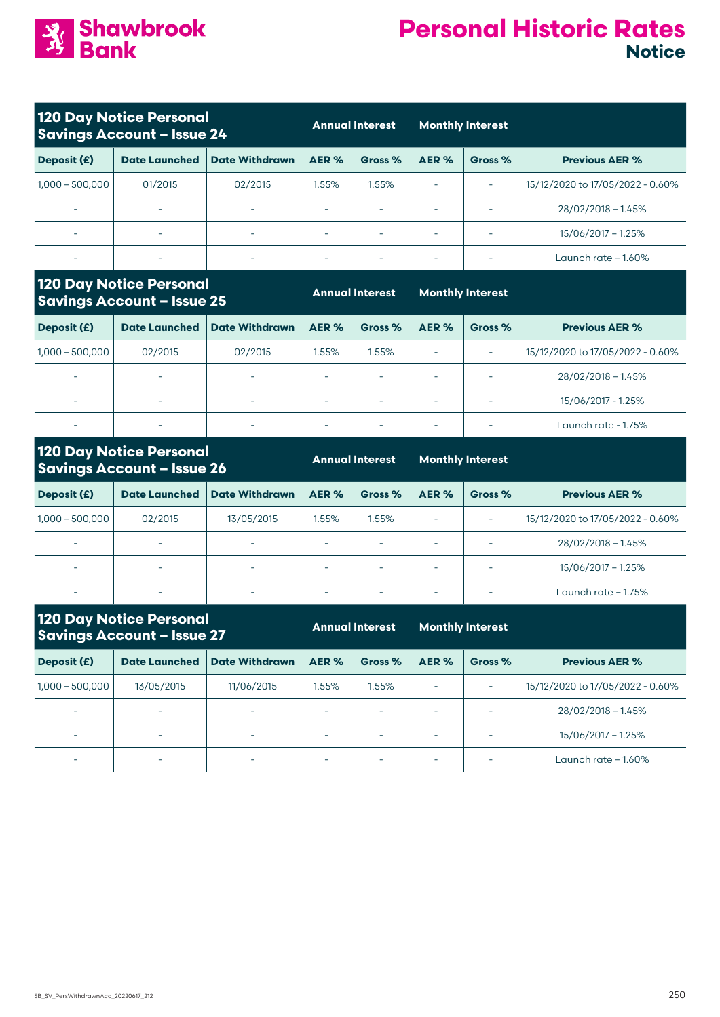

| <b>120 Day Notice Personal</b><br><b>Savings Account - Issue 24</b> |                                                                     | <b>Annual Interest</b>   |                          | <b>Monthly Interest</b>                           |                          |                          |                                  |
|---------------------------------------------------------------------|---------------------------------------------------------------------|--------------------------|--------------------------|---------------------------------------------------|--------------------------|--------------------------|----------------------------------|
| Deposit (£)                                                         | <b>Date Launched</b>                                                | <b>Date Withdrawn</b>    | AER%                     | Gross %                                           | AER%                     | Gross %                  | <b>Previous AER %</b>            |
| $1,000 - 500,000$                                                   | 01/2015                                                             | 02/2015                  | 1.55%                    | 1.55%                                             | $\overline{\phantom{a}}$ | $\sim$                   | 15/12/2020 to 17/05/2022 - 0.60% |
|                                                                     | L.                                                                  |                          | ä,                       |                                                   | $\overline{\phantom{a}}$ | $\sim$                   | $28/02/2018 - 1.45%$             |
|                                                                     | $\overline{\phantom{a}}$                                            | L.                       | $\sim$                   | $\overline{\phantom{a}}$                          | $\overline{\phantom{a}}$ | $\sim$                   | 15/06/2017 - 1.25%               |
|                                                                     |                                                                     | $\bar{a}$                | $\sim$                   |                                                   | $\sim$                   | $\sim$                   | Launch rate - 1.60%              |
|                                                                     | <b>120 Day Notice Personal</b><br><b>Savings Account - Issue 25</b> |                          |                          | <b>Annual Interest</b>                            |                          | <b>Monthly Interest</b>  |                                  |
| Deposit (£)                                                         | <b>Date Launched</b>                                                | <b>Date Withdrawn</b>    | AER%                     | Gross %                                           | AER%                     | Gross %                  | <b>Previous AER %</b>            |
| $1,000 - 500,000$                                                   | 02/2015                                                             | 02/2015                  | 1.55%                    | 1.55%                                             | $\equiv$                 | $\sim$                   | 15/12/2020 to 17/05/2022 - 0.60% |
|                                                                     |                                                                     |                          |                          |                                                   | ÷,                       |                          | $28/02/2018 - 1.45%$             |
|                                                                     |                                                                     |                          | $\sim$                   |                                                   | $\sim$                   | $\sim$                   | 15/06/2017 - 1.25%               |
|                                                                     |                                                                     | $\overline{\phantom{a}}$ | $\overline{\phantom{a}}$ |                                                   | $\overline{\phantom{a}}$ |                          | Launch rate - 1.75%              |
|                                                                     | <b>120 Day Notice Personal</b><br><b>Savings Account - Issue 26</b> |                          |                          | <b>Annual Interest</b><br><b>Monthly Interest</b> |                          |                          |                                  |
| Deposit (£)                                                         | <b>Date Launched</b>                                                | <b>Date Withdrawn</b>    | AER%                     | Gross %                                           | AER%                     | Gross %                  | <b>Previous AER %</b>            |
| $1,000 - 500,000$                                                   | 02/2015                                                             | 13/05/2015               | 1.55%                    | 1.55%                                             | $\overline{\phantom{a}}$ | $\sim$                   | 15/12/2020 to 17/05/2022 - 0.60% |
|                                                                     |                                                                     |                          | ä,                       |                                                   | $\overline{\phantom{a}}$ | $\sim$                   | $28/02/2018 - 1.45%$             |
|                                                                     | $\sim$                                                              | L.                       | L.                       |                                                   | $\overline{\phantom{a}}$ | $\sim$                   | 15/06/2017 - 1.25%               |
| $\bar{a}$                                                           | $\overline{\phantom{a}}$                                            | $\equiv$                 | $\overline{\phantom{a}}$ |                                                   | $\sim$                   |                          | Launch rate $-1.75%$             |
|                                                                     | <b>120 Day Notice Personal</b><br><b>Savings Account - Issue 27</b> |                          | <b>Annual Interest</b>   |                                                   |                          | <b>Monthly Interest</b>  |                                  |
| Deposit (£)                                                         | <b>Date Launched</b>                                                | <b>Date Withdrawn</b>    | AER%                     | Gross %                                           | AER%                     | Gross %                  | <b>Previous AER %</b>            |
| $1,000 - 500,000$                                                   | 13/05/2015                                                          | 11/06/2015               | 1.55%                    | 1.55%                                             | $\overline{\phantom{a}}$ | $\equiv$                 | 15/12/2020 to 17/05/2022 - 0.60% |
| $\overline{\phantom{a}}$                                            | ä,                                                                  | L,                       | L,                       | $\overline{\phantom{a}}$                          | $\overline{\phantom{a}}$ | $\overline{\phantom{a}}$ | $28/02/2018 - 1.45%$             |
| ÷,                                                                  | $\overline{\phantom{a}}$                                            | $\overline{\phantom{a}}$ | ÷,                       | $\overline{\phantom{a}}$                          | $\overline{\phantom{a}}$ | $\overline{\phantom{a}}$ | 15/06/2017 - 1.25%               |
|                                                                     |                                                                     |                          | ÷,                       | $\overline{\phantom{a}}$                          | ÷                        | $\overline{\phantom{a}}$ | Launch rate - 1.60%              |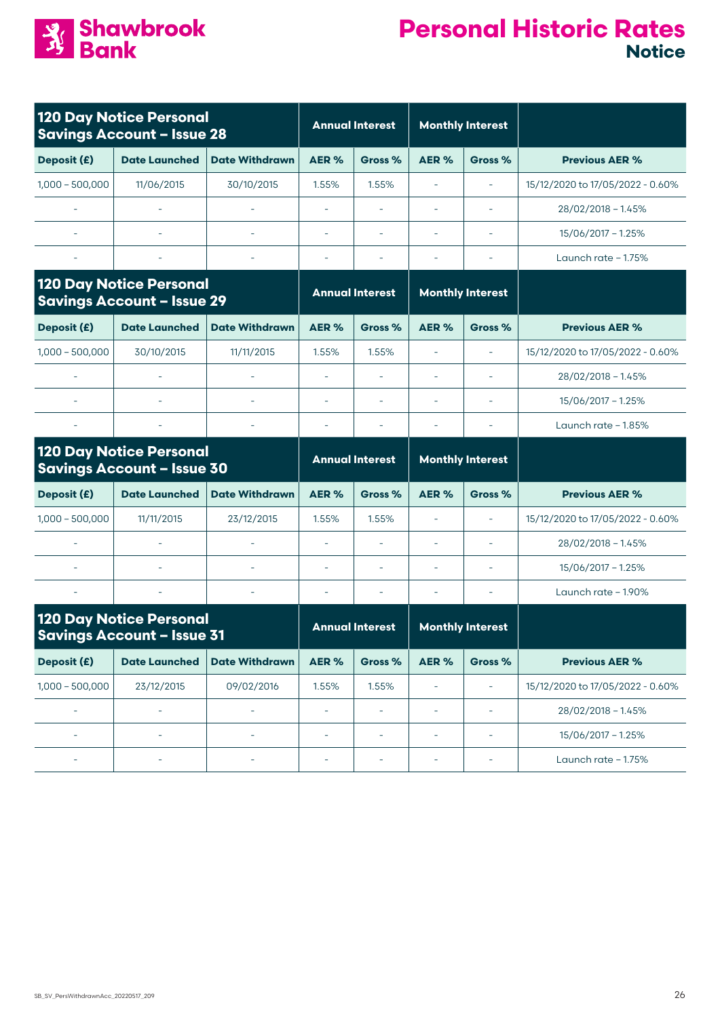

| <b>120 Day Notice Personal</b><br><b>Savings Account - Issue 28</b> |                                                                     | <b>Annual Interest</b>   |                          | <b>Monthly Interest</b>  |                          |                          |                                  |
|---------------------------------------------------------------------|---------------------------------------------------------------------|--------------------------|--------------------------|--------------------------|--------------------------|--------------------------|----------------------------------|
| Deposit (£)                                                         | <b>Date Launched</b>                                                | <b>Date Withdrawn</b>    | AER%                     | Gross %                  | AER %                    | Gross %                  | <b>Previous AER %</b>            |
| $1,000 - 500,000$                                                   | 11/06/2015                                                          | 30/10/2015               | 1.55%                    | 1.55%                    | ÷,                       | $\overline{\phantom{a}}$ | 15/12/2020 to 17/05/2022 - 0.60% |
|                                                                     |                                                                     |                          |                          |                          |                          | $\sim$                   | $28/02/2018 - 1.45%$             |
|                                                                     |                                                                     |                          | $\overline{\phantom{a}}$ |                          | $\overline{\phantom{a}}$ |                          | 15/06/2017 - 1.25%               |
|                                                                     |                                                                     | $\overline{\phantom{a}}$ | $\overline{\phantom{a}}$ | $\overline{\phantom{a}}$ | ÷,                       | $\overline{\phantom{a}}$ | Launch rate - 1.75%              |
|                                                                     | <b>120 Day Notice Personal</b><br><b>Savings Account - Issue 29</b> |                          |                          | <b>Annual Interest</b>   | <b>Monthly Interest</b>  |                          |                                  |
| Deposit (£)                                                         | <b>Date Launched</b>                                                | <b>Date Withdrawn</b>    | AER%                     | Gross %                  | AER%                     | Gross %                  | <b>Previous AER %</b>            |
| $1,000 - 500,000$                                                   | 30/10/2015                                                          | 11/11/2015               | 1.55%                    | 1.55%                    | ÷,                       | $\overline{\phantom{a}}$ | 15/12/2020 to 17/05/2022 - 0.60% |
|                                                                     |                                                                     |                          | ä,                       |                          | $\overline{\phantom{a}}$ | $\overline{\phantom{a}}$ | $28/02/2018 - 1.45%$             |
|                                                                     |                                                                     |                          | $\sim$                   |                          | ä,                       |                          | 15/06/2017 - 1.25%               |
|                                                                     |                                                                     | $\equiv$                 |                          |                          | $\overline{\phantom{a}}$ |                          | Launch rate - 1.85%              |
|                                                                     | <b>120 Day Notice Personal</b><br><b>Savings Account - Issue 30</b> |                          | <b>Annual Interest</b>   |                          |                          | <b>Monthly Interest</b>  |                                  |
| Deposit (£)                                                         | <b>Date Launched</b>                                                | <b>Date Withdrawn</b>    | AER%                     | Gross %                  | AER%                     | Gross %                  | <b>Previous AER %</b>            |
| $1,000 - 500,000$                                                   | 11/11/2015                                                          | 23/12/2015               | 1.55%                    | 1.55%                    | ä,                       | $\bar{\phantom{a}}$      | 15/12/2020 to 17/05/2022 - 0.60% |
|                                                                     |                                                                     |                          | $\overline{\phantom{a}}$ |                          | $\overline{\phantom{a}}$ | ä,                       | $28/02/2018 - 1.45%$             |
|                                                                     | $\sim$                                                              | $\bar{\phantom{a}}$      | $\overline{\phantom{a}}$ |                          | ä,                       | ä,                       | 15/06/2017 - 1.25%               |
| $\overline{\phantom{a}}$                                            | $\overline{\phantom{a}}$                                            | $\overline{\phantom{a}}$ | $\overline{\phantom{a}}$ | $\sim$                   | ä,                       | $\sim$                   | Launch rate - 1.90%              |
| <b>120 Day Notice Personal</b><br><b>Savings Account - Issue 31</b> |                                                                     |                          | <b>Annual Interest</b>   |                          | <b>Monthly Interest</b>  |                          |                                  |
| Deposit (£)                                                         | <b>Date Launched</b>                                                | <b>Date Withdrawn</b>    | AER%                     | Gross %                  | AER %                    | Gross %                  | <b>Previous AER %</b>            |
| $1,000 - 500,000$                                                   | 23/12/2015                                                          | 09/02/2016               | 1.55%                    | 1.55%                    | $\overline{\phantom{a}}$ | $\overline{\phantom{a}}$ | 15/12/2020 to 17/05/2022 - 0.60% |
| $\overline{\phantom{a}}$                                            | L,                                                                  | L,                       | L,                       | $\equiv$                 | $\equiv$                 | $\overline{\phantom{a}}$ | $28/02/2018 - 1.45%$             |
| $\overline{\phantom{a}}$                                            | $\overline{\phantom{a}}$                                            | $\overline{\phantom{a}}$ | $\overline{\phantom{a}}$ | $\overline{\phantom{a}}$ | $\overline{\phantom{a}}$ | $\overline{\phantom{a}}$ | $15/06/2017 - 1.25%$             |
|                                                                     | ä,                                                                  |                          | $\overline{\phantom{a}}$ | $\overline{\phantom{a}}$ | ä,                       | ä,                       | Launch rate - 1.75%              |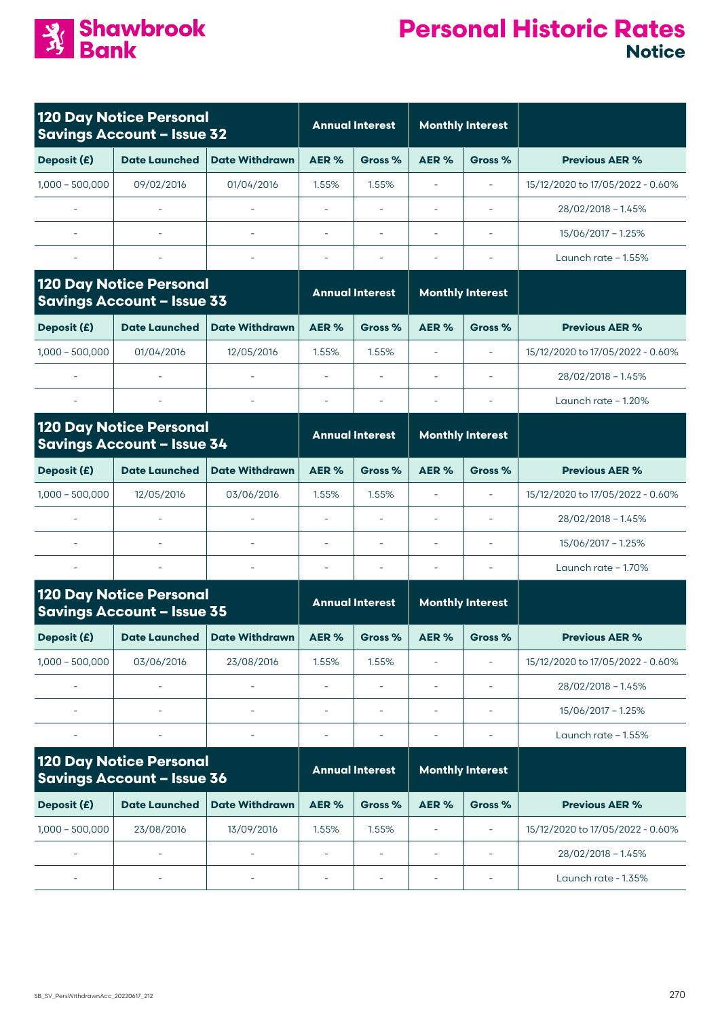

|                                                                     | <b>120 Day Notice Personal</b><br><b>Savings Account - Issue 32</b> |                          | <b>Annual Interest</b>   |                          | <b>Monthly Interest</b>  |                          |                                  |
|---------------------------------------------------------------------|---------------------------------------------------------------------|--------------------------|--------------------------|--------------------------|--------------------------|--------------------------|----------------------------------|
| Deposit (£)                                                         | <b>Date Launched</b>                                                | <b>Date Withdrawn</b>    | AER%                     | Gross %                  | AER%                     | Gross %                  | <b>Previous AER %</b>            |
| $1,000 - 500,000$                                                   | 09/02/2016                                                          | 01/04/2016               | 1.55%                    | 1.55%                    | ÷,                       | $\bar{\phantom{a}}$      | 15/12/2020 to 17/05/2022 - 0.60% |
|                                                                     | $\sim$                                                              |                          | ÷,                       |                          | $\overline{\phantom{a}}$ | $\sim$                   | 28/02/2018 - 1.45%               |
|                                                                     |                                                                     |                          |                          |                          |                          |                          | 15/06/2017 - 1.25%               |
| $\overline{\phantom{a}}$                                            | $\overline{\phantom{a}}$                                            | $\overline{\phantom{a}}$ | $\bar{a}$                | $\overline{\phantom{a}}$ | $\overline{\phantom{a}}$ | $\sim$                   | Launch rate $-1.55%$             |
| <b>120 Day Notice Personal</b><br><b>Savings Account - Issue 33</b> |                                                                     |                          | <b>Annual Interest</b>   |                          | <b>Monthly Interest</b>  |                          |                                  |
| Deposit (£)                                                         | <b>Date Launched</b>                                                | <b>Date Withdrawn</b>    | AER%                     | Gross %                  | AER%                     | Gross %                  | <b>Previous AER %</b>            |
| $1,000 - 500,000$                                                   | 01/04/2016                                                          | 12/05/2016               | 1.55%                    | 1.55%                    | $\overline{a}$           | $\overline{\phantom{a}}$ | 15/12/2020 to 17/05/2022 - 0.60% |
|                                                                     |                                                                     |                          |                          |                          |                          |                          | $28/02/2018 - 1.45%$             |
|                                                                     |                                                                     |                          | $\overline{\phantom{a}}$ | $\overline{\phantom{a}}$ | $\overline{a}$           |                          | Launch rate $-1.20\%$            |
|                                                                     | <b>120 Day Notice Personal</b><br><b>Savings Account - Issue 34</b> |                          | <b>Annual Interest</b>   |                          | <b>Monthly Interest</b>  |                          |                                  |
| Deposit (£)                                                         | <b>Date Launched</b>                                                | <b>Date Withdrawn</b>    | AER%                     | Gross %                  | AER%                     | Gross %                  | <b>Previous AER %</b>            |
| $1,000 - 500,000$                                                   | 12/05/2016                                                          | 03/06/2016               | 1.55%                    | 1.55%                    |                          |                          | 15/12/2020 to 17/05/2022 - 0.60% |
| $\sim$                                                              |                                                                     | $\overline{\phantom{a}}$ | $\bar{a}$                | $\sim$                   | $\overline{\phantom{a}}$ | $\overline{\phantom{a}}$ | 28/02/2018 - 1.45%               |
|                                                                     |                                                                     |                          | ÷,                       | ÷.                       | ä,                       | $\sim$                   | $15/06/2017 - 1.25%$             |
| $\bar{\phantom{a}}$                                                 | $\overline{\phantom{a}}$                                            | $\overline{\phantom{a}}$ |                          |                          |                          | $\overline{\phantom{a}}$ | Launch rate $-1.70\%$            |
|                                                                     | <b>120 Day Notice Personal</b><br><b>Savings Account - Issue 35</b> |                          |                          | <b>Annual Interest</b>   | <b>Monthly Interest</b>  |                          |                                  |
| Deposit (£)                                                         | <b>Date Launched</b>                                                | <b>Date Withdrawn</b>    | AER%                     | Gross %                  | AER%                     | Gross %                  | <b>Previous AER %</b>            |
| $1,000 - 500,000$                                                   | 03/06/2016                                                          | 23/08/2016               | 1.55%                    | 1.55%                    | ä,                       | $\overline{\phantom{a}}$ | 15/12/2020 to 17/05/2022 - 0.60% |
|                                                                     |                                                                     |                          |                          |                          |                          |                          | 28/02/2018 - 1.45%               |
|                                                                     |                                                                     |                          | ÷,                       | $\overline{\phantom{a}}$ | ÷                        | $\overline{\phantom{a}}$ | 15/06/2017 - 1.25%               |
|                                                                     |                                                                     | ۰                        | ÷,                       |                          | ÷                        | ÷                        | Launch rate - 1.55%              |
|                                                                     | <b>120 Day Notice Personal</b><br><b>Savings Account - Issue 36</b> |                          | <b>Annual Interest</b>   |                          |                          | <b>Monthly Interest</b>  |                                  |
| Deposit (£)                                                         | <b>Date Launched</b>                                                | <b>Date Withdrawn</b>    | AER%                     | Gross %                  | AER %                    | Gross %                  | <b>Previous AER %</b>            |
| $1,000 - 500,000$                                                   | 23/08/2016                                                          | 13/09/2016               | 1.55%                    | 1.55%                    | $\overline{\phantom{a}}$ | $\overline{\phantom{a}}$ | 15/12/2020 to 17/05/2022 - 0.60% |
| $\overline{\phantom{a}}$                                            | ÷,                                                                  |                          | L,                       |                          | ÷                        | $\overline{\phantom{a}}$ | 28/02/2018 - 1.45%               |
|                                                                     |                                                                     |                          | ÷,                       |                          |                          |                          | Launch rate - 1.35%              |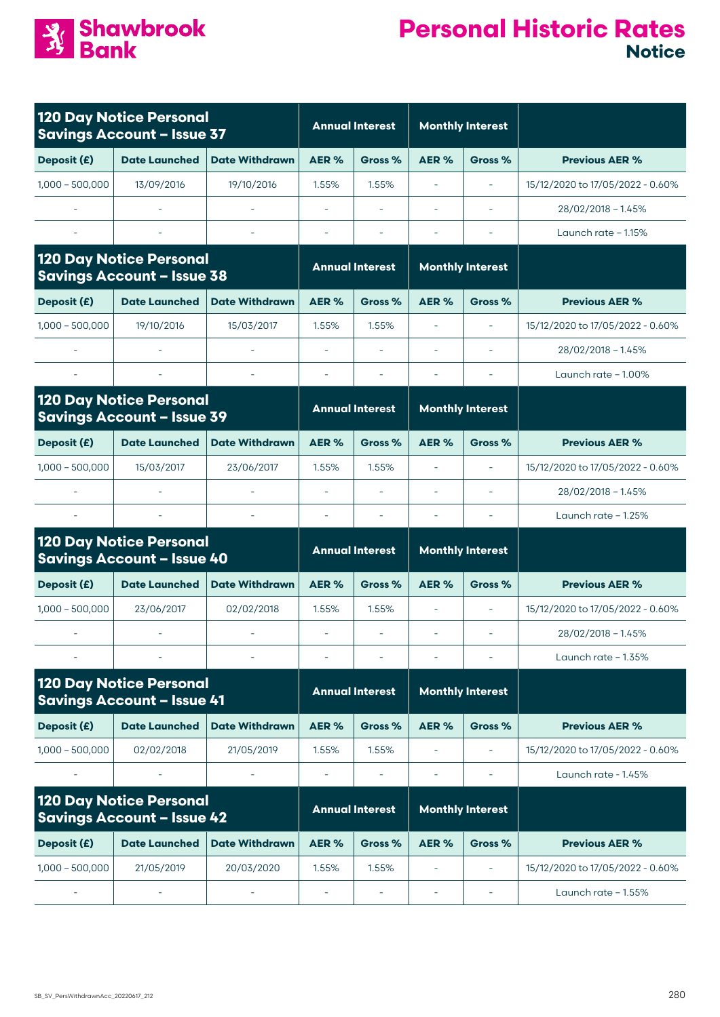

| <b>120 Day Notice Personal</b><br><b>Savings Account - Issue 37</b> |                                                                     |                       | <b>Annual Interest</b>   |                        | <b>Monthly Interest</b> |                          |                                  |
|---------------------------------------------------------------------|---------------------------------------------------------------------|-----------------------|--------------------------|------------------------|-------------------------|--------------------------|----------------------------------|
| Deposit (£)                                                         | <b>Date Launched</b>                                                | <b>Date Withdrawn</b> | AER%                     | Gross %                | AER%                    | Gross %                  | <b>Previous AER %</b>            |
| $1,000 - 500,000$                                                   | 13/09/2016                                                          | 19/10/2016            | 1.55%                    | 1.55%                  | $\sim$                  | $\sim$                   | 15/12/2020 to 17/05/2022 - 0.60% |
|                                                                     |                                                                     |                       |                          |                        |                         | $\sim$                   | $28/02/2018 - 1.45%$             |
|                                                                     |                                                                     |                       |                          |                        |                         |                          | Launch rate - 1.15%              |
| <b>120 Day Notice Personal</b><br><b>Savings Account - Issue 38</b> |                                                                     |                       | <b>Annual Interest</b>   |                        |                         | <b>Monthly Interest</b>  |                                  |
| Deposit (£)                                                         | <b>Date Launched</b>                                                | <b>Date Withdrawn</b> | AER%                     | Gross %                | AER %                   | Gross %                  | <b>Previous AER %</b>            |
| $1,000 - 500,000$                                                   | 19/10/2016                                                          | 15/03/2017            | 1.55%                    | 1.55%                  | i.                      | $\sim$                   | 15/12/2020 to 17/05/2022 - 0.60% |
|                                                                     |                                                                     |                       |                          |                        |                         |                          | $28/02/2018 - 1.45%$             |
|                                                                     |                                                                     |                       | $\sim$                   | $\sim$                 | L.                      | $\sim$                   | Launch rate - 1.00%              |
|                                                                     | <b>120 Day Notice Personal</b><br><b>Savings Account - Issue 39</b> |                       |                          | <b>Annual Interest</b> |                         | <b>Monthly Interest</b>  |                                  |
| Deposit (£)                                                         | <b>Date Launched</b>                                                | <b>Date Withdrawn</b> | AER <sub>%</sub>         | Gross %                | AER %                   | Gross %                  | <b>Previous AER %</b>            |
| $1,000 - 500,000$                                                   | 15/03/2017                                                          | 23/06/2017            | 1.55%                    | 1.55%                  | ÷,                      |                          | 15/12/2020 to 17/05/2022 - 0.60% |
|                                                                     |                                                                     |                       |                          |                        |                         |                          | $28/02/2018 - 1.45%$             |
|                                                                     |                                                                     |                       | $\overline{\phantom{a}}$ | $\sim$                 | ٠                       |                          | Launch rate $-1.25%$             |
|                                                                     | <b>120 Day Notice Personal</b><br><b>Savings Account - Issue 40</b> |                       | <b>Annual Interest</b>   |                        | <b>Monthly Interest</b> |                          |                                  |
| Deposit (£)                                                         | <b>Date Launched</b>                                                | <b>Date Withdrawn</b> | AER%                     | Gross %                | AER%                    | Gross %                  | <b>Previous AER %</b>            |
| $1,000 - 500,000$                                                   | 23/06/2017                                                          | 02/02/2018            | 1.55%                    | 1.55%                  | ÷,                      | $\sim$                   | 15/12/2020 to 17/05/2022 - 0.60% |
|                                                                     |                                                                     |                       |                          |                        |                         |                          | 28/02/2018 - 1.45%               |
|                                                                     |                                                                     |                       |                          |                        |                         |                          | Launch rate $-1.35%$             |
|                                                                     | <b>120 Day Notice Personal</b><br><b>Savings Account - Issue 41</b> |                       |                          | <b>Annual Interest</b> |                         | <b>Monthly Interest</b>  |                                  |
| Deposit (£)                                                         | <b>Date Launched</b>                                                | <b>Date Withdrawn</b> | AER%                     | Gross %                | AER%                    | Gross %                  | <b>Previous AER %</b>            |
| $1,000 - 500,000$                                                   | 02/02/2018                                                          | 21/05/2019            | 1.55%                    | 1.55%                  |                         |                          | 15/12/2020 to 17/05/2022 - 0.60% |
|                                                                     |                                                                     |                       |                          |                        |                         |                          | Launch rate - 1.45%              |
| <b>120 Day Notice Personal</b><br><b>Savings Account - Issue 42</b> |                                                                     |                       | <b>Annual Interest</b>   |                        | <b>Monthly Interest</b> |                          |                                  |
| Deposit (£)                                                         | <b>Date Launched</b>                                                | <b>Date Withdrawn</b> | AER%                     | Gross %                | AER %                   | Gross %                  | <b>Previous AER %</b>            |
| $1,000 - 500,000$                                                   | 21/05/2019                                                          | 20/03/2020            | 1.55%                    | 1.55%                  |                         | $\overline{\phantom{a}}$ | 15/12/2020 to 17/05/2022 - 0.60% |
|                                                                     |                                                                     |                       |                          |                        |                         |                          | Launch rate - 1.55%              |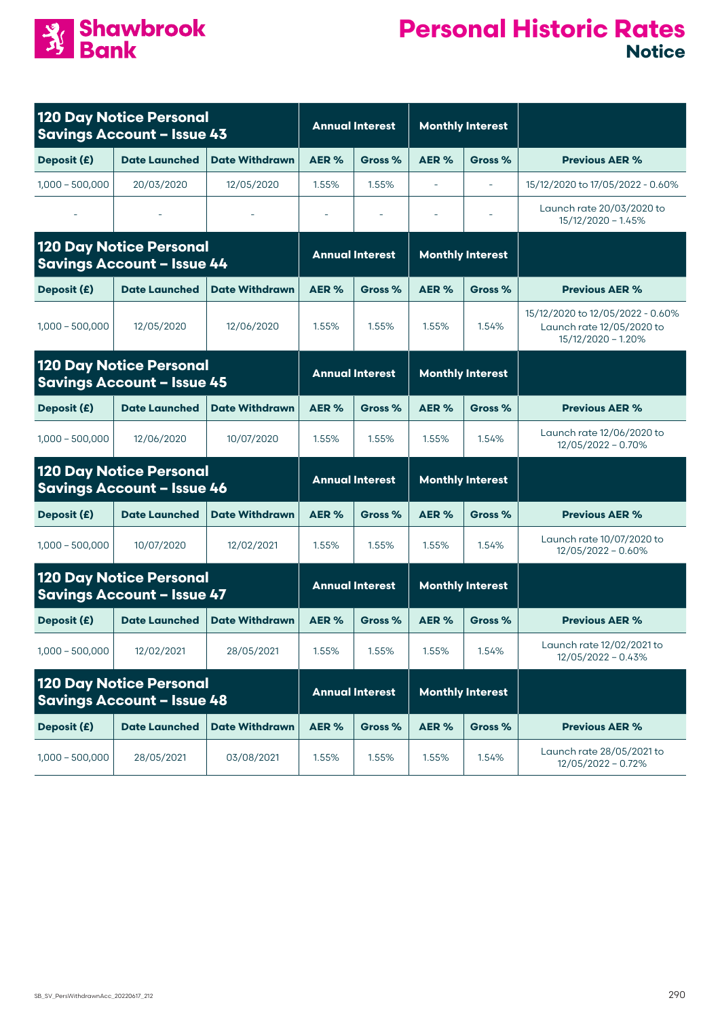

| <b>120 Day Notice Personal</b><br><b>Savings Account - Issue 43</b> |                                                                     |                        | <b>Annual Interest</b> |                        | <b>Monthly Interest</b> |                          |                                                                                     |
|---------------------------------------------------------------------|---------------------------------------------------------------------|------------------------|------------------------|------------------------|-------------------------|--------------------------|-------------------------------------------------------------------------------------|
| Deposit (£)                                                         | <b>Date Launched</b>                                                | <b>Date Withdrawn</b>  | AER %                  | Gross %                | AER%                    | Gross %                  | <b>Previous AER %</b>                                                               |
| $1,000 - 500,000$                                                   | 20/03/2020                                                          | 12/05/2020             | 1.55%                  | 1.55%                  | ÷,                      | $\overline{\phantom{a}}$ | 15/12/2020 to 17/05/2022 - 0.60%                                                    |
|                                                                     |                                                                     |                        |                        |                        |                         |                          | Launch rate 20/03/2020 to<br>$15/12/2020 - 1.45%$                                   |
| <b>120 Day Notice Personal</b><br><b>Savings Account - Issue 44</b> |                                                                     | <b>Annual Interest</b> |                        |                        | <b>Monthly Interest</b> |                          |                                                                                     |
| Deposit (£)                                                         | <b>Date Launched</b>                                                | <b>Date Withdrawn</b>  | AER <sub>%</sub>       | Gross %                | AER%                    | Gross %                  | <b>Previous AER %</b>                                                               |
| $1,000 - 500,000$                                                   | 12/05/2020                                                          | 12/06/2020             | 1.55%                  | 1.55%                  | 1.55%                   | 1.54%                    | 15/12/2020 to 12/05/2022 - 0.60%<br>Launch rate 12/05/2020 to<br>15/12/2020 - 1.20% |
|                                                                     | <b>120 Day Notice Personal</b><br><b>Savings Account - Issue 45</b> |                        | <b>Annual Interest</b> |                        | <b>Monthly Interest</b> |                          |                                                                                     |
| Deposit (£)                                                         | <b>Date Launched</b>                                                | <b>Date Withdrawn</b>  | AER%                   | Gross %                | AER%                    | Gross %                  | <b>Previous AER %</b>                                                               |
| $1,000 - 500,000$                                                   | 12/06/2020                                                          | 10/07/2020             | 1.55%                  | 1.55%                  | 1.55%                   | 1.54%                    | Launch rate 12/06/2020 to<br>12/05/2022 - 0.70%                                     |
|                                                                     | <b>120 Day Notice Personal</b><br><b>Savings Account - Issue 46</b> |                        | <b>Annual Interest</b> |                        |                         | <b>Monthly Interest</b>  |                                                                                     |
| Deposit (£)                                                         | <b>Date Launched</b>                                                | <b>Date Withdrawn</b>  | AER <sub>%</sub>       | Gross %                | AER%                    | Gross %                  | <b>Previous AER %</b>                                                               |
| $1,000 - 500,000$                                                   | 10/07/2020                                                          | 12/02/2021             | 1.55%                  | 1.55%                  | 1.55%                   | 1.54%                    | Launch rate 10/07/2020 to<br>$12/05/2022 - 0.60%$                                   |
|                                                                     | <b>120 Day Notice Personal</b><br><b>Savings Account - Issue 47</b> |                        |                        | <b>Annual Interest</b> |                         | <b>Monthly Interest</b>  |                                                                                     |
| Deposit (£)                                                         | <b>Date Launched</b>                                                | <b>Date Withdrawn</b>  | AER%                   | Gross %                | AER%                    | Gross %                  | <b>Previous AER %</b>                                                               |
| $1,000 - 500,000$                                                   | 12/02/2021                                                          | 28/05/2021             | 1.55%                  | 1.55%                  | 1.55%                   | 1.54%                    | Launch rate 12/02/2021 to<br>$12/05/2022 - 0.43%$                                   |
| <b>120 Day Notice Personal</b><br><b>Savings Account - Issue 48</b> |                                                                     |                        | <b>Annual Interest</b> |                        | <b>Monthly Interest</b> |                          |                                                                                     |
| Deposit (£)                                                         | <b>Date Launched</b>                                                | <b>Date Withdrawn</b>  | AER%                   | Gross %                | AER%                    | Gross %                  | <b>Previous AER %</b>                                                               |
| $1,000 - 500,000$                                                   | 28/05/2021                                                          | 03/08/2021             | 1.55%                  | 1.55%                  | 1.55%                   | 1.54%                    | Launch rate 28/05/2021 to<br>12/05/2022 - 0.72%                                     |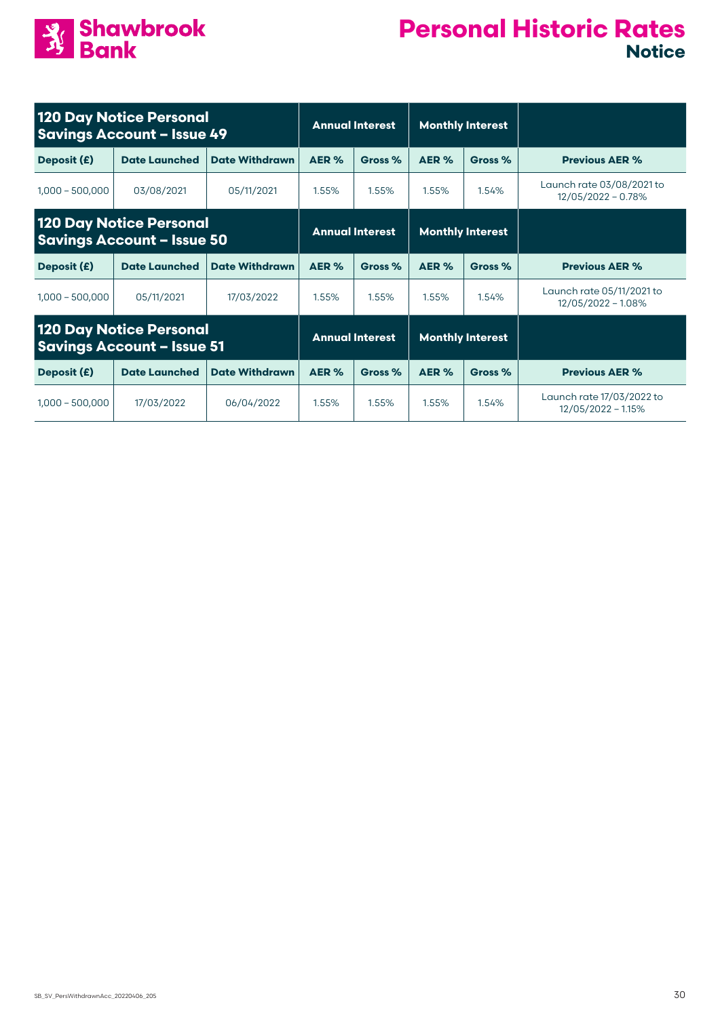

| 120 Day Notice Personal<br><b>Savings Account - Issue 49</b>        |                      | <b>Annual Interest</b> |                        | <b>Monthly Interest</b> |                         |         |                                                 |
|---------------------------------------------------------------------|----------------------|------------------------|------------------------|-------------------------|-------------------------|---------|-------------------------------------------------|
| Deposit (£)                                                         | <b>Date Launched</b> | <b>Date Withdrawn</b>  | AER %                  | Gross %                 | AER %                   | Gross % | <b>Previous AER %</b>                           |
| $1,000 - 500,000$                                                   | 03/08/2021           | 05/11/2021             | 1.55%                  | 1.55%                   | 1.55%                   | 1.54%   | Launch rate 03/08/2021 to<br>12/05/2022 - 0.78% |
| 120 Day Notice Personal<br><b>Savings Account - Issue 50</b>        |                      |                        | <b>Annual Interest</b> |                         | <b>Monthly Interest</b> |         |                                                 |
| Deposit (£)                                                         | <b>Date Launched</b> | <b>Date Withdrawn</b>  | AER %                  | Gross %                 | AER %                   | Gross % | <b>Previous AER %</b>                           |
| $1,000 - 500,000$                                                   | 05/11/2021           | 17/03/2022             | 1.55%                  | 1.55%                   | 1.55%                   | 1.54%   | Launch rate 05/11/2021 to<br>12/05/2022 - 1.08% |
| <b>120 Day Notice Personal</b><br><b>Savings Account - Issue 51</b> |                      | <b>Annual Interest</b> |                        | <b>Monthly Interest</b> |                         |         |                                                 |
| Deposit (£)                                                         | <b>Date Launched</b> | <b>Date Withdrawn</b>  | AER %                  | Gross %                 | AER %                   | Gross % | <b>Previous AER %</b>                           |
| $1.000 - 500.000$                                                   | 17/03/2022           | 06/04/2022             | 1.55%                  | 1.55%                   | 1.55%                   | 1.54%   | Launch rate 17/03/2022 to<br>12/05/2022 - 1.15% |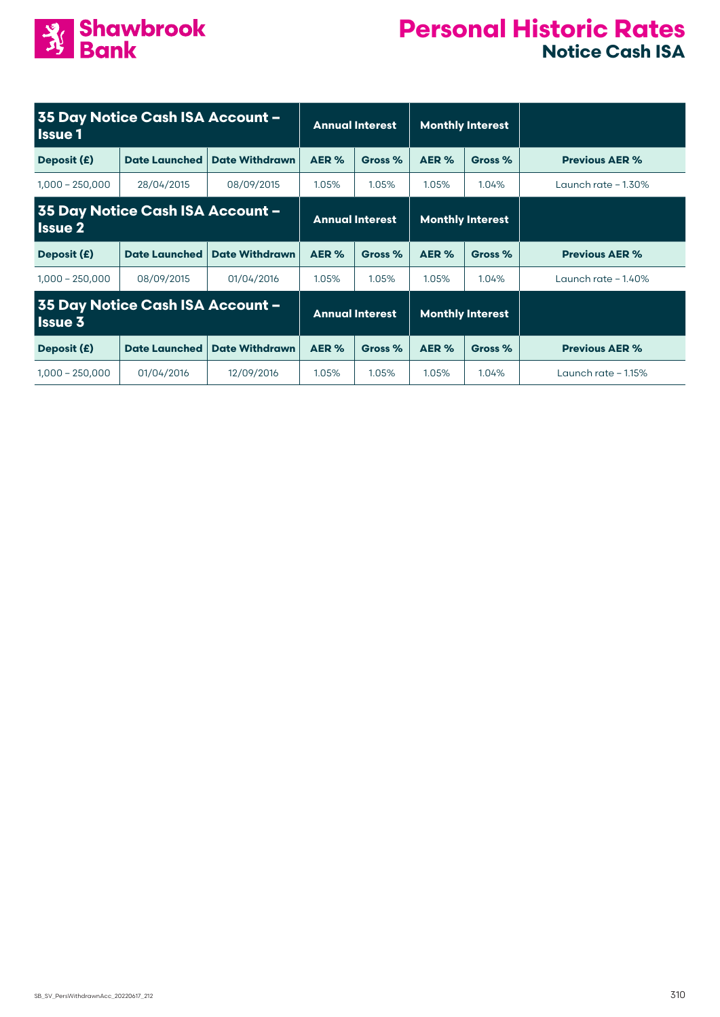

#### **Personal Historic Rates Notice Cash ISA**

| 35 Day Notice Cash ISA Account -<br><b>Issue 1</b> |                      |                        | <b>Annual Interest</b> |                         | <b>Monthly Interest</b> |         |                       |
|----------------------------------------------------|----------------------|------------------------|------------------------|-------------------------|-------------------------|---------|-----------------------|
| Deposit (£)                                        | <b>Date Launched</b> | <b>Date Withdrawn</b>  | AER%                   | Gross %                 | AER %                   | Gross % | <b>Previous AER %</b> |
| $1,000 - 250,000$                                  | 28/04/2015           | 08/09/2015             | 1.05%                  | 1.05%                   | 1.05%                   | 1.04%   | Launch rate $-1.30\%$ |
| 35 Day Notice Cash ISA Account -<br><b>Issue 2</b> |                      | <b>Annual Interest</b> |                        |                         | <b>Monthly Interest</b> |         |                       |
| Deposit (£)                                        | <b>Date Launched</b> | <b>Date Withdrawn</b>  | AER %                  | Gross %                 | AER %                   | Gross % | <b>Previous AER %</b> |
| $1,000 - 250,000$                                  | 08/09/2015           | 01/04/2016             | 1.05%                  | 1.05%                   | 1.05%                   | 1.04%   | Launch rate $-1.40\%$ |
| 35 Day Notice Cash ISA Account -<br><b>Issue 3</b> |                      | <b>Annual Interest</b> |                        | <b>Monthly Interest</b> |                         |         |                       |
| Deposit (£)                                        | <b>Date Launched</b> | <b>Date Withdrawn</b>  | AER %                  | Gross %                 | AER %                   | Gross % | <b>Previous AER %</b> |
| $1,000 - 250,000$                                  | 01/04/2016           | 12/09/2016             | 1.05%                  | 1.05%                   | 1.05%                   | 1.04%   | Launch rate $-1.15%$  |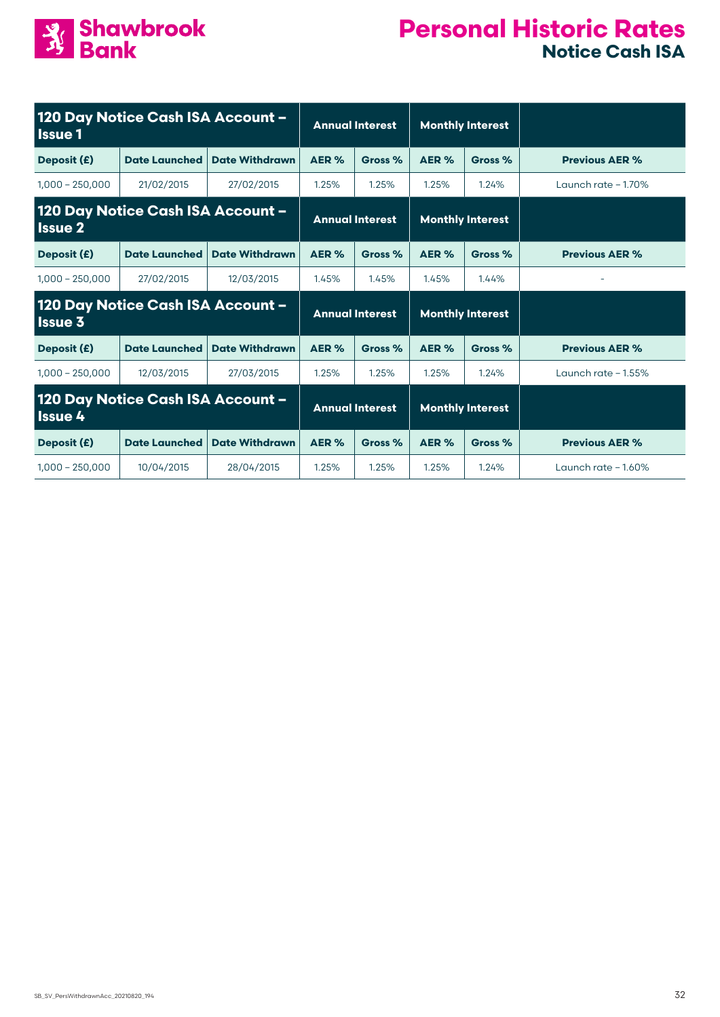

#### **Personal Historic Rates Notice Cash ISA**

| 120 Day Notice Cash ISA Account -<br><b>Issue 1</b> |                                   |                       | <b>Annual Interest</b> |                        | <b>Monthly Interest</b> |                         |                       |
|-----------------------------------------------------|-----------------------------------|-----------------------|------------------------|------------------------|-------------------------|-------------------------|-----------------------|
| Deposit (£)                                         | <b>Date Launched</b>              | <b>Date Withdrawn</b> | AER%                   | AER %<br>Gross %       |                         | Gross %                 | <b>Previous AER %</b> |
| $1,000 - 250,000$                                   | 21/02/2015                        | 27/02/2015            | 1.25%                  | 1.25%                  | 1.25%                   | 1.24%                   | Launch rate $-1.70\%$ |
| 120 Day Notice Cash ISA Account -<br><b>Issue 2</b> |                                   |                       | <b>Annual Interest</b> |                        | <b>Monthly Interest</b> |                         |                       |
| Deposit (£)                                         | <b>Date Launched</b>              | <b>Date Withdrawn</b> | AER%                   | Gross %                | AER %                   | Gross %                 | <b>Previous AER %</b> |
| $1,000 - 250,000$                                   | 27/02/2015                        | 12/03/2015            | 1.45%                  | 1.45%                  | 1.45%                   | 1.44%                   |                       |
| <b>Issue 3</b>                                      | 120 Day Notice Cash ISA Account - |                       | <b>Annual Interest</b> |                        |                         | <b>Monthly Interest</b> |                       |
| Deposit (£)                                         | <b>Date Launched</b>              | <b>Date Withdrawn</b> | AER%                   | Gross %                | AER %                   | Gross %                 | <b>Previous AER %</b> |
| $1,000 - 250,000$                                   | 12/03/2015                        | 27/03/2015            | 1.25%                  | 1.25%                  | 1.25%                   | 1.24%                   | Launch rate $-1.55\%$ |
| 120 Day Notice Cash ISA Account -<br><b>Issue 4</b> |                                   |                       |                        | <b>Annual Interest</b> |                         | <b>Monthly Interest</b> |                       |
| Deposit (£)                                         | <b>Date Launched</b>              | <b>Date Withdrawn</b> | AER %                  | Gross %                | AER %                   | Gross %                 | <b>Previous AER %</b> |
| $1,000 - 250,000$                                   | 10/04/2015                        | 28/04/2015            | 1.25%                  | 1.25%                  | 1.25%                   | 1.24%                   | Launch rate $-1.60\%$ |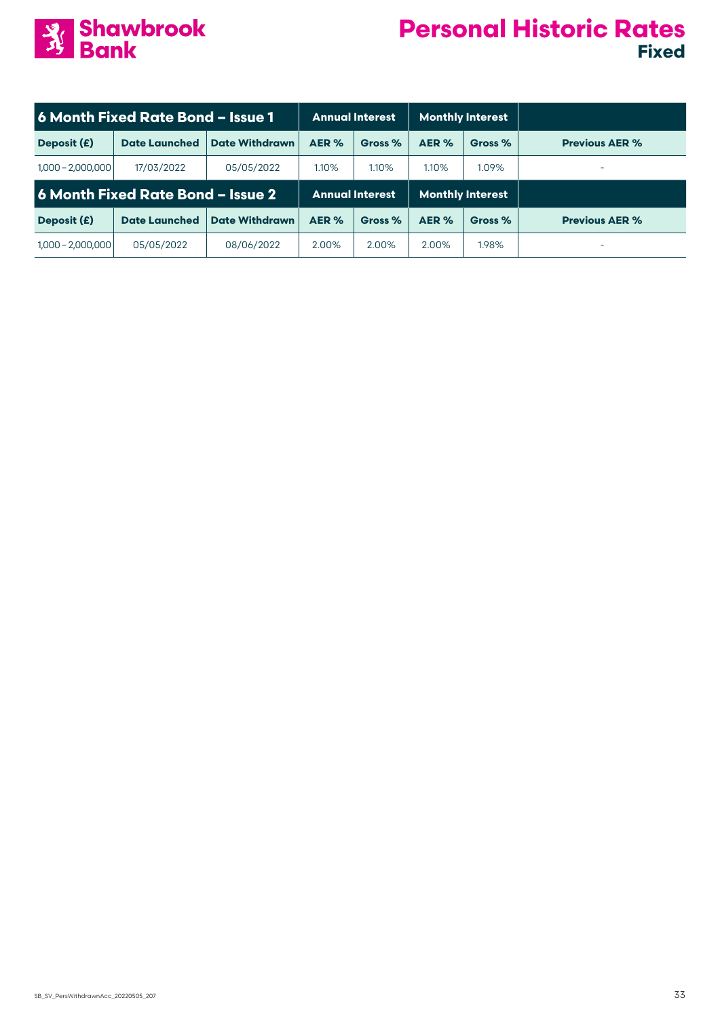

| 6 Month Fixed Rate Bond - Issue 1 |                                   |                       | <b>Annual Interest</b> |         | <b>Monthly Interest</b> |         |                       |
|-----------------------------------|-----------------------------------|-----------------------|------------------------|---------|-------------------------|---------|-----------------------|
| Deposit (£)                       | <b>Date Launched</b>              | <b>Date Withdrawn</b> | AER %                  | Gross % | AER %                   | Gross % | <b>Previous AER %</b> |
| $1,000 - 2,000,000$               | 17/03/2022                        | 05/05/2022            | 1.10%                  | 1.10%   | 1.10%                   | 1.09%   | -                     |
|                                   | 6 Month Fixed Rate Bond - Issue 2 |                       | <b>Annual Interest</b> |         | <b>Monthly Interest</b> |         |                       |
| Deposit (£)                       | <b>Date Launched</b>              | <b>Date Withdrawn</b> | AER %                  | Gross % | AER %                   | Gross % | <b>Previous AER %</b> |
| $1,000 - 2,000,000$               | 05/05/2022                        | 08/06/2022            | 2.00%                  | 2.00%   | 2.00%                   | 1.98%   | -                     |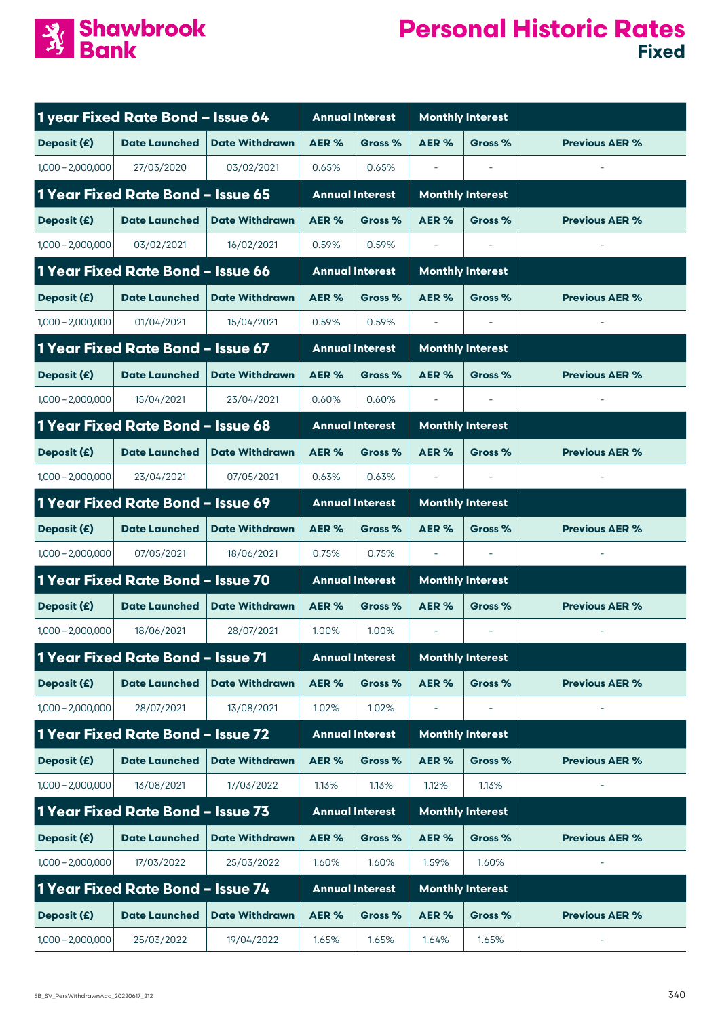

|                     | 1 year Fixed Rate Bond - Issue 64        |                       |       | <b>Annual Interest</b> |                          | <b>Monthly Interest</b>  |                       |
|---------------------|------------------------------------------|-----------------------|-------|------------------------|--------------------------|--------------------------|-----------------------|
| Deposit (£)         | <b>Date Launched</b>                     | <b>Date Withdrawn</b> | AER%  | Gross %                | AER <sub>%</sub>         | Gross %                  | <b>Previous AER %</b> |
| $1,000 - 2,000,000$ | 27/03/2020                               | 03/02/2021            | 0.65% | 0.65%                  | $\overline{\phantom{a}}$ |                          |                       |
|                     | 1 Year Fixed Rate Bond - Issue 65        |                       |       | <b>Annual Interest</b> | <b>Monthly Interest</b>  |                          |                       |
| Deposit (£)         | <b>Date Launched</b>                     | <b>Date Withdrawn</b> | AER%  | Gross %                | AER%                     | Gross %                  | <b>Previous AER %</b> |
| $1,000 - 2,000,000$ | 03/02/2021                               | 16/02/2021            | 0.59% | 0.59%                  |                          |                          |                       |
|                     | 1 Year Fixed Rate Bond - Issue 66        |                       |       | <b>Annual Interest</b> | <b>Monthly Interest</b>  |                          |                       |
| Deposit (£)         | <b>Date Launched</b>                     | <b>Date Withdrawn</b> | AER % | Gross %                | AER %                    | Gross %                  | <b>Previous AER %</b> |
| $1,000 - 2,000,000$ | 01/04/2021                               | 15/04/2021            | 0.59% | 0.59%                  |                          |                          |                       |
|                     | <b>1 Year Fixed Rate Bond - Issue 67</b> |                       |       | <b>Annual Interest</b> |                          | <b>Monthly Interest</b>  |                       |
| Deposit (£)         | <b>Date Launched</b>                     | <b>Date Withdrawn</b> | AER % | Gross %                | AER %                    | Gross %                  | <b>Previous AER %</b> |
| $1,000 - 2,000,000$ | 15/04/2021                               | 23/04/2021            | 0.60% | 0.60%                  | $\overline{\phantom{a}}$ | $\overline{\phantom{a}}$ |                       |
|                     | 1 Year Fixed Rate Bond - Issue 68        |                       |       | <b>Annual Interest</b> | <b>Monthly Interest</b>  |                          |                       |
| Deposit (£)         | <b>Date Launched</b>                     | <b>Date Withdrawn</b> | AER%  | Gross %                | AER%                     | Gross %                  | <b>Previous AER %</b> |
| $1,000 - 2,000,000$ | 23/04/2021                               | 07/05/2021            | 0.63% | 0.63%                  |                          |                          |                       |
|                     | 1 Year Fixed Rate Bond - Issue 69        |                       |       | <b>Annual Interest</b> | <b>Monthly Interest</b>  |                          |                       |
| Deposit (£)         | <b>Date Launched</b>                     | <b>Date Withdrawn</b> | AER % | Gross %                | AER%                     | Gross %                  | <b>Previous AER %</b> |
| $1,000 - 2,000,000$ | 07/05/2021                               | 18/06/2021            | 0.75% | 0.75%                  |                          |                          |                       |
|                     | 1 Year Fixed Rate Bond - Issue 70        |                       |       | <b>Annual Interest</b> |                          | <b>Monthly Interest</b>  |                       |
| Deposit (£)         | <b>Date Launched</b>                     | <b>Date Withdrawn</b> | AER%  | Gross %                | AER%                     | Gross %                  | <b>Previous AER %</b> |
| $1,000 - 2,000,000$ | 18/06/2021                               | 28/07/2021            | 1.00% | 1.00%                  | $\overline{\phantom{a}}$ |                          |                       |
|                     | 1 Year Fixed Rate Bond - Issue 71        |                       |       | <b>Annual Interest</b> |                          | <b>Monthly Interest</b>  |                       |
| Deposit (£)         | <b>Date Launched</b>                     | <b>Date Withdrawn</b> | AER%  | Gross %                | AER%                     | Gross %                  | <b>Previous AER %</b> |
| $1,000 - 2,000,000$ | 28/07/2021                               | 13/08/2021            | 1.02% | 1.02%                  |                          |                          |                       |
|                     | 1 Year Fixed Rate Bond - Issue 72        |                       |       | <b>Annual Interest</b> |                          | <b>Monthly Interest</b>  |                       |
| Deposit (£)         | <b>Date Launched</b>                     | <b>Date Withdrawn</b> | AER%  | Gross %                | AER%                     | Gross %                  | <b>Previous AER %</b> |
| $1,000 - 2,000,000$ | 13/08/2021                               | 17/03/2022            | 1.13% | 1.13%                  | 1.12%                    | 1.13%                    |                       |
|                     | 1 Year Fixed Rate Bond - Issue 73        |                       |       | <b>Annual Interest</b> |                          | <b>Monthly Interest</b>  |                       |
| Deposit (£)         | <b>Date Launched</b>                     | <b>Date Withdrawn</b> | AER%  | Gross %                | AER %                    | Gross %                  | <b>Previous AER %</b> |
| $1,000 - 2,000,000$ | 17/03/2022                               | 25/03/2022            | 1.60% | 1.60%                  | 1.59%                    | 1.60%                    |                       |
|                     | 1 Year Fixed Rate Bond - Issue 74        |                       |       | <b>Annual Interest</b> |                          | <b>Monthly Interest</b>  |                       |
| Deposit (£)         | <b>Date Launched</b>                     | <b>Date Withdrawn</b> | AER%  | Gross %                | AER%                     | Gross %                  | <b>Previous AER %</b> |
| $1,000 - 2,000,000$ | 25/03/2022                               | 19/04/2022            | 1.65% | 1.65%                  | 1.64%                    | 1.65%                    |                       |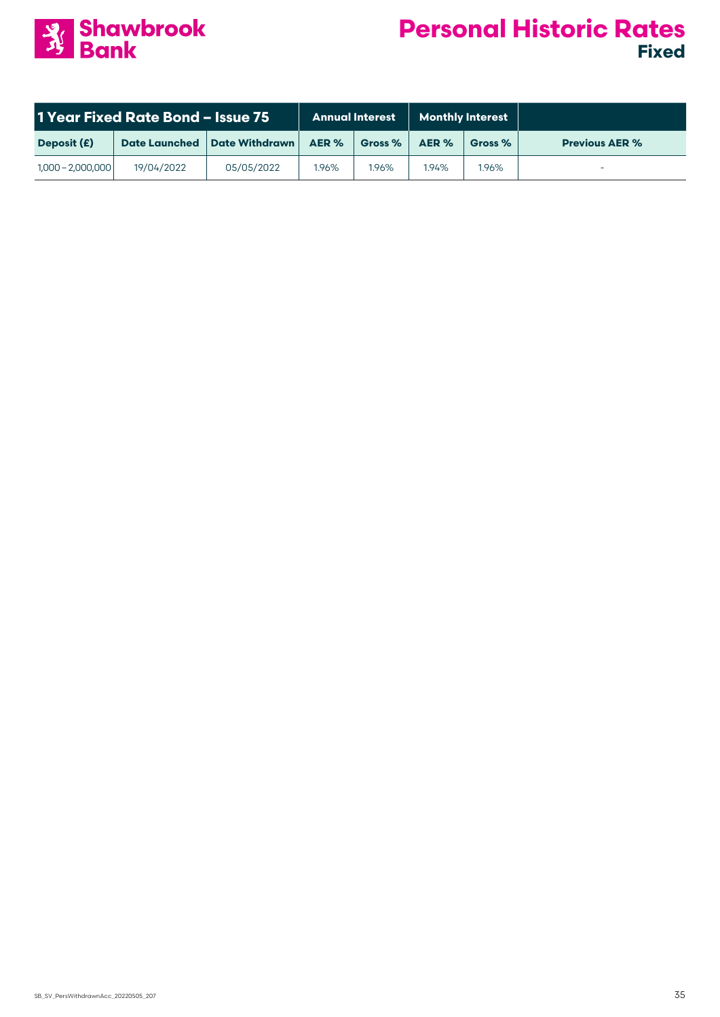

| 1 Year Fixed Rate Bond - Issue 75 |                      |                       | <b>Monthly Interest</b><br><b>Annual Interest</b> |           |       |         |                       |
|-----------------------------------|----------------------|-----------------------|---------------------------------------------------|-----------|-------|---------|-----------------------|
| Deposit (£)                       | <b>Date Launched</b> | <b>Date Withdrawn</b> | AER %                                             | Gross $%$ | AER % | Gross % | <b>Previous AER %</b> |
| $1,000 - 2,000,000$               | 19/04/2022           | 05/05/2022            | 1.96%                                             | 1,96%     | 1.94% | 1.96%   |                       |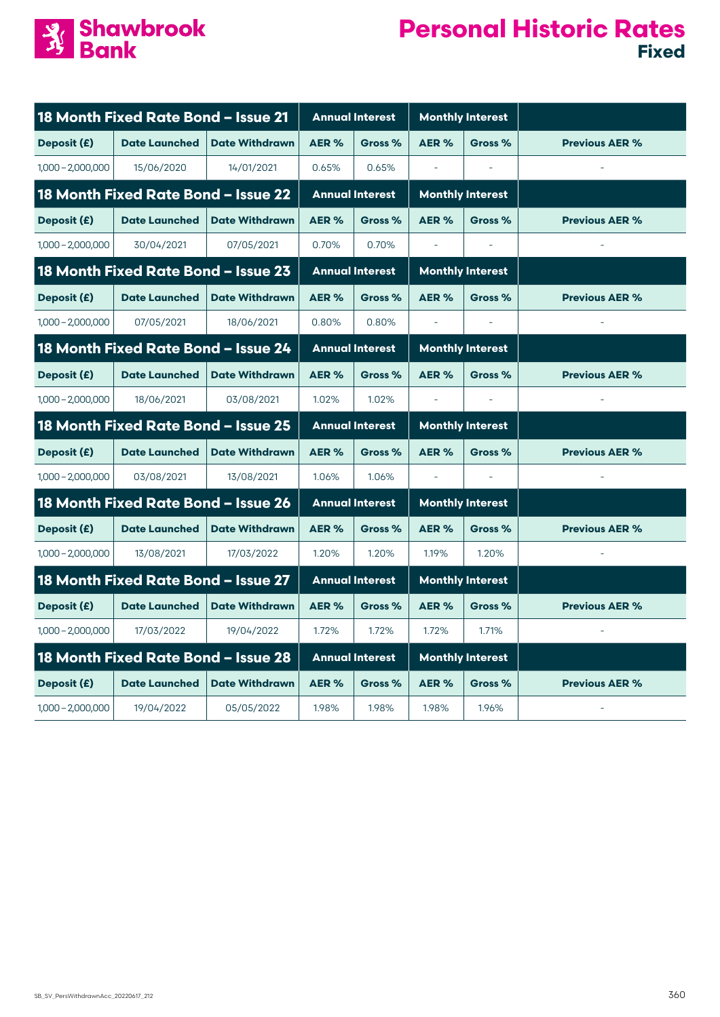

| 18 Month Fixed Rate Bond - Issue 21 |                                            |                       |                        | <b>Annual Interest</b> | <b>Monthly Interest</b> |         |                       |
|-------------------------------------|--------------------------------------------|-----------------------|------------------------|------------------------|-------------------------|---------|-----------------------|
| Deposit (£)                         | <b>Date Launched</b>                       | <b>Date Withdrawn</b> | AER%                   | Gross %                | AER %                   | Gross % | <b>Previous AER %</b> |
| $1,000 - 2,000,000$                 | 15/06/2020                                 | 14/01/2021            | 0.65%                  | 0.65%                  |                         |         |                       |
| 18 Month Fixed Rate Bond - Issue 22 |                                            |                       | <b>Annual Interest</b> |                        | <b>Monthly Interest</b> |         |                       |
| Deposit (£)                         | <b>Date Launched</b>                       | <b>Date Withdrawn</b> | AER%                   | Gross %                | AER%                    | Gross % | <b>Previous AER %</b> |
| $1,000 - 2,000,000$                 | 30/04/2021                                 | 07/05/2021            | 0.70%                  | 0.70%                  |                         |         |                       |
|                                     | 18 Month Fixed Rate Bond - Issue 23        |                       |                        | <b>Annual Interest</b> | <b>Monthly Interest</b> |         |                       |
| Deposit (£)                         | <b>Date Launched</b>                       | <b>Date Withdrawn</b> | AER %                  | Gross %                | AER %                   | Gross % | <b>Previous AER %</b> |
| $1,000 - 2,000,000$                 | 07/05/2021                                 | 18/06/2021            | 0.80%                  | 0.80%                  | $\bar{\phantom{a}}$     |         |                       |
|                                     | 18 Month Fixed Rate Bond - Issue 24        |                       |                        | <b>Annual Interest</b> | <b>Monthly Interest</b> |         |                       |
| Deposit (£)                         | <b>Date Launched</b>                       | <b>Date Withdrawn</b> | AER%                   | Gross %                | AER %                   | Gross % | <b>Previous AER %</b> |
| $1,000 - 2,000,000$                 | 18/06/2021                                 | 03/08/2021            | 1.02%                  | 1.02%                  |                         |         |                       |
|                                     | <b>18 Month Fixed Rate Bond - Issue 25</b> |                       | <b>Annual Interest</b> |                        | <b>Monthly Interest</b> |         |                       |
| Deposit (£)                         | <b>Date Launched</b>                       | <b>Date Withdrawn</b> | AER %                  | Gross %                | AER %                   | Gross % | <b>Previous AER %</b> |
| $1,000 - 2,000,000$                 | 03/08/2021                                 | 13/08/2021            | 1.06%                  | 1.06%                  | $\equiv$                |         |                       |
|                                     | 18 Month Fixed Rate Bond - Issue 26        |                       |                        | <b>Annual Interest</b> | <b>Monthly Interest</b> |         |                       |
| Deposit (£)                         | <b>Date Launched</b>                       | <b>Date Withdrawn</b> | AER%                   | Gross %                | AER %                   | Gross % | <b>Previous AER %</b> |
| $1,000 - 2,000,000$                 | 13/08/2021                                 | 17/03/2022            | 1.20%                  | 1.20%                  | 1.19%                   | 1.20%   |                       |
|                                     | 18 Month Fixed Rate Bond - Issue 27        |                       |                        | <b>Annual Interest</b> | <b>Monthly Interest</b> |         |                       |
| Deposit (£)                         | <b>Date Launched</b>                       | <b>Date Withdrawn</b> | AER%                   | Gross %                | AER%                    | Gross % | <b>Previous AER %</b> |
| $1,000 - 2,000,000$                 | 17/03/2022                                 | 19/04/2022            | 1.72%                  | 1.72%                  | 1.72%                   | 1.71%   |                       |
|                                     | 18 Month Fixed Rate Bond - Issue 28        |                       |                        | <b>Annual Interest</b> | <b>Monthly Interest</b> |         |                       |
| Deposit (£)                         | <b>Date Launched</b>                       | <b>Date Withdrawn</b> | AER %                  | Gross %                | AER%                    | Gross % | <b>Previous AER %</b> |
| $1,000 - 2,000,000$                 | 19/04/2022                                 | 05/05/2022            | 1.98%                  | 1.98%                  | 1.98%                   | 1.96%   |                       |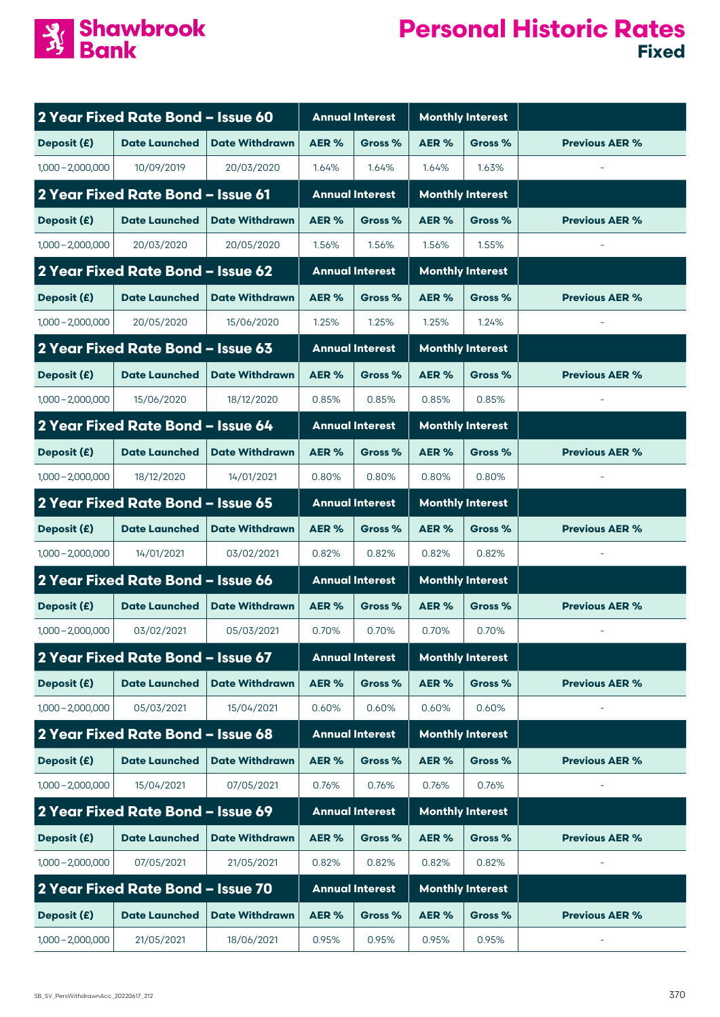

|                     | 2 Year Fixed Rate Bond - Issue 60 |                       |       | <b>Annual Interest</b> | <b>Monthly Interest</b> |                         |                       |
|---------------------|-----------------------------------|-----------------------|-------|------------------------|-------------------------|-------------------------|-----------------------|
| Deposit (£)         | <b>Date Launched</b>              | <b>Date Withdrawn</b> | AER%  | Gross %                | AER %                   | Gross %                 | <b>Previous AER %</b> |
| $1,000 - 2,000,000$ | 10/09/2019                        | 20/03/2020            | 1.64% | 1.64%                  | 1.64%                   | 1.63%                   |                       |
|                     | 2 Year Fixed Rate Bond - Issue 61 |                       |       | <b>Annual Interest</b> |                         | <b>Monthly Interest</b> |                       |
| Deposit (£)         | <b>Date Launched</b>              | <b>Date Withdrawn</b> | AER%  | Gross %                | AER %                   | Gross %                 | <b>Previous AER %</b> |
| $1,000 - 2,000,000$ | 20/03/2020                        | 20/05/2020            | 1.56% | 1.56%                  | 1.56%                   | 1.55%                   |                       |
|                     | 2 Year Fixed Rate Bond - Issue 62 |                       |       | <b>Annual Interest</b> |                         | <b>Monthly Interest</b> |                       |
| Deposit (£)         | <b>Date Launched</b>              | <b>Date Withdrawn</b> | AER%  | Gross %                | AER%                    | Gross %                 | <b>Previous AER %</b> |
| $1,000 - 2,000,000$ | 20/05/2020                        | 15/06/2020            | 1.25% | 1.25%                  | 1.25%                   | 1.24%                   |                       |
|                     | 2 Year Fixed Rate Bond - Issue 63 |                       |       | <b>Annual Interest</b> |                         | <b>Monthly Interest</b> |                       |
| Deposit (£)         | <b>Date Launched</b>              | <b>Date Withdrawn</b> | AER%  | Gross %                | AER%                    | Gross %                 | <b>Previous AER %</b> |
| $1,000 - 2,000,000$ | 15/06/2020                        | 18/12/2020            | 0.85% | 0.85%                  | 0.85%                   | 0.85%                   |                       |
|                     | 2 Year Fixed Rate Bond - Issue 64 |                       |       | <b>Annual Interest</b> |                         | <b>Monthly Interest</b> |                       |
| Deposit (£)         | <b>Date Launched</b>              | <b>Date Withdrawn</b> | AER%  | Gross %                | AER%                    | Gross %                 | <b>Previous AER %</b> |
| $1,000 - 2,000,000$ | 18/12/2020                        | 14/01/2021            | 0.80% | 0.80%                  | 0.80%                   | 0.80%                   |                       |
|                     | 2 Year Fixed Rate Bond - Issue 65 |                       |       | <b>Annual Interest</b> |                         | <b>Monthly Interest</b> |                       |
| Deposit (£)         | <b>Date Launched</b>              | <b>Date Withdrawn</b> | AER%  | Gross %                | AER%                    | Gross %                 | <b>Previous AER %</b> |
| $1,000 - 2,000,000$ | 14/01/2021                        | 03/02/2021            | 0.82% | 0.82%                  | 0.82%                   | 0.82%                   |                       |
|                     | 2 Year Fixed Rate Bond - Issue 66 |                       |       | <b>Annual Interest</b> |                         | <b>Monthly Interest</b> |                       |
| Deposit (£)         | <b>Date Launched</b>              | <b>Date Withdrawn</b> | AER%  | Gross %                | AER%                    | Gross %                 | <b>Previous AER %</b> |
| $1,000 - 2,000,000$ | 03/02/2021                        | 05/03/2021            | 0.70% | 0.70%                  | 0.70%                   | 0.70%                   |                       |
|                     | 2 Year Fixed Rate Bond - Issue 67 |                       |       | <b>Annual Interest</b> |                         | <b>Monthly Interest</b> |                       |
| Deposit (£)         | <b>Date Launched</b>              | <b>Date Withdrawn</b> | AER%  | Gross %                | AER%                    | Gross %                 | <b>Previous AER %</b> |
| $1,000 - 2,000,000$ | 05/03/2021                        | 15/04/2021            | 0.60% | 0.60%                  | 0.60%                   | 0.60%                   |                       |
|                     | 2 Year Fixed Rate Bond - Issue 68 |                       |       | <b>Annual Interest</b> |                         | <b>Monthly Interest</b> |                       |
| Deposit (£)         | <b>Date Launched</b>              | <b>Date Withdrawn</b> | AER%  | Gross %                | AER%                    | Gross %                 | <b>Previous AER %</b> |
| $1,000 - 2,000,000$ | 15/04/2021                        | 07/05/2021            | 0.76% | 0.76%                  | 0.76%                   | 0.76%                   |                       |
|                     | 2 Year Fixed Rate Bond - Issue 69 |                       |       | <b>Annual Interest</b> |                         | <b>Monthly Interest</b> |                       |
| Deposit (£)         | <b>Date Launched</b>              | <b>Date Withdrawn</b> | AER%  | Gross %                | AER%                    | Gross %                 | <b>Previous AER %</b> |
| $1,000 - 2,000,000$ | 07/05/2021                        | 21/05/2021            | 0.82% | 0.82%                  | 0.82%                   | 0.82%                   |                       |
|                     | 2 Year Fixed Rate Bond - Issue 70 |                       |       | <b>Annual Interest</b> |                         | <b>Monthly Interest</b> |                       |
| Deposit (£)         | <b>Date Launched</b>              | <b>Date Withdrawn</b> | AER%  | Gross %                | AER%                    | Gross %                 | <b>Previous AER %</b> |
| $1,000 - 2,000,000$ | 21/05/2021                        | 18/06/2021            | 0.95% | 0.95%                  | 0.95%                   | 0.95%                   |                       |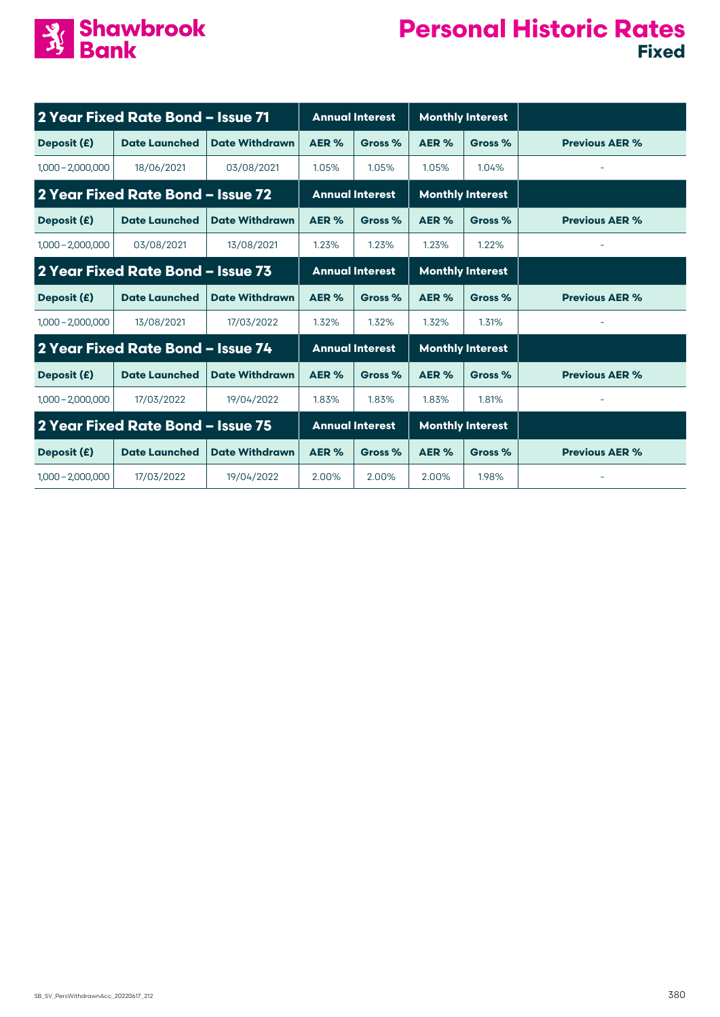

| 2 Year Fixed Rate Bond - Issue 71 |                                   |                       | <b>Annual Interest</b> |                        |                         | <b>Monthly Interest</b> |                       |
|-----------------------------------|-----------------------------------|-----------------------|------------------------|------------------------|-------------------------|-------------------------|-----------------------|
| Deposit (£)                       | <b>Date Launched</b>              | <b>Date Withdrawn</b> | AER %                  | Gross %                | AER %                   | Gross %                 | <b>Previous AER %</b> |
| $1,000 - 2,000,000$               | 18/06/2021                        | 03/08/2021            | 1.05%                  | 1.05%                  | 1.05%                   | 1.04%                   |                       |
|                                   | 2 Year Fixed Rate Bond - Issue 72 |                       | <b>Annual Interest</b> |                        | <b>Monthly Interest</b> |                         |                       |
| Deposit (£)                       | <b>Date Launched</b>              | <b>Date Withdrawn</b> | AER%                   | Gross %                | AER %                   | Gross %                 | <b>Previous AER %</b> |
| $1,000 - 2,000,000$               | 03/08/2021                        | 13/08/2021            | 1.23%                  | 1.23%                  | 1.23%                   | 1.22%                   |                       |
|                                   | 2 Year Fixed Rate Bond - Issue 73 |                       |                        | <b>Annual Interest</b> |                         | <b>Monthly Interest</b> |                       |
| Deposit (£)                       | <b>Date Launched</b>              | <b>Date Withdrawn</b> | AER%                   | Gross %                | AER%                    | Gross %                 | <b>Previous AER %</b> |
| $1,000 - 2,000,000$               | 13/08/2021                        | 17/03/2022            | 1.32%                  | 1.32%                  | 1.32%                   | 1.31%                   |                       |
|                                   | 2 Year Fixed Rate Bond - Issue 74 |                       |                        | <b>Annual Interest</b> |                         | <b>Monthly Interest</b> |                       |
| Deposit (£)                       | <b>Date Launched</b>              | <b>Date Withdrawn</b> | AER %                  | Gross %                | AER %                   | Gross %                 | <b>Previous AER %</b> |
| $1,000 - 2,000,000$               | 17/03/2022                        | 19/04/2022            | 1.83%                  | 1.83%                  | 1.83%                   | 1.81%                   |                       |
|                                   | 2 Year Fixed Rate Bond - Issue 75 |                       |                        | <b>Annual Interest</b> |                         | <b>Monthly Interest</b> |                       |
| Deposit (£)                       | <b>Date Launched</b>              | <b>Date Withdrawn</b> | AER %                  | Gross %                | AER %                   | Gross %                 | <b>Previous AER %</b> |
| $1,000 - 2,000,000$               | 17/03/2022                        | 19/04/2022            | 2.00%                  | 2.00%                  | 2.00%                   | 1.98%                   |                       |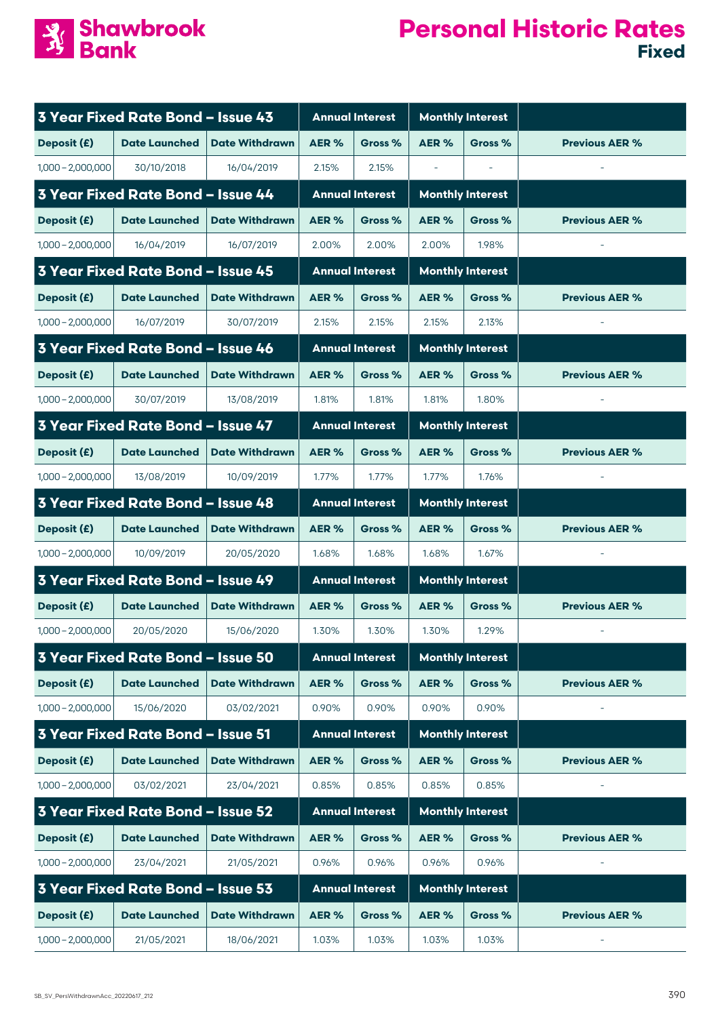

|                     | 3 Year Fixed Rate Bond - Issue 43        |                       |       | <b>Annual Interest</b> |                          | <b>Monthly Interest</b> |                       |
|---------------------|------------------------------------------|-----------------------|-------|------------------------|--------------------------|-------------------------|-----------------------|
| Deposit (£)         | <b>Date Launched</b>                     | <b>Date Withdrawn</b> | AER%  | Gross %                | AER%                     | Gross %                 | <b>Previous AER %</b> |
| $1,000 - 2,000,000$ | 30/10/2018                               | 16/04/2019            | 2.15% | 2.15%                  | $\overline{\phantom{a}}$ |                         |                       |
|                     | 3 Year Fixed Rate Bond - Issue 44        |                       |       | <b>Annual Interest</b> |                          | <b>Monthly Interest</b> |                       |
| Deposit (£)         | <b>Date Launched</b>                     | <b>Date Withdrawn</b> | AER%  | Gross %                | AER%                     | Gross %                 | <b>Previous AER %</b> |
| $1,000 - 2,000,000$ | 16/04/2019                               | 16/07/2019            | 2.00% | 2.00%                  | 2.00%                    | 1.98%                   |                       |
|                     | 3 Year Fixed Rate Bond - Issue 45        |                       |       | <b>Annual Interest</b> |                          | <b>Monthly Interest</b> |                       |
| Deposit (£)         | <b>Date Launched</b>                     | <b>Date Withdrawn</b> | AER%  | Gross %                | AER%                     | Gross %                 | <b>Previous AER %</b> |
| $1,000 - 2,000,000$ | 16/07/2019                               | 30/07/2019            | 2.15% | 2.15%                  | 2.15%                    | 2.13%                   |                       |
|                     | 3 Year Fixed Rate Bond - Issue 46        |                       |       | <b>Annual Interest</b> |                          | <b>Monthly Interest</b> |                       |
| Deposit (£)         | <b>Date Launched</b>                     | <b>Date Withdrawn</b> | AER % | Gross %                | AER%                     | Gross %                 | <b>Previous AER %</b> |
| $1,000 - 2,000,000$ | 30/07/2019                               | 13/08/2019            | 1.81% | 1.81%                  | 1.81%                    | 1.80%                   |                       |
|                     | 3 Year Fixed Rate Bond - Issue 47        |                       |       | <b>Annual Interest</b> |                          | <b>Monthly Interest</b> |                       |
| Deposit (£)         | <b>Date Launched</b>                     | <b>Date Withdrawn</b> | AER%  | Gross %                | AER%                     | Gross %                 | <b>Previous AER %</b> |
| $1,000 - 2,000,000$ | 13/08/2019                               | 10/09/2019            | 1.77% | 1.77%                  | 1.77%                    | 1.76%                   |                       |
|                     | 3 Year Fixed Rate Bond - Issue 48        |                       |       | <b>Annual Interest</b> |                          | <b>Monthly Interest</b> |                       |
| Deposit (£)         | <b>Date Launched</b>                     | <b>Date Withdrawn</b> | AER%  | Gross %                | AER%                     | Gross %                 | <b>Previous AER %</b> |
| $1,000 - 2,000,000$ | 10/09/2019                               | 20/05/2020            | 1.68% | 1.68%                  | 1.68%                    | 1.67%                   |                       |
|                     | 3 Year Fixed Rate Bond - Issue 49        |                       |       | <b>Annual Interest</b> |                          | <b>Monthly Interest</b> |                       |
| Deposit (£)         | <b>Date Launched</b>                     | <b>Date Withdrawn</b> | AER % | Gross %                | AER%                     | Gross %                 | <b>Previous AER %</b> |
| $1,000 - 2,000,000$ | 20/05/2020                               | 15/06/2020            | 1.30% | 1.30%                  | 1.30%                    | 1.29%                   |                       |
|                     | 3 Year Fixed Rate Bond - Issue 50        |                       |       | <b>Annual Interest</b> |                          | <b>Monthly Interest</b> |                       |
| Deposit (£)         | <b>Date Launched</b>                     | <b>Date Withdrawn</b> | AER % | Gross %                | AER %                    | Gross %                 | <b>Previous AER %</b> |
| $1,000 - 2,000,000$ | 15/06/2020                               | 03/02/2021            | 0.90% | 0.90%                  | 0.90%                    | 0.90%                   |                       |
|                     | <b>3 Year Fixed Rate Bond - Issue 51</b> |                       |       | <b>Annual Interest</b> |                          | <b>Monthly Interest</b> |                       |
| Deposit (£)         | <b>Date Launched</b>                     | <b>Date Withdrawn</b> | AER%  | Gross %                | AER %                    | Gross %                 | <b>Previous AER %</b> |
| $1,000 - 2,000,000$ | 03/02/2021                               | 23/04/2021            | 0.85% | 0.85%                  | 0.85%                    | 0.85%                   |                       |
|                     | 3 Year Fixed Rate Bond - Issue 52        |                       |       | <b>Annual Interest</b> |                          | <b>Monthly Interest</b> |                       |
| Deposit (£)         | <b>Date Launched</b>                     | <b>Date Withdrawn</b> | AER%  | Gross %                | AER %                    | Gross %                 | <b>Previous AER %</b> |
| $1,000 - 2,000,000$ | 23/04/2021                               | 21/05/2021            | 0.96% | 0.96%                  | 0.96%                    | 0.96%                   |                       |
|                     | 3 Year Fixed Rate Bond - Issue 53        |                       |       | <b>Annual Interest</b> |                          | <b>Monthly Interest</b> |                       |
| Deposit (£)         | <b>Date Launched</b>                     | <b>Date Withdrawn</b> | AER%  | Gross %                | AER%                     | Gross %                 | <b>Previous AER %</b> |
| $1,000 - 2,000,000$ | 21/05/2021                               | 18/06/2021            | 1.03% | 1.03%                  | 1.03%                    | 1.03%                   |                       |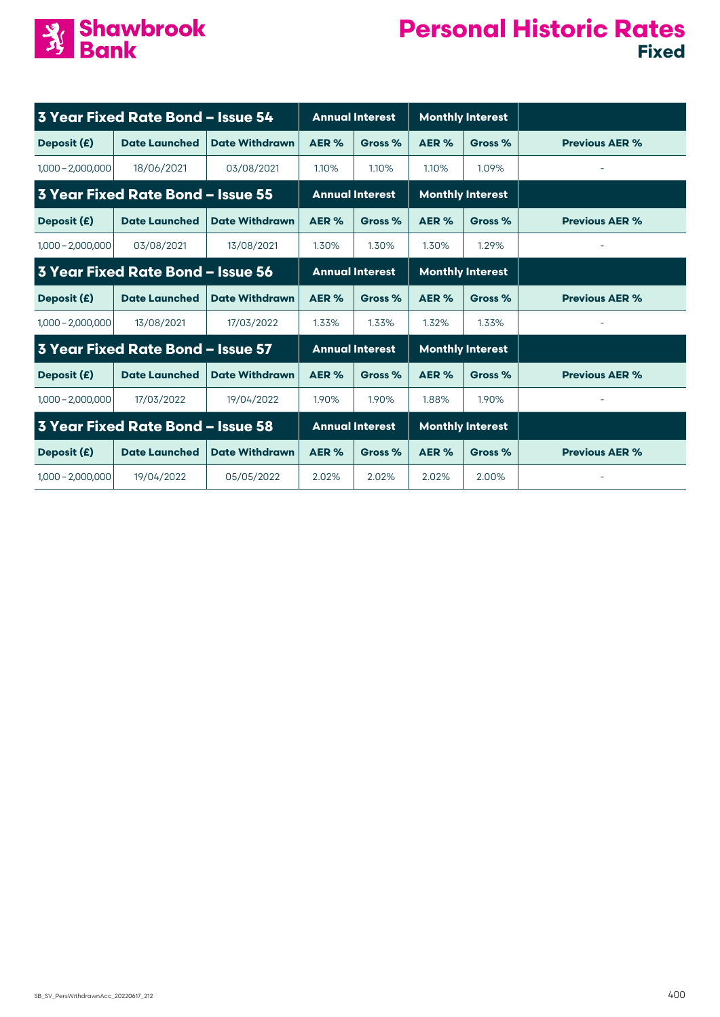

| <b>3 Year Fixed Rate Bond - Issue 54</b> |                                          |                       |                        | <b>Annual Interest</b> |                         | <b>Monthly Interest</b> |                       |
|------------------------------------------|------------------------------------------|-----------------------|------------------------|------------------------|-------------------------|-------------------------|-----------------------|
| Deposit (£)                              | <b>Date Launched</b>                     | <b>Date Withdrawn</b> | AER%                   | Gross %                | AER%                    | Gross %                 | <b>Previous AER %</b> |
| $1,000 - 2,000,000$                      | 18/06/2021                               | 03/08/2021            | 1.10%                  | 1.10%                  | 1.10%                   | 1.09%                   |                       |
|                                          | 3 Year Fixed Rate Bond - Issue 55        |                       | <b>Annual Interest</b> |                        | <b>Monthly Interest</b> |                         |                       |
| Deposit (£)                              | <b>Date Launched</b>                     | <b>Date Withdrawn</b> | AER%                   | Gross %                | AER %                   | Gross %                 | <b>Previous AER %</b> |
| $1,000 - 2,000,000$                      | 03/08/2021                               | 13/08/2021            | 1.30%                  | 1.30%                  | 1.30%                   | 1.29%                   |                       |
|                                          | 3 Year Fixed Rate Bond - Issue 56        |                       |                        | <b>Annual Interest</b> |                         | <b>Monthly Interest</b> |                       |
| Deposit (£)                              | <b>Date Launched</b>                     | <b>Date Withdrawn</b> | AER%                   | Gross %                | AER%                    | Gross %                 | <b>Previous AER %</b> |
| $1,000 - 2,000,000$                      | 13/08/2021                               | 17/03/2022            | 1.33%                  | 1.33%                  | 1.32%                   | 1.33%                   |                       |
|                                          | <b>3 Year Fixed Rate Bond - Issue 57</b> |                       |                        | <b>Annual Interest</b> |                         | <b>Monthly Interest</b> |                       |
| Deposit (£)                              | <b>Date Launched</b>                     | <b>Date Withdrawn</b> | AER %                  | Gross %                | AER %                   | Gross %                 | <b>Previous AER %</b> |
| $1,000 - 2,000,000$                      | 17/03/2022                               | 19/04/2022            | 1.90%                  | 1.90%                  | 1.88%                   | 1.90%                   |                       |
|                                          | 3 Year Fixed Rate Bond - Issue 58        |                       |                        | <b>Annual Interest</b> |                         | <b>Monthly Interest</b> |                       |
| Deposit (£)                              | <b>Date Launched</b>                     | <b>Date Withdrawn</b> | AER %                  | Gross %                | AER %                   | Gross %                 | <b>Previous AER %</b> |
| $1,000 - 2,000,000$                      | 19/04/2022                               | 05/05/2022            | 2.02%                  | 2.02%                  | 2.02%                   | 2.00%                   |                       |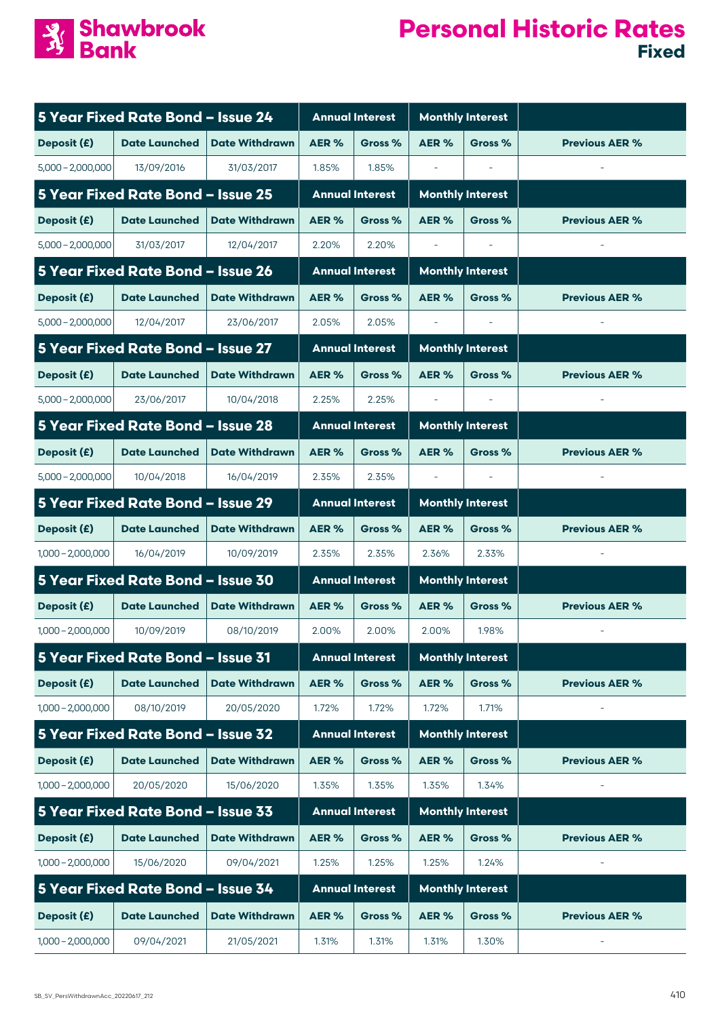

|                     | 5 Year Fixed Rate Bond - Issue 24 |                       |       | <b>Annual Interest</b> |                          | <b>Monthly Interest</b>  |                       |
|---------------------|-----------------------------------|-----------------------|-------|------------------------|--------------------------|--------------------------|-----------------------|
| Deposit (£)         | <b>Date Launched</b>              | <b>Date Withdrawn</b> | AER%  | Gross %                | AER%                     | Gross %                  | <b>Previous AER %</b> |
| $5,000 - 2,000,000$ | 13/09/2016                        | 31/03/2017            | 1.85% | 1.85%                  | $\overline{\phantom{a}}$ | $\overline{\phantom{a}}$ |                       |
|                     | 5 Year Fixed Rate Bond - Issue 25 |                       |       | <b>Annual Interest</b> |                          | <b>Monthly Interest</b>  |                       |
| Deposit (£)         | <b>Date Launched</b>              | <b>Date Withdrawn</b> | AER % | Gross %                | AER %                    | Gross %                  | <b>Previous AER %</b> |
| $5,000 - 2,000,000$ | 31/03/2017                        | 12/04/2017            | 2.20% | 2.20%                  |                          |                          |                       |
|                     | 5 Year Fixed Rate Bond - Issue 26 |                       |       | <b>Annual Interest</b> |                          | <b>Monthly Interest</b>  |                       |
| Deposit (£)         | <b>Date Launched</b>              | <b>Date Withdrawn</b> | AER % | Gross %                | AER%                     | Gross %                  | <b>Previous AER %</b> |
| $5,000 - 2,000,000$ | 12/04/2017                        | 23/06/2017            | 2.05% | 2.05%                  | $\overline{\phantom{a}}$ |                          |                       |
|                     | 5 Year Fixed Rate Bond - Issue 27 |                       |       | <b>Annual Interest</b> |                          | <b>Monthly Interest</b>  |                       |
| Deposit (£)         | <b>Date Launched</b>              | <b>Date Withdrawn</b> | AER % | Gross %                | AER%                     | Gross %                  | <b>Previous AER %</b> |
| $5,000 - 2,000,000$ | 23/06/2017                        | 10/04/2018            | 2.25% | 2.25%                  | $\overline{\phantom{a}}$ | $\overline{\phantom{a}}$ |                       |
|                     | 5 Year Fixed Rate Bond - Issue 28 |                       |       | <b>Annual Interest</b> |                          | <b>Monthly Interest</b>  |                       |
| Deposit (£)         | <b>Date Launched</b>              | <b>Date Withdrawn</b> | AER%  | Gross %                | AER%                     | Gross %                  | <b>Previous AER %</b> |
| $5,000 - 2,000,000$ | 10/04/2018                        | 16/04/2019            | 2.35% | 2.35%                  |                          |                          |                       |
|                     | 5 Year Fixed Rate Bond - Issue 29 |                       |       | <b>Annual Interest</b> |                          | <b>Monthly Interest</b>  |                       |
| Deposit (£)         | <b>Date Launched</b>              | <b>Date Withdrawn</b> | AER % | Gross %                | AER%                     | Gross %                  | <b>Previous AER %</b> |
| $1,000 - 2,000,000$ | 16/04/2019                        | 10/09/2019            | 2.35% | 2.35%                  | 2.36%                    | 2.33%                    |                       |
|                     | 5 Year Fixed Rate Bond - Issue 30 |                       |       | <b>Annual Interest</b> |                          | <b>Monthly Interest</b>  |                       |
| Deposit (£)         | <b>Date Launched</b>              | <b>Date Withdrawn</b> | AER % | Gross %                | AER%                     | Gross %                  | <b>Previous AER %</b> |
| $1,000 - 2,000,000$ | 10/09/2019                        | 08/10/2019            | 2.00% | 2.00%                  | 2.00%                    | 1.98%                    |                       |
|                     | 5 Year Fixed Rate Bond - Issue 31 |                       |       | <b>Annual Interest</b> |                          | <b>Monthly Interest</b>  |                       |
| Deposit (£)         | <b>Date Launched</b>              | <b>Date Withdrawn</b> | AER % | Gross %                | AER%                     | Gross %                  | <b>Previous AER %</b> |
| $1,000 - 2,000,000$ | 08/10/2019                        | 20/05/2020            | 1.72% | 1.72%                  | 1.72%                    | 1.71%                    |                       |
|                     | 5 Year Fixed Rate Bond - Issue 32 |                       |       | <b>Annual Interest</b> |                          | <b>Monthly Interest</b>  |                       |
| Deposit (£)         | <b>Date Launched</b>              | <b>Date Withdrawn</b> | AER%  | Gross %                | AER%                     | Gross %                  | <b>Previous AER %</b> |
| $1,000 - 2,000,000$ | 20/05/2020                        | 15/06/2020            | 1.35% | 1.35%                  | 1.35%                    | 1.34%                    |                       |
|                     | 5 Year Fixed Rate Bond - Issue 33 |                       |       | <b>Annual Interest</b> |                          | <b>Monthly Interest</b>  |                       |
| Deposit (£)         | <b>Date Launched</b>              | <b>Date Withdrawn</b> | AER%  | Gross %                | AER%                     | Gross %                  | <b>Previous AER %</b> |
| $1,000 - 2,000,000$ | 15/06/2020                        | 09/04/2021            | 1.25% | 1.25%                  | 1.25%                    | 1.24%                    |                       |
|                     | 5 Year Fixed Rate Bond - Issue 34 |                       |       | <b>Annual Interest</b> |                          | <b>Monthly Interest</b>  |                       |
| Deposit (£)         | <b>Date Launched</b>              | <b>Date Withdrawn</b> | AER%  | Gross %                | AER%                     | Gross %                  | <b>Previous AER %</b> |
| $1,000 - 2,000,000$ | 09/04/2021                        | 21/05/2021            | 1.31% | 1.31%                  | 1.31%                    | 1.30%                    |                       |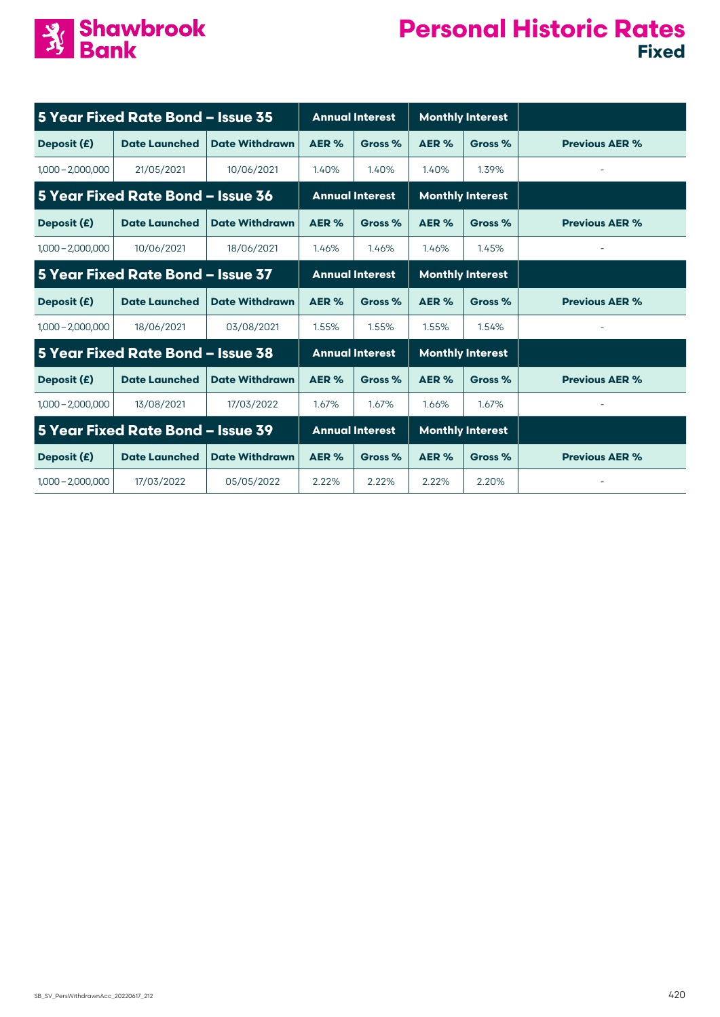

|                     | 5 Year Fixed Rate Bond - Issue 35 |                       |                        | <b>Annual Interest</b> |       | <b>Monthly Interest</b> |                       |
|---------------------|-----------------------------------|-----------------------|------------------------|------------------------|-------|-------------------------|-----------------------|
| Deposit (£)         | <b>Date Launched</b>              | <b>Date Withdrawn</b> | AER %                  | Gross %                | AER % | Gross %                 | <b>Previous AER %</b> |
| $1,000 - 2,000,000$ | 21/05/2021                        | 10/06/2021            | 1.40%                  | 1.40%                  | 1.40% | 1.39%                   |                       |
|                     | 5 Year Fixed Rate Bond - Issue 36 |                       | <b>Annual Interest</b> |                        |       | <b>Monthly Interest</b> |                       |
| Deposit (£)         | <b>Date Launched</b>              | <b>Date Withdrawn</b> | AER %                  | Gross %                | AER % | Gross %                 | <b>Previous AER %</b> |
| $1,000 - 2,000,000$ | 10/06/2021                        | 18/06/2021            | 1.46%                  | 1.46%                  | 1.46% | 1.45%                   |                       |
|                     | 5 Year Fixed Rate Bond - Issue 37 |                       |                        | <b>Annual Interest</b> |       | <b>Monthly Interest</b> |                       |
| Deposit (£)         | <b>Date Launched</b>              | <b>Date Withdrawn</b> | AER %                  | Gross %                | AER % | Gross %                 | <b>Previous AER %</b> |
| $1,000 - 2,000,000$ | 18/06/2021                        | 03/08/2021            | 1.55%                  | 1.55%                  | 1.55% | 1.54%                   |                       |
|                     | 5 Year Fixed Rate Bond - Issue 38 |                       |                        | <b>Annual Interest</b> |       | <b>Monthly Interest</b> |                       |
| Deposit (£)         | <b>Date Launched</b>              | <b>Date Withdrawn</b> | AER %                  | Gross %                | AER % | Gross %                 | <b>Previous AER %</b> |
| $1,000 - 2,000,000$ | 13/08/2021                        | 17/03/2022            | 1.67%                  | 1.67%                  | 1.66% | 1.67%                   |                       |
|                     | 5 Year Fixed Rate Bond - Issue 39 |                       |                        | <b>Annual Interest</b> |       | <b>Monthly Interest</b> |                       |
| Deposit (£)         | <b>Date Launched</b>              | <b>Date Withdrawn</b> | AER %                  | Gross %                | AER % | Gross %                 | <b>Previous AER %</b> |
| $1,000 - 2,000,000$ | 17/03/2022                        | 05/05/2022            | 2.22%                  | 2.22%                  | 2.22% | 2.20%                   |                       |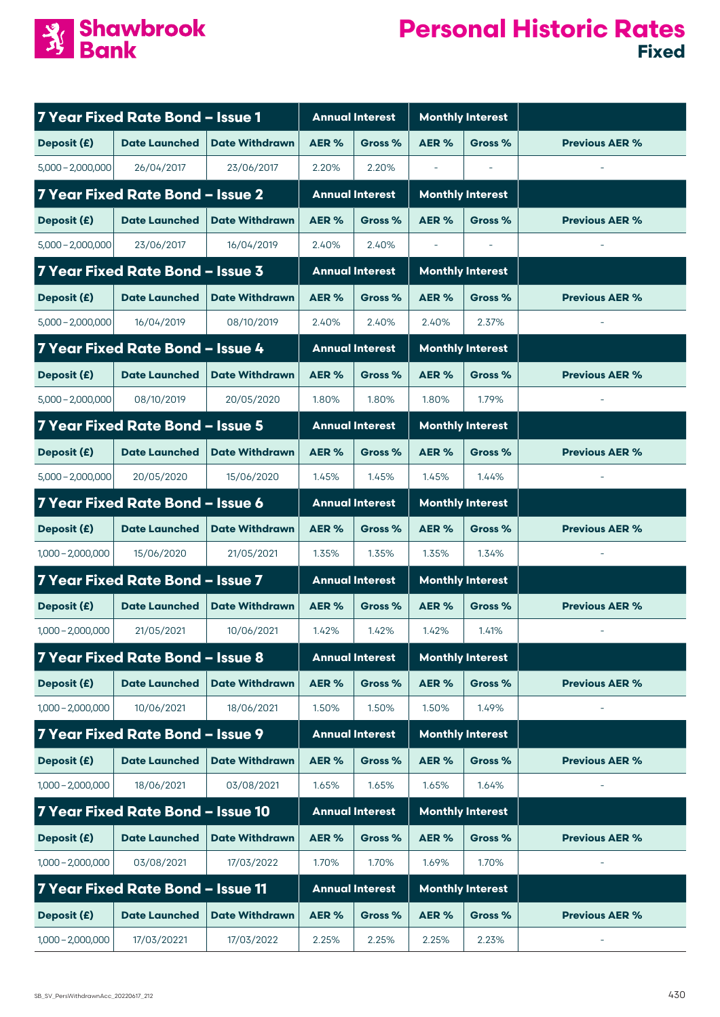

|                     | 7 Year Fixed Rate Bond - Issue 1  |                       |       | <b>Annual Interest</b> | <b>Monthly Interest</b>  |                         |                       |
|---------------------|-----------------------------------|-----------------------|-------|------------------------|--------------------------|-------------------------|-----------------------|
| Deposit (£)         | <b>Date Launched</b>              | <b>Date Withdrawn</b> | AER%  | Gross %                | AER <sub>%</sub>         | Gross %                 | <b>Previous AER %</b> |
| $5,000 - 2,000,000$ | 26/04/2017                        | 23/06/2017            | 2.20% | 2.20%                  | $\overline{\phantom{a}}$ |                         |                       |
|                     | 7 Year Fixed Rate Bond - Issue 2  |                       |       | <b>Annual Interest</b> |                          | <b>Monthly Interest</b> |                       |
| Deposit (£)         | <b>Date Launched</b>              | <b>Date Withdrawn</b> | AER % | Gross %                | AER%                     | Gross %                 | <b>Previous AER %</b> |
| $5.000 - 2.000.000$ | 23/06/2017                        | 16/04/2019            | 2.40% | 2.40%                  |                          |                         |                       |
|                     | 7 Year Fixed Rate Bond - Issue 3  |                       |       | <b>Annual Interest</b> |                          | <b>Monthly Interest</b> |                       |
| Deposit (£)         | <b>Date Launched</b>              | <b>Date Withdrawn</b> | AER % | Gross %                | AER%                     | Gross %                 | <b>Previous AER %</b> |
| $5,000 - 2,000,000$ | 16/04/2019                        | 08/10/2019            | 2.40% | 2.40%                  | 2.40%                    | 2.37%                   |                       |
|                     | 7 Year Fixed Rate Bond - Issue 4  |                       |       | <b>Annual Interest</b> |                          | <b>Monthly Interest</b> |                       |
| Deposit (£)         | <b>Date Launched</b>              | <b>Date Withdrawn</b> | AER % | Gross %                | AER%                     | Gross %                 | <b>Previous AER %</b> |
| $5,000 - 2,000,000$ | 08/10/2019                        | 20/05/2020            | 1.80% | 1.80%                  | 1.80%                    | 1.79%                   |                       |
|                     | 7 Year Fixed Rate Bond - Issue 5  |                       |       | <b>Annual Interest</b> |                          | <b>Monthly Interest</b> |                       |
| Deposit (£)         | <b>Date Launched</b>              | <b>Date Withdrawn</b> | AER % | Gross %                | AER%                     | Gross %                 | <b>Previous AER %</b> |
| $5,000 - 2,000,000$ | 20/05/2020                        | 15/06/2020            | 1.45% | 1.45%                  | 1.45%                    | 1.44%                   |                       |
|                     | 7 Year Fixed Rate Bond - Issue 6  |                       |       | <b>Annual Interest</b> |                          | <b>Monthly Interest</b> |                       |
| Deposit (£)         | <b>Date Launched</b>              | <b>Date Withdrawn</b> | AER%  | Gross %                | AER%                     | Gross %                 | <b>Previous AER %</b> |
| $1,000 - 2,000,000$ | 15/06/2020                        | 21/05/2021            | 1.35% | 1.35%                  | 1.35%                    | 1.34%                   |                       |
|                     | 7 Year Fixed Rate Bond - Issue 7  |                       |       | <b>Annual Interest</b> |                          | <b>Monthly Interest</b> |                       |
| Deposit (£)         | <b>Date Launched</b>              | <b>Date Withdrawn</b> | AER % | Gross %                | AER%                     | Gross %                 | <b>Previous AER %</b> |
| $1,000 - 2,000,000$ | 21/05/2021                        | 10/06/2021            | 1.42% | 1.42%                  | 1.42%                    | 1.41%                   |                       |
|                     | 7 Year Fixed Rate Bond - Issue 8  |                       |       | <b>Annual Interest</b> |                          | <b>Monthly Interest</b> |                       |
| Deposit (£)         | <b>Date Launched</b>              | <b>Date Withdrawn</b> | AER % | Gross %                | AER%                     | Gross %                 | <b>Previous AER %</b> |
| $1,000 - 2,000,000$ | 10/06/2021                        | 18/06/2021            | 1.50% | 1.50%                  | 1.50%                    | 1.49%                   |                       |
|                     | 7 Year Fixed Rate Bond - Issue 9  |                       |       | <b>Annual Interest</b> |                          | <b>Monthly Interest</b> |                       |
| Deposit (£)         | <b>Date Launched</b>              | <b>Date Withdrawn</b> | AER%  | Gross %                | AER%                     | Gross %                 | <b>Previous AER %</b> |
| $1,000 - 2,000,000$ | 18/06/2021                        | 03/08/2021            | 1.65% | 1.65%                  | 1.65%                    | 1.64%                   |                       |
|                     | 7 Year Fixed Rate Bond - Issue 10 |                       |       | <b>Annual Interest</b> |                          | <b>Monthly Interest</b> |                       |
| Deposit (£)         | <b>Date Launched</b>              | <b>Date Withdrawn</b> | AER%  | Gross %                | AER%                     | Gross %                 | <b>Previous AER %</b> |
| $1,000 - 2,000,000$ | 03/08/2021                        | 17/03/2022            | 1.70% | 1.70%                  | 1.69%                    | 1.70%                   |                       |
|                     | 7 Year Fixed Rate Bond - Issue 11 |                       |       | <b>Annual Interest</b> |                          | <b>Monthly Interest</b> |                       |
| Deposit (£)         | <b>Date Launched</b>              | <b>Date Withdrawn</b> | AER%  | Gross %                | AER%                     | Gross %                 | <b>Previous AER %</b> |
| $1,000 - 2,000,000$ | 17/03/20221                       | 17/03/2022            | 2.25% | 2.25%                  | 2.25%                    | 2.23%                   |                       |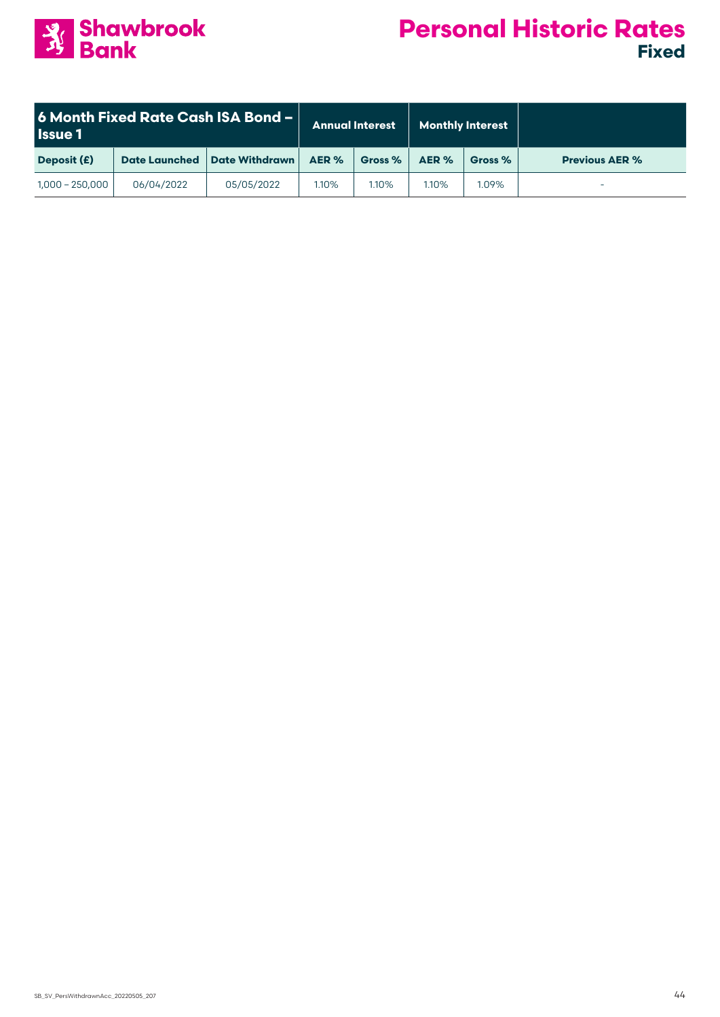

| <b>6 Month Fixed Rate Cash ISA Bond -</b><br><b>Issue 1</b> |                      | <b>Annual Interest</b> |       | <b>Monthly Interest</b> |       |         |                       |
|-------------------------------------------------------------|----------------------|------------------------|-------|-------------------------|-------|---------|-----------------------|
| Deposit (£)                                                 | <b>Date Launched</b> | <b>Date Withdrawn</b>  | AER % | Gross %                 | AER % | Gross % | <b>Previous AER %</b> |
| $1,000 - 250,000$                                           | 06/04/2022           | 05/05/2022             | 1.10% | $1.10\%$                | 1.10% | 1.09%   |                       |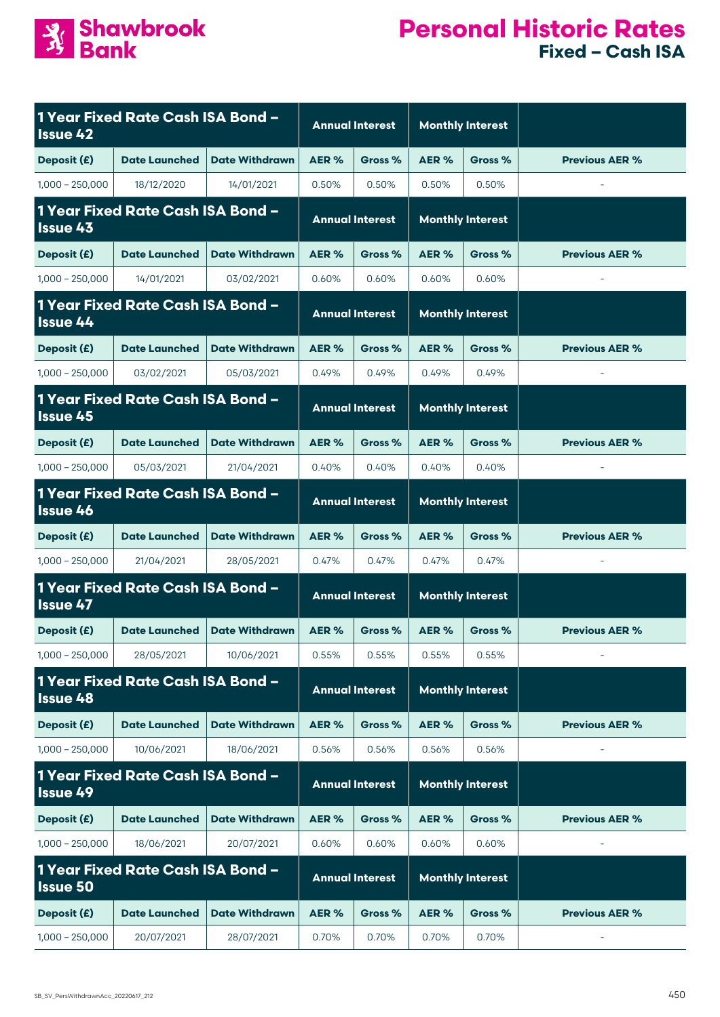

| <b>Issue 42</b>                                      | 1 Year Fixed Rate Cash ISA Bond - |                       |                        | <b>Annual Interest</b> |                         | <b>Monthly Interest</b> |                          |
|------------------------------------------------------|-----------------------------------|-----------------------|------------------------|------------------------|-------------------------|-------------------------|--------------------------|
| Deposit (£)                                          | <b>Date Launched</b>              | <b>Date Withdrawn</b> | AER %                  | Gross %                | AER%                    | Gross %                 | <b>Previous AER %</b>    |
| $1,000 - 250,000$                                    | 18/12/2020                        | 14/01/2021            | 0.50%                  | 0.50%                  | 0.50%                   | 0.50%                   | $\sim$                   |
| 1 Year Fixed Rate Cash ISA Bond -<br><b>Issue 43</b> |                                   |                       | <b>Annual Interest</b> |                        | <b>Monthly Interest</b> |                         |                          |
| Deposit (£)                                          | <b>Date Launched</b>              | <b>Date Withdrawn</b> | AER%                   | Gross %                | AER%                    | Gross %                 | <b>Previous AER %</b>    |
| $1,000 - 250,000$                                    | 14/01/2021                        | 03/02/2021            | 0.60%                  | 0.60%                  | 0.60%                   | 0.60%                   |                          |
| 1 Year Fixed Rate Cash ISA Bond -<br>Issue 44        |                                   |                       | <b>Annual Interest</b> |                        | <b>Monthly Interest</b> |                         |                          |
| Deposit (£)                                          | <b>Date Launched</b>              | <b>Date Withdrawn</b> | AER%                   | Gross %                | AER%                    | Gross %                 | <b>Previous AER %</b>    |
| $1,000 - 250,000$                                    | 03/02/2021                        | 05/03/2021            | 0.49%                  | 0.49%                  | 0.49%                   | 0.49%                   | $\overline{\phantom{a}}$ |
| 1 Year Fixed Rate Cash ISA Bond -<br><b>Issue 45</b> |                                   |                       |                        | <b>Annual Interest</b> |                         | <b>Monthly Interest</b> |                          |
| Deposit (£)                                          | <b>Date Launched</b>              | <b>Date Withdrawn</b> | AER%                   | Gross %                | AER%                    | Gross %                 | <b>Previous AER %</b>    |
| $1,000 - 250,000$                                    | 05/03/2021                        | 21/04/2021            | 0.40%                  | 0.40%                  | 0.40%                   | 0.40%                   |                          |
| <b>Issue 46</b>                                      | 1 Year Fixed Rate Cash ISA Bond - |                       | <b>Annual Interest</b> |                        | <b>Monthly Interest</b> |                         |                          |
| Deposit (£)                                          | <b>Date Launched</b>              | <b>Date Withdrawn</b> | AER%                   | Gross %                | AER%                    | Gross %                 | <b>Previous AER %</b>    |
| $1,000 - 250,000$                                    | 21/04/2021                        | 28/05/2021            | 0.47%                  | 0.47%                  | 0.47%                   | 0.47%                   | $\overline{\phantom{a}}$ |
| <b>Issue 47</b>                                      | 1 Year Fixed Rate Cash ISA Bond - |                       | <b>Annual Interest</b> |                        | <b>Monthly Interest</b> |                         |                          |
| Deposit (£)                                          | <b>Date Launched</b>              | <b>Date Withdrawn</b> | AER%                   | Gross %                | AER %                   | Gross %                 | <b>Previous AER %</b>    |
| $1,000 - 250,000$                                    | 28/05/2021                        | 10/06/2021            | 0.55%                  | 0.55%                  | 0.55%                   | 0.55%                   |                          |
| <b>Issue 48</b>                                      | 1 Year Fixed Rate Cash ISA Bond - |                       |                        | <b>Annual Interest</b> |                         | <b>Monthly Interest</b> |                          |
| Deposit (£)                                          | <b>Date Launched</b>              | <b>Date Withdrawn</b> | AER%                   | Gross %                | AER%                    | Gross %                 | <b>Previous AER %</b>    |
| $1,000 - 250,000$                                    | 10/06/2021                        | 18/06/2021            | 0.56%                  | 0.56%                  | 0.56%                   | 0.56%                   |                          |
| 1 Year Fixed Rate Cash ISA Bond -<br><b>Issue 49</b> |                                   |                       |                        | <b>Annual Interest</b> |                         | <b>Monthly Interest</b> |                          |
| Deposit (£)                                          | <b>Date Launched</b>              | <b>Date Withdrawn</b> | AER %                  | Gross %                | AER %                   | Gross %                 | <b>Previous AER %</b>    |
| $1,000 - 250,000$                                    | 18/06/2021                        | 20/07/2021            | 0.60%                  | 0.60%                  | 0.60%                   | 0.60%                   |                          |
| 1 Year Fixed Rate Cash ISA Bond -<br><b>Issue 50</b> |                                   |                       |                        | <b>Annual Interest</b> |                         | <b>Monthly Interest</b> |                          |
| Deposit (£)                                          | <b>Date Launched</b>              | <b>Date Withdrawn</b> | AER %                  | Gross %                | AER%                    | Gross %                 | <b>Previous AER %</b>    |
| $1,000 - 250,000$                                    | 20/07/2021                        | 28/07/2021            | 0.70%                  | 0.70%                  | 0.70%                   | 0.70%                   |                          |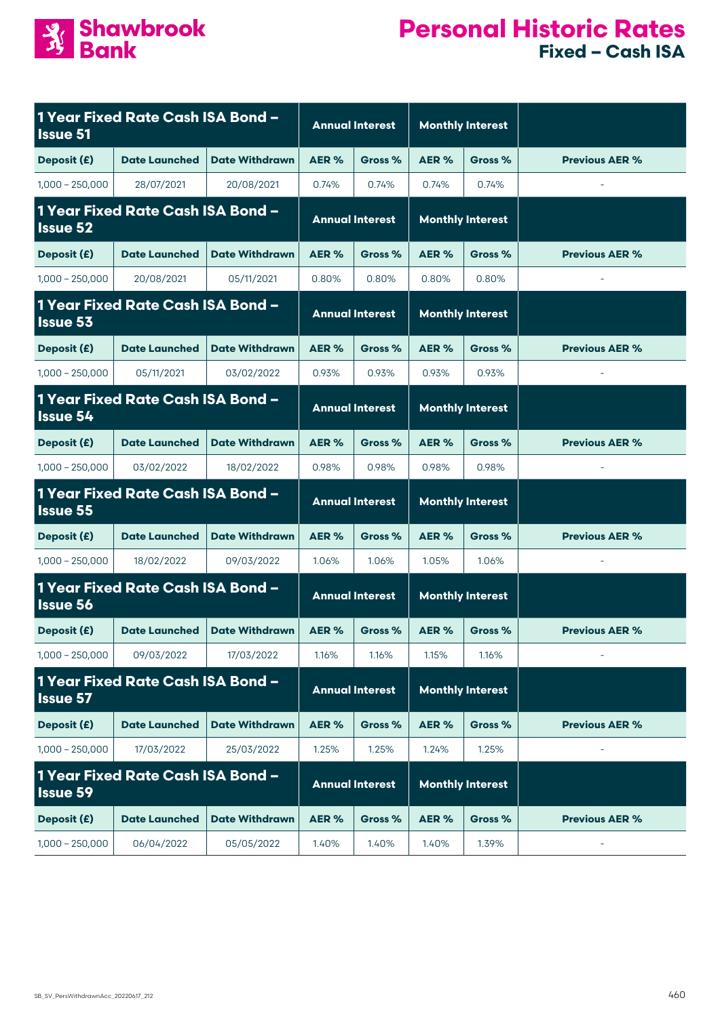

| 1 Year Fixed Rate Cash ISA Bond -<br><b>Issue 51</b> |                                   |                       | <b>Annual Interest</b> |                        | <b>Monthly Interest</b> |                         |                       |
|------------------------------------------------------|-----------------------------------|-----------------------|------------------------|------------------------|-------------------------|-------------------------|-----------------------|
| Deposit (£)                                          | <b>Date Launched</b>              | <b>Date Withdrawn</b> | AER%                   | Gross %                | AER%                    | Gross %                 | <b>Previous AER %</b> |
| $1,000 - 250,000$                                    | 28/07/2021                        | 20/08/2021            | 0.74%                  | 0.74%                  | 0.74%                   | 0.74%                   |                       |
| 1 Year Fixed Rate Cash ISA Bond -<br><b>Issue 52</b> |                                   |                       | <b>Annual Interest</b> |                        |                         | <b>Monthly Interest</b> |                       |
| Deposit (£)                                          | <b>Date Launched</b>              | <b>Date Withdrawn</b> | AER%                   | Gross %                | AER%                    | Gross %                 | <b>Previous AER %</b> |
| $1,000 - 250,000$                                    | 20/08/2021                        | 05/11/2021            | 0.80%                  | 0.80%                  | 0.80%                   | 0.80%                   |                       |
| <b>Issue 53</b>                                      | 1 Year Fixed Rate Cash ISA Bond - |                       |                        | <b>Annual Interest</b> |                         | <b>Monthly Interest</b> |                       |
| Deposit (£)                                          | <b>Date Launched</b>              | <b>Date Withdrawn</b> | AER%                   | Gross %                | AER %                   | Gross %                 | <b>Previous AER %</b> |
| $1,000 - 250,000$                                    | 05/11/2021                        | 03/02/2022            | 0.93%                  | 0.93%                  | 0.93%                   | 0.93%                   |                       |
| <b>Issue 54</b>                                      | 1 Year Fixed Rate Cash ISA Bond - |                       |                        | <b>Annual Interest</b> |                         | <b>Monthly Interest</b> |                       |
| Deposit (£)                                          | <b>Date Launched</b>              | <b>Date Withdrawn</b> | AER <sub>%</sub>       | Gross %                | AER%                    | Gross %                 | <b>Previous AER %</b> |
| $1,000 - 250,000$                                    | 03/02/2022                        | 18/02/2022            | 0.98%                  | 0.98%                  | 0.98%                   | 0.98%                   |                       |
| <b>Issue 55</b>                                      | 1 Year Fixed Rate Cash ISA Bond - |                       | <b>Annual Interest</b> |                        |                         | <b>Monthly Interest</b> |                       |
| Deposit (£)                                          | <b>Date Launched</b>              | <b>Date Withdrawn</b> | AER <sub>%</sub>       | Gross %                | AER%                    | Gross %                 | <b>Previous AER %</b> |
| $1,000 - 250,000$                                    | 18/02/2022                        | 09/03/2022            | 1.06%                  | 1.06%                  | 1.05%                   | 1.06%                   |                       |
| <b>Issue 56</b>                                      | 1 Year Fixed Rate Cash ISA Bond - |                       | <b>Annual Interest</b> |                        | <b>Monthly Interest</b> |                         |                       |
| Deposit (£)                                          | <b>Date Launched</b>              | <b>Date Withdrawn</b> | AER <sub>%</sub>       | Gross %                | AER%                    | Gross %                 | <b>Previous AER %</b> |
| $1,000 - 250,000$                                    | 09/03/2022                        | 17/03/2022            | 1.16%                  | 1.16%                  | 1.15%                   | 1.16%                   |                       |
| 1 Year Fixed Rate Cash ISA Bond -<br><b>Issue 57</b> |                                   |                       | <b>Annual Interest</b> |                        | <b>Monthly Interest</b> |                         |                       |
| Deposit (£)                                          | <b>Date Launched</b>              | <b>Date Withdrawn</b> | AER%                   | Gross %                | AER%                    | Gross %                 | <b>Previous AER %</b> |
| $1,000 - 250,000$                                    | 17/03/2022                        | 25/03/2022            | 1.25%                  | 1.25%                  | 1.24%                   | 1.25%                   |                       |
| 1 Year Fixed Rate Cash ISA Bond -<br><b>Issue 59</b> |                                   |                       |                        | <b>Annual Interest</b> |                         | <b>Monthly Interest</b> |                       |
| Deposit (£)                                          | <b>Date Launched</b>              | <b>Date Withdrawn</b> | AER%                   | Gross %                | AER%                    | Gross %                 | <b>Previous AER %</b> |
| $1,000 - 250,000$                                    | 06/04/2022                        | 05/05/2022            | 1.40%                  | 1.40%                  | 1.40%                   | 1.39%                   |                       |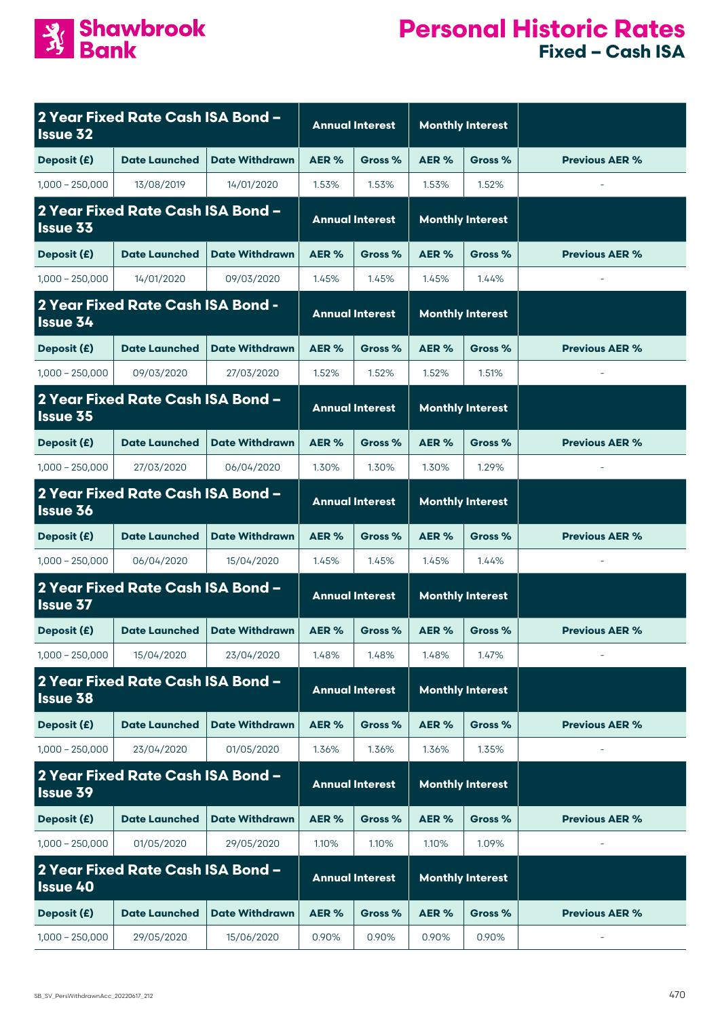

| <b>Issue 32</b>                                      | 2 Year Fixed Rate Cash ISA Bond -        |                        | <b>Annual Interest</b> |                         | <b>Monthly Interest</b> |                         |                          |
|------------------------------------------------------|------------------------------------------|------------------------|------------------------|-------------------------|-------------------------|-------------------------|--------------------------|
| Deposit (£)                                          | <b>Date Launched</b>                     | <b>Date Withdrawn</b>  | AER%                   | Gross %                 | AER%                    | Gross %                 | <b>Previous AER %</b>    |
| $1,000 - 250,000$                                    | 13/08/2019                               | 14/01/2020             | 1.53%                  | 1.53%                   | 1.53%                   | 1.52%                   |                          |
| 2 Year Fixed Rate Cash ISA Bond -<br><b>Issue 33</b> |                                          | <b>Annual Interest</b> |                        | <b>Monthly Interest</b> |                         |                         |                          |
| Deposit (£)                                          | <b>Date Launched</b>                     | <b>Date Withdrawn</b>  | AER%                   | Gross %                 | AER%                    | Gross %                 | <b>Previous AER %</b>    |
| $1,000 - 250,000$                                    | 14/01/2020                               | 09/03/2020             | 1.45%                  | 1.45%                   | 1.45%                   | 1.44%                   |                          |
| <b>Issue 34</b>                                      | <b>2 Year Fixed Rate Cash ISA Bond -</b> |                        |                        | <b>Annual Interest</b>  |                         | <b>Monthly Interest</b> |                          |
| Deposit (£)                                          | <b>Date Launched</b>                     | <b>Date Withdrawn</b>  | AER%                   | Gross %                 | AER%                    | Gross %                 | <b>Previous AER %</b>    |
| $1,000 - 250,000$                                    | 09/03/2020                               | 27/03/2020             | 1.52%                  | 1.52%                   | 1.52%                   | 1.51%                   | $\bar{a}$                |
| <b>Issue 35</b>                                      | 2 Year Fixed Rate Cash ISA Bond -        |                        |                        | <b>Annual Interest</b>  |                         | <b>Monthly Interest</b> |                          |
| Deposit (£)                                          | <b>Date Launched</b>                     | <b>Date Withdrawn</b>  | AER%                   | Gross %                 | AER %                   | Gross %                 | <b>Previous AER %</b>    |
| $1,000 - 250,000$                                    | 27/03/2020                               | 06/04/2020             | 1.30%                  | 1.30%                   | 1.30%                   | 1.29%                   |                          |
| <b>Issue 36</b>                                      | 2 Year Fixed Rate Cash ISA Bond -        |                        | <b>Annual Interest</b> |                         | <b>Monthly Interest</b> |                         |                          |
| Deposit (£)                                          | <b>Date Launched</b>                     | <b>Date Withdrawn</b>  | AER%                   | Gross %                 | AER%                    | Gross %                 | <b>Previous AER %</b>    |
| $1,000 - 250,000$                                    | 06/04/2020                               | 15/04/2020             | 1.45%                  | 1.45%                   | 1.45%                   | 1.44%                   | $\overline{\phantom{a}}$ |
| <b>Issue 37</b>                                      | 2 Year Fixed Rate Cash ISA Bond -        |                        | <b>Annual Interest</b> |                         | <b>Monthly Interest</b> |                         |                          |
| Deposit (£)                                          | <b>Date Launched</b>                     | <b>Date Withdrawn</b>  | AER%                   | Gross %                 | AER%                    | Gross %                 | <b>Previous AER %</b>    |
| $1,000 - 250,000$                                    | 15/04/2020                               | 23/04/2020             | 1.48%                  | 1.48%                   | 1.48%                   | 1.47%                   |                          |
| <b>Issue 38</b>                                      | 2 Year Fixed Rate Cash ISA Bond -        |                        |                        | <b>Annual Interest</b>  |                         | <b>Monthly Interest</b> |                          |
| Deposit (£)                                          | <b>Date Launched</b>                     | <b>Date Withdrawn</b>  | AER%                   | Gross %                 | AER%                    | Gross %                 | <b>Previous AER %</b>    |
| $1,000 - 250,000$                                    | 23/04/2020                               | 01/05/2020             | 1.36%                  | 1.36%                   | 1.36%                   | 1.35%                   |                          |
| <b>Issue 39</b>                                      | 2 Year Fixed Rate Cash ISA Bond -        |                        |                        | <b>Annual Interest</b>  |                         | <b>Monthly Interest</b> |                          |
| Deposit (£)                                          | <b>Date Launched</b>                     | <b>Date Withdrawn</b>  | AER %                  | Gross %                 | AER %                   | Gross %                 | <b>Previous AER %</b>    |
| $1,000 - 250,000$                                    | 01/05/2020                               | 29/05/2020             | 1.10%                  | 1.10%                   | 1.10%                   | 1.09%                   |                          |
| 2 Year Fixed Rate Cash ISA Bond -<br><b>Issue 40</b> |                                          | <b>Annual Interest</b> |                        | <b>Monthly Interest</b> |                         |                         |                          |
| Deposit (£)                                          | <b>Date Launched</b>                     | <b>Date Withdrawn</b>  | AER %                  | Gross %                 | AER%                    | Gross %                 | <b>Previous AER %</b>    |
| $1,000 - 250,000$                                    | 29/05/2020                               | 15/06/2020             | 0.90%                  | 0.90%                   | 0.90%                   | 0.90%                   |                          |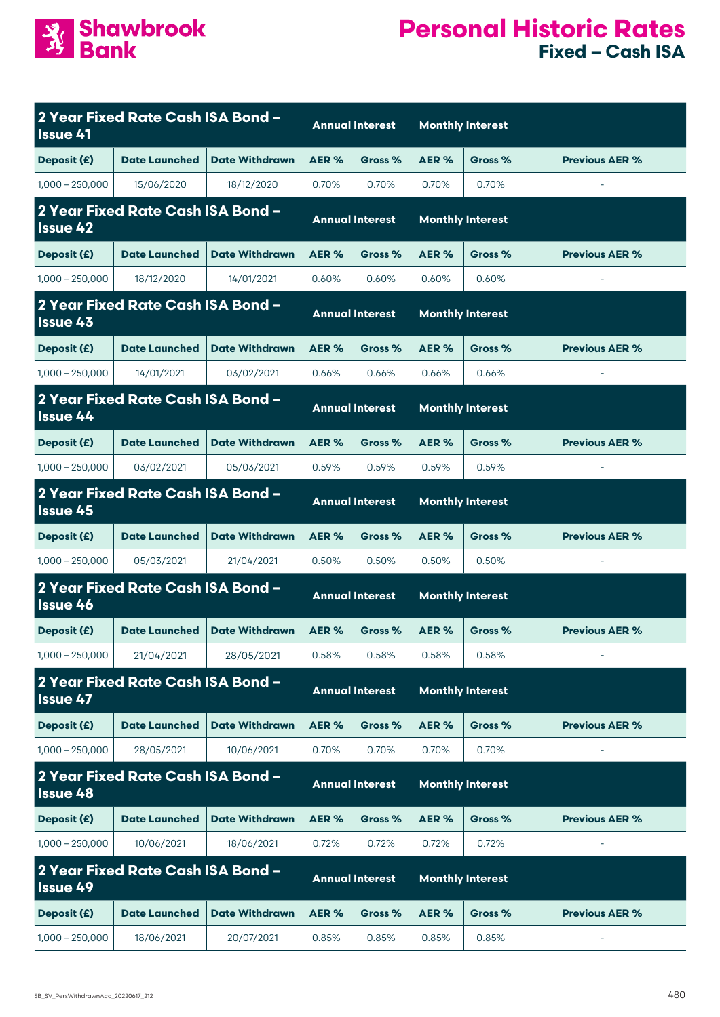

| <b>Issue 41</b>                                      | 2 Year Fixed Rate Cash ISA Bond - |                        | <b>Annual Interest</b> |                         | <b>Monthly Interest</b> |                         |                       |
|------------------------------------------------------|-----------------------------------|------------------------|------------------------|-------------------------|-------------------------|-------------------------|-----------------------|
| Deposit (£)                                          | <b>Date Launched</b>              | <b>Date Withdrawn</b>  | AER%                   | Gross %                 | AER%                    | Gross %                 | <b>Previous AER %</b> |
| $1,000 - 250,000$                                    | 15/06/2020                        | 18/12/2020             | 0.70%                  | 0.70%                   | 0.70%                   | 0.70%                   | $\bar{a}$             |
| 2 Year Fixed Rate Cash ISA Bond -<br><b>Issue 42</b> |                                   | <b>Annual Interest</b> |                        | <b>Monthly Interest</b> |                         |                         |                       |
| Deposit (£)                                          | <b>Date Launched</b>              | <b>Date Withdrawn</b>  | AER%                   | Gross %                 | AER%                    | Gross %                 | <b>Previous AER %</b> |
| $1,000 - 250,000$                                    | 18/12/2020                        | 14/01/2021             | 0.60%                  | 0.60%                   | 0.60%                   | 0.60%                   | $\bar{a}$             |
| 2 Year Fixed Rate Cash ISA Bond -<br><b>Issue 43</b> |                                   |                        |                        | <b>Annual Interest</b>  |                         | <b>Monthly Interest</b> |                       |
| Deposit (£)                                          | <b>Date Launched</b>              | <b>Date Withdrawn</b>  | AER %                  | Gross %                 | AER%                    | Gross %                 | <b>Previous AER %</b> |
| $1,000 - 250,000$                                    | 14/01/2021                        | 03/02/2021             | 0.66%                  | 0.66%                   | 0.66%                   | 0.66%                   |                       |
| <b>Issue 44</b>                                      | 2 Year Fixed Rate Cash ISA Bond - |                        |                        | <b>Annual Interest</b>  |                         | <b>Monthly Interest</b> |                       |
| Deposit (£)                                          | <b>Date Launched</b>              | <b>Date Withdrawn</b>  | AER%                   | Gross %                 | AER %                   | Gross %                 | <b>Previous AER %</b> |
| $1,000 - 250,000$                                    | 03/02/2021                        | 05/03/2021             | 0.59%                  | 0.59%                   | 0.59%                   | 0.59%                   |                       |
| <b>Issue 45</b>                                      | 2 Year Fixed Rate Cash ISA Bond - |                        | <b>Annual Interest</b> |                         | <b>Monthly Interest</b> |                         |                       |
| Deposit (£)                                          | <b>Date Launched</b>              | <b>Date Withdrawn</b>  | AER%                   | Gross %                 | AER%                    | Gross %                 | <b>Previous AER %</b> |
| $1,000 - 250,000$                                    | 05/03/2021                        | 21/04/2021             | 0.50%                  | 0.50%                   | 0.50%                   | 0.50%                   |                       |
| <b>Issue 46</b>                                      | 2 Year Fixed Rate Cash ISA Bond - |                        | <b>Annual Interest</b> |                         | <b>Monthly Interest</b> |                         |                       |
| Deposit (£)                                          | <b>Date Launched</b>              | <b>Date Withdrawn</b>  | AER%                   | Gross %                 | AER%                    | Gross %                 | <b>Previous AER %</b> |
| $1,000 - 250,000$                                    | 21/04/2021                        | 28/05/2021             | 0.58%                  | 0.58%                   | 0.58%                   | 0.58%                   |                       |
| <b>Issue 47</b>                                      | 2 Year Fixed Rate Cash ISA Bond - |                        |                        | <b>Annual Interest</b>  |                         | <b>Monthly Interest</b> |                       |
| Deposit (£)                                          | <b>Date Launched</b>              | <b>Date Withdrawn</b>  | AER%                   | Gross %                 | AER%                    | Gross %                 | <b>Previous AER %</b> |
| $1,000 - 250,000$                                    | 28/05/2021                        | 10/06/2021             | 0.70%                  | 0.70%                   | 0.70%                   | 0.70%                   |                       |
| <b>Issue 48</b>                                      | 2 Year Fixed Rate Cash ISA Bond - |                        |                        | <b>Annual Interest</b>  |                         | <b>Monthly Interest</b> |                       |
| Deposit (£)                                          | <b>Date Launched</b>              | <b>Date Withdrawn</b>  | AER %                  | Gross %                 | AER%                    | Gross %                 | <b>Previous AER %</b> |
| $1,000 - 250,000$                                    | 10/06/2021                        | 18/06/2021             | 0.72%                  | 0.72%                   | 0.72%                   | 0.72%                   |                       |
| 2 Year Fixed Rate Cash ISA Bond -<br><b>Issue 49</b> |                                   |                        |                        | <b>Annual Interest</b>  |                         | <b>Monthly Interest</b> |                       |
| Deposit (£)                                          | <b>Date Launched</b>              | <b>Date Withdrawn</b>  | AER %                  | Gross %                 | AER%                    | Gross %                 | <b>Previous AER %</b> |
| $1,000 - 250,000$                                    | 18/06/2021                        | 20/07/2021             | 0.85%                  | 0.85%                   | 0.85%                   | 0.85%                   |                       |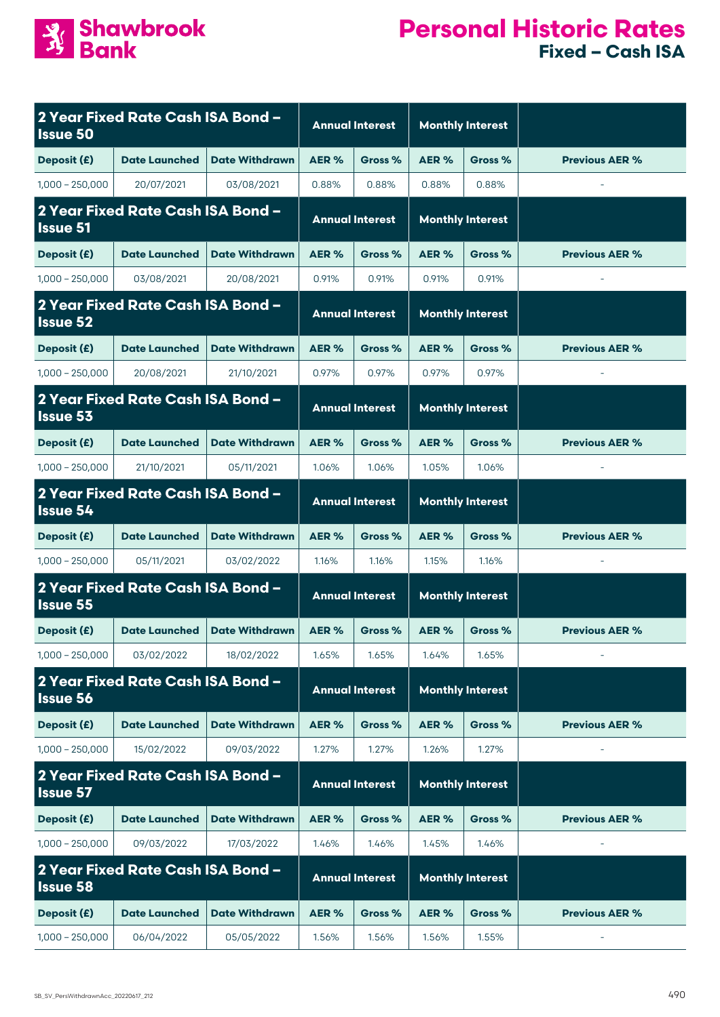

| <b>Issue 50</b>                                      | 2 Year Fixed Rate Cash ISA Bond - |                        | <b>Annual Interest</b> |                         | <b>Monthly Interest</b> |                         |                          |
|------------------------------------------------------|-----------------------------------|------------------------|------------------------|-------------------------|-------------------------|-------------------------|--------------------------|
| Deposit (£)                                          | <b>Date Launched</b>              | <b>Date Withdrawn</b>  | AER%                   | Gross %                 | AER%                    | Gross %                 | <b>Previous AER %</b>    |
| $1,000 - 250,000$                                    | 20/07/2021                        | 03/08/2021             | 0.88%                  | 0.88%                   | 0.88%                   | 0.88%                   | $\overline{\phantom{a}}$ |
| 2 Year Fixed Rate Cash ISA Bond -<br><b>Issue 51</b> |                                   | <b>Annual Interest</b> |                        | <b>Monthly Interest</b> |                         |                         |                          |
| Deposit (£)                                          | <b>Date Launched</b>              | <b>Date Withdrawn</b>  | AER %                  | Gross %                 | AER%                    | Gross %                 | <b>Previous AER %</b>    |
| $1,000 - 250,000$                                    | 03/08/2021                        | 20/08/2021             | 0.91%                  | 0.91%                   | 0.91%                   | 0.91%                   |                          |
| 2 Year Fixed Rate Cash ISA Bond -<br><b>Issue 52</b> |                                   |                        | <b>Annual Interest</b> |                         |                         | <b>Monthly Interest</b> |                          |
| Deposit (£)                                          | <b>Date Launched</b>              | <b>Date Withdrawn</b>  | AER %                  | Gross %                 | AER%                    | Gross %                 | <b>Previous AER %</b>    |
| $1,000 - 250,000$                                    | 20/08/2021                        | 21/10/2021             | 0.97%                  | 0.97%                   | 0.97%                   | 0.97%                   | $\overline{\phantom{a}}$ |
| <b>Issue 53</b>                                      | 2 Year Fixed Rate Cash ISA Bond - |                        |                        | <b>Annual Interest</b>  |                         | <b>Monthly Interest</b> |                          |
| Deposit (£)                                          | <b>Date Launched</b>              | <b>Date Withdrawn</b>  | AER %                  | Gross %                 | AER %                   | Gross %                 | <b>Previous AER %</b>    |
| $1,000 - 250,000$                                    | 21/10/2021                        | 05/11/2021             | 1.06%                  | 1.06%                   | 1.05%                   | 1.06%                   |                          |
| <b>Issue 54</b>                                      | 2 Year Fixed Rate Cash ISA Bond - |                        | <b>Annual Interest</b> |                         | <b>Monthly Interest</b> |                         |                          |
| Deposit (£)                                          | <b>Date Launched</b>              | <b>Date Withdrawn</b>  | AER%                   | Gross %                 | AER%                    | Gross %                 | <b>Previous AER %</b>    |
| $1,000 - 250,000$                                    | 05/11/2021                        | 03/02/2022             | 1.16%                  | 1.16%                   | 1.15%                   | 1.16%                   | $\bar{\phantom{a}}$      |
| <b>Issue 55</b>                                      | 2 Year Fixed Rate Cash ISA Bond - |                        | <b>Annual Interest</b> |                         | <b>Monthly Interest</b> |                         |                          |
| Deposit (£)                                          | <b>Date Launched</b>              | <b>Date Withdrawn</b>  | AER %                  | Gross %                 | AER%                    | Gross %                 | <b>Previous AER %</b>    |
| $1,000 - 250,000$                                    | 03/02/2022                        | 18/02/2022             | 1.65%                  | 1.65%                   | 1.64%                   | 1.65%                   |                          |
| <b>Issue 56</b>                                      | 2 Year Fixed Rate Cash ISA Bond - |                        |                        | <b>Annual Interest</b>  |                         | <b>Monthly Interest</b> |                          |
| Deposit (£)                                          | <b>Date Launched</b>              | <b>Date Withdrawn</b>  | AER %                  | Gross %                 | AER%                    | Gross %                 | <b>Previous AER %</b>    |
| $1,000 - 250,000$                                    | 15/02/2022                        | 09/03/2022             | 1.27%                  | 1.27%                   | 1.26%                   | 1.27%                   |                          |
| <b>Issue 57</b>                                      | 2 Year Fixed Rate Cash ISA Bond - |                        | <b>Annual Interest</b> |                         |                         | <b>Monthly Interest</b> |                          |
| Deposit (£)                                          | <b>Date Launched</b>              | <b>Date Withdrawn</b>  | AER %                  | Gross %                 | AER%                    | Gross %                 | <b>Previous AER %</b>    |
| $1,000 - 250,000$                                    | 09/03/2022                        | 17/03/2022             | 1.46%                  | 1.46%                   | 1.45%                   | 1.46%                   |                          |
| 2 Year Fixed Rate Cash ISA Bond -<br><b>Issue 58</b> |                                   | <b>Annual Interest</b> |                        | <b>Monthly Interest</b> |                         |                         |                          |
| Deposit (£)                                          | <b>Date Launched</b>              | <b>Date Withdrawn</b>  | AER %                  | Gross %                 | AER%                    | Gross %                 | <b>Previous AER %</b>    |
| $1,000 - 250,000$                                    | 06/04/2022                        | 05/05/2022             | 1.56%                  | 1.56%                   | 1.56%                   | 1.55%                   |                          |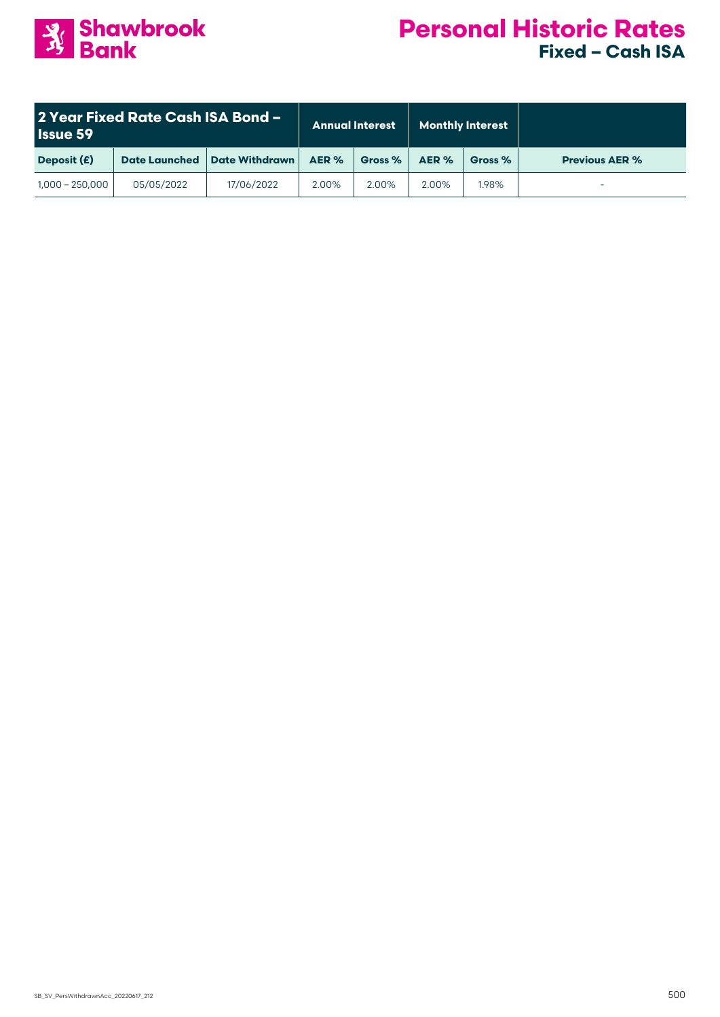

| 2 Year Fixed Rate Cash ISA Bond -<br><b>Issue 59</b> |                      | <b>Annual Interest</b> |       | <b>Monthly Interest</b> |       |         |                       |
|------------------------------------------------------|----------------------|------------------------|-------|-------------------------|-------|---------|-----------------------|
| Deposit (£)                                          | <b>Date Launched</b> | <b>Date Withdrawn</b>  | AER % | Gross %                 | AER % | Gross % | <b>Previous AER %</b> |
| $1,000 - 250,000$                                    | 05/05/2022           | 17/06/2022             | 2.00% | 2.00%                   | 2.00% | 1.98%   |                       |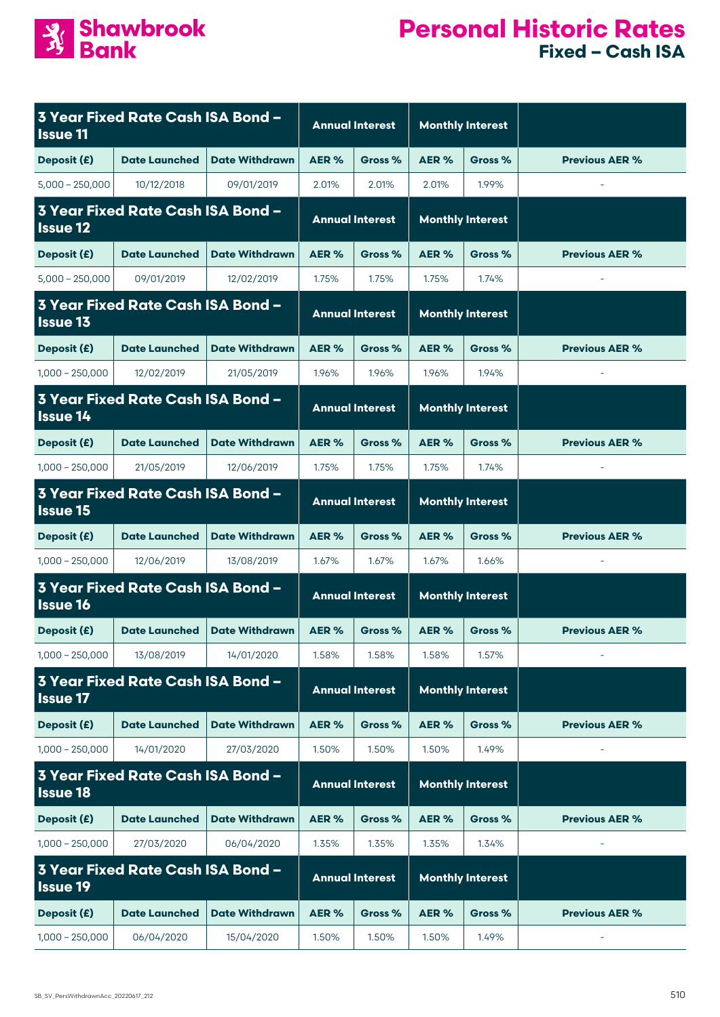

| <b>Issue 11</b>                                             | 3 Year Fixed Rate Cash ISA Bond -        |                        |                        | <b>Annual Interest</b>  | <b>Monthly Interest</b> |                         |                          |
|-------------------------------------------------------------|------------------------------------------|------------------------|------------------------|-------------------------|-------------------------|-------------------------|--------------------------|
| Deposit (£)                                                 | <b>Date Launched</b>                     | <b>Date Withdrawn</b>  | AER %                  | Gross %                 | AER%                    | Gross %                 | <b>Previous AER %</b>    |
| $5,000 - 250,000$                                           | 10/12/2018                               | 09/01/2019             | 2.01%                  | 2.01%                   | 2.01%                   | 1.99%                   | $\overline{\phantom{a}}$ |
| 3 Year Fixed Rate Cash ISA Bond -<br><b>Issue 12</b>        |                                          | <b>Annual Interest</b> |                        | <b>Monthly Interest</b> |                         |                         |                          |
| Deposit (£)                                                 | <b>Date Launched</b>                     | <b>Date Withdrawn</b>  | AER %                  | Gross %                 | AER%                    | Gross %                 | <b>Previous AER %</b>    |
| $5,000 - 250,000$                                           | 09/01/2019                               | 12/02/2019             | 1.75%                  | 1.75%                   | 1.75%                   | 1.74%                   | $\overline{\phantom{a}}$ |
| 3 Year Fixed Rate Cash ISA Bond -<br><b>Issue 13</b>        |                                          |                        | <b>Annual Interest</b> |                         |                         | <b>Monthly Interest</b> |                          |
| Deposit (£)                                                 | <b>Date Launched</b>                     | <b>Date Withdrawn</b>  | AER %                  | Gross %                 | AER%                    | Gross %                 | <b>Previous AER %</b>    |
| $1,000 - 250,000$                                           | 12/02/2019                               | 21/05/2019             | 1.96%                  | 1.96%                   | 1.96%                   | 1.94%                   | $\overline{\phantom{a}}$ |
| <b>Issue 14</b>                                             | <b>3 Year Fixed Rate Cash ISA Bond -</b> |                        |                        | <b>Annual Interest</b>  |                         | <b>Monthly Interest</b> |                          |
| Deposit (£)                                                 | <b>Date Launched</b>                     | <b>Date Withdrawn</b>  | AER %                  | Gross %                 | AER %                   | Gross %                 | <b>Previous AER %</b>    |
| $1,000 - 250,000$                                           | 21/05/2019                               | 12/06/2019             | 1.75%                  | 1.75%                   | 1.75%                   | 1.74%                   |                          |
| <b>Issue 15</b>                                             | 3 Year Fixed Rate Cash ISA Bond -        |                        | <b>Annual Interest</b> |                         | <b>Monthly Interest</b> |                         |                          |
| Deposit (£)                                                 | <b>Date Launched</b>                     | <b>Date Withdrawn</b>  | AER%                   | Gross %                 | AER%                    | Gross %                 | <b>Previous AER %</b>    |
| $1,000 - 250,000$                                           | 12/06/2019                               | 13/08/2019             | 1.67%                  | 1.67%                   | 1.67%                   | 1.66%                   | $\bar{\phantom{a}}$      |
| <b>Issue 16</b>                                             | <b>3 Year Fixed Rate Cash ISA Bond -</b> |                        | <b>Annual Interest</b> |                         | <b>Monthly Interest</b> |                         |                          |
| Deposit (£)                                                 | <b>Date Launched</b>                     | <b>Date Withdrawn</b>  | AER %                  | Gross %                 | AER%                    | Gross %                 | <b>Previous AER %</b>    |
| $1,000 - 250,000$                                           | 13/08/2019                               | 14/01/2020             | 1.58%                  | 1.58%                   | 1.58%                   | 1.57%                   |                          |
| <b>Issue 17</b>                                             | 3 Year Fixed Rate Cash ISA Bond -        |                        |                        | <b>Annual Interest</b>  |                         | <b>Monthly Interest</b> |                          |
| Deposit (£)                                                 | <b>Date Launched</b>                     | <b>Date Withdrawn</b>  | AER %                  | Gross %                 | AER%                    | Gross %                 | <b>Previous AER %</b>    |
| $1,000 - 250,000$                                           | 14/01/2020                               | 27/03/2020             | 1.50%                  | 1.50%                   | 1.50%                   | 1.49%                   |                          |
| <b>Issue 18</b>                                             | <b>3 Year Fixed Rate Cash ISA Bond -</b> |                        |                        | <b>Annual Interest</b>  |                         | <b>Monthly Interest</b> |                          |
| Deposit (£)                                                 | <b>Date Launched</b>                     | <b>Date Withdrawn</b>  | AER %                  | Gross %                 | AER%                    | Gross %                 | <b>Previous AER %</b>    |
| $1,000 - 250,000$                                           | 27/03/2020                               | 06/04/2020             | 1.35%                  | 1.35%                   | 1.35%                   | 1.34%                   |                          |
| <b>3 Year Fixed Rate Cash ISA Bond -</b><br><b>Issue 19</b> |                                          | <b>Annual Interest</b> |                        | <b>Monthly Interest</b> |                         |                         |                          |
| Deposit (£)                                                 | <b>Date Launched</b>                     | <b>Date Withdrawn</b>  | AER %                  | Gross %                 | AER%                    | Gross %                 | <b>Previous AER %</b>    |
| $1,000 - 250,000$                                           | 06/04/2020                               | 15/04/2020             | 1.50%                  | 1.50%                   | 1.50%                   | 1.49%                   |                          |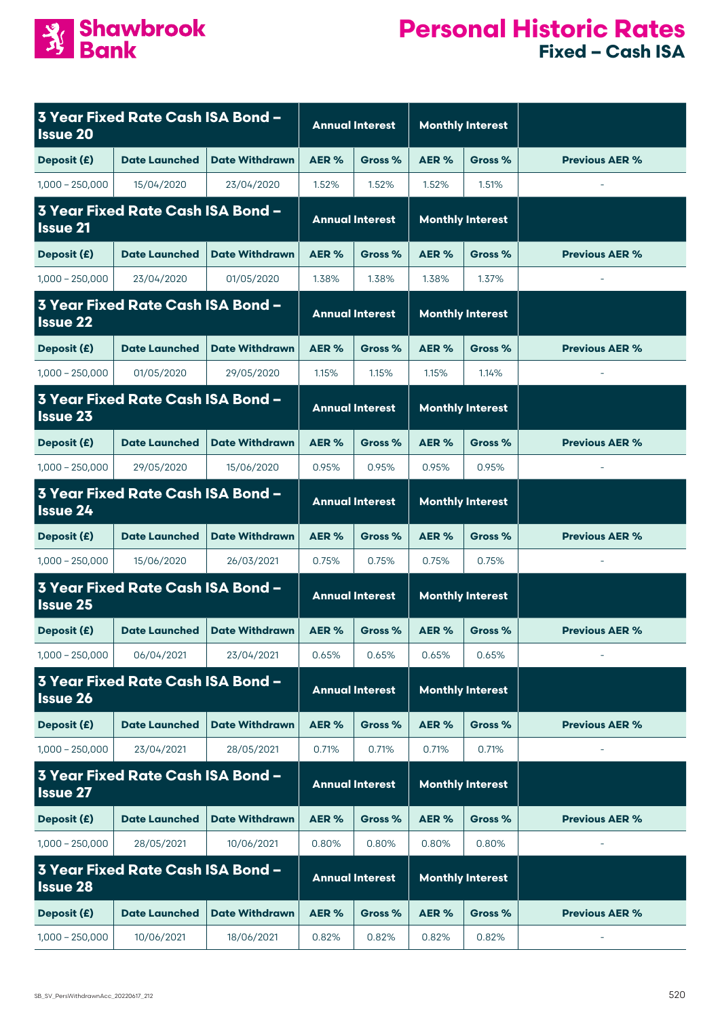

| <b>Issue 20</b>                                      | 3 Year Fixed Rate Cash ISA Bond -        |                        | <b>Annual Interest</b> |                         | <b>Monthly Interest</b> |                         |                          |
|------------------------------------------------------|------------------------------------------|------------------------|------------------------|-------------------------|-------------------------|-------------------------|--------------------------|
| Deposit (£)                                          | <b>Date Launched</b>                     | <b>Date Withdrawn</b>  | AER %                  | Gross %                 | AER%                    | Gross %                 | <b>Previous AER %</b>    |
| $1,000 - 250,000$                                    | 15/04/2020                               | 23/04/2020             | 1.52%                  | 1.52%                   | 1.52%                   | 1.51%                   | $\sim$                   |
| 3 Year Fixed Rate Cash ISA Bond -<br><b>Issue 21</b> |                                          | <b>Annual Interest</b> |                        | <b>Monthly Interest</b> |                         |                         |                          |
| Deposit (£)                                          | <b>Date Launched</b>                     | <b>Date Withdrawn</b>  | AER %                  | Gross %                 | AER%                    | Gross %                 | <b>Previous AER %</b>    |
| $1,000 - 250,000$                                    | 23/04/2020                               | 01/05/2020             | 1.38%                  | 1.38%                   | 1.38%                   | 1.37%                   |                          |
| <b>Issue 22</b>                                      | 3 Year Fixed Rate Cash ISA Bond -        |                        |                        | <b>Annual Interest</b>  |                         | <b>Monthly Interest</b> |                          |
| Deposit (£)                                          | <b>Date Launched</b>                     | <b>Date Withdrawn</b>  | AER %                  | Gross %                 | AER%                    | Gross %                 | <b>Previous AER %</b>    |
| $1,000 - 250,000$                                    | 01/05/2020                               | 29/05/2020             | 1.15%                  | 1.15%                   | 1.15%                   | 1.14%                   | $\overline{\phantom{a}}$ |
| <b>Issue 23</b>                                      | 3 Year Fixed Rate Cash ISA Bond -        |                        |                        | <b>Annual Interest</b>  |                         | <b>Monthly Interest</b> |                          |
| Deposit (£)                                          | <b>Date Launched</b>                     | <b>Date Withdrawn</b>  | AER %                  | Gross %                 | AER %                   | Gross %                 | <b>Previous AER %</b>    |
| $1,000 - 250,000$                                    | 29/05/2020                               | 15/06/2020             | 0.95%                  | 0.95%                   | 0.95%                   | 0.95%                   |                          |
| <b>Issue 24</b>                                      | 3 Year Fixed Rate Cash ISA Bond -        |                        | <b>Annual Interest</b> |                         | <b>Monthly Interest</b> |                         |                          |
| Deposit (£)                                          | <b>Date Launched</b>                     | <b>Date Withdrawn</b>  | AER%                   | Gross %                 | AER%                    | Gross %                 | <b>Previous AER %</b>    |
| $1,000 - 250,000$                                    | 15/06/2020                               | 26/03/2021             | 0.75%                  | 0.75%                   | 0.75%                   | 0.75%                   | $\overline{\phantom{a}}$ |
| <b>Issue 25</b>                                      | <b>3 Year Fixed Rate Cash ISA Bond -</b> |                        | <b>Annual Interest</b> |                         | <b>Monthly Interest</b> |                         |                          |
| Deposit (£)                                          | <b>Date Launched</b>                     | <b>Date Withdrawn</b>  | AER%                   | Gross %                 | AER %                   | Gross %                 | <b>Previous AER %</b>    |
| $1,000 - 250,000$                                    | 06/04/2021                               | 23/04/2021             | 0.65%                  | 0.65%                   | 0.65%                   | 0.65%                   |                          |
| <b>Issue 26</b>                                      | <b>3 Year Fixed Rate Cash ISA Bond -</b> |                        |                        | <b>Annual Interest</b>  |                         | <b>Monthly Interest</b> |                          |
| Deposit (£)                                          | <b>Date Launched</b>                     | <b>Date Withdrawn</b>  | AER%                   | Gross %                 | AER%                    | Gross %                 | <b>Previous AER %</b>    |
| $1,000 - 250,000$                                    | 23/04/2021                               | 28/05/2021             | 0.71%                  | 0.71%                   | 0.71%                   | 0.71%                   |                          |
| <b>Issue 27</b>                                      | <b>3 Year Fixed Rate Cash ISA Bond -</b> |                        |                        | <b>Annual Interest</b>  |                         | <b>Monthly Interest</b> |                          |
| Deposit (£)                                          | <b>Date Launched</b>                     | <b>Date Withdrawn</b>  | AER %                  | Gross %                 | AER %                   | Gross %                 | <b>Previous AER %</b>    |
| $1,000 - 250,000$                                    | 28/05/2021                               | 10/06/2021             | 0.80%                  | 0.80%                   | 0.80%                   | 0.80%                   |                          |
| 3 Year Fixed Rate Cash ISA Bond -<br><b>Issue 28</b> |                                          |                        | <b>Annual Interest</b> |                         | <b>Monthly Interest</b> |                         |                          |
| Deposit (£)                                          | <b>Date Launched</b>                     | <b>Date Withdrawn</b>  | AER %                  | Gross %                 | AER%                    | Gross %                 | <b>Previous AER %</b>    |
| $1,000 - 250,000$                                    | 10/06/2021                               | 18/06/2021             | 0.82%                  | 0.82%                   | 0.82%                   | 0.82%                   |                          |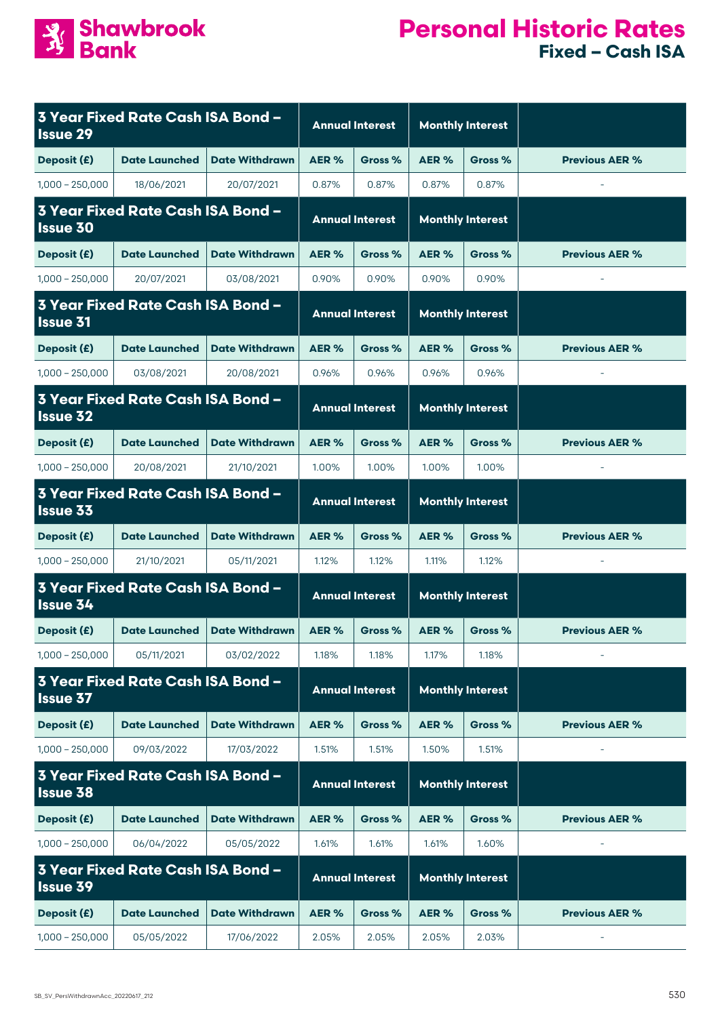

| <b>Issue 29</b>                                             | 3 Year Fixed Rate Cash ISA Bond -        |                        | <b>Annual Interest</b> |                         | <b>Monthly Interest</b> |                         |                       |
|-------------------------------------------------------------|------------------------------------------|------------------------|------------------------|-------------------------|-------------------------|-------------------------|-----------------------|
| Deposit (£)                                                 | <b>Date Launched</b>                     | <b>Date Withdrawn</b>  | AER%                   | Gross %                 | AER%                    | Gross %                 | <b>Previous AER %</b> |
| $1,000 - 250,000$                                           | 18/06/2021                               | 20/07/2021             | 0.87%                  | 0.87%                   | 0.87%                   | 0.87%                   | $\bar{a}$             |
| <b>3 Year Fixed Rate Cash ISA Bond -</b><br><b>Issue 30</b> |                                          | <b>Annual Interest</b> |                        | <b>Monthly Interest</b> |                         |                         |                       |
| Deposit (£)                                                 | <b>Date Launched</b>                     | <b>Date Withdrawn</b>  | AER%                   | Gross %                 | AER%                    | Gross %                 | <b>Previous AER %</b> |
| $1,000 - 250,000$                                           | 20/07/2021                               | 03/08/2021             | 0.90%                  | 0.90%                   | 0.90%                   | 0.90%                   | $\bar{a}$             |
| 3 Year Fixed Rate Cash ISA Bond -<br><b>Issue 31</b>        |                                          |                        | <b>Annual Interest</b> |                         |                         | <b>Monthly Interest</b> |                       |
| Deposit (£)                                                 | <b>Date Launched</b>                     | <b>Date Withdrawn</b>  | AER %                  | Gross %                 | AER%                    | Gross %                 | <b>Previous AER %</b> |
| $1,000 - 250,000$                                           | 03/08/2021                               | 20/08/2021             | 0.96%                  | 0.96%                   | 0.96%                   | 0.96%                   |                       |
| <b>Issue 32</b>                                             | <b>3 Year Fixed Rate Cash ISA Bond -</b> |                        |                        | <b>Annual Interest</b>  |                         | <b>Monthly Interest</b> |                       |
| Deposit (£)                                                 | <b>Date Launched</b>                     | <b>Date Withdrawn</b>  | AER%                   | Gross %                 | AER <sub>%</sub>        | Gross %                 | <b>Previous AER %</b> |
| $1,000 - 250,000$                                           | 20/08/2021                               | 21/10/2021             | 1.00%                  | 1.00%                   | 1.00%                   | 1.00%                   |                       |
| <b>Issue 33</b>                                             | <b>3 Year Fixed Rate Cash ISA Bond -</b> |                        | <b>Annual Interest</b> |                         | <b>Monthly Interest</b> |                         |                       |
| Deposit (£)                                                 | <b>Date Launched</b>                     | <b>Date Withdrawn</b>  | AER%                   | Gross %                 | AER%                    | Gross %                 | <b>Previous AER %</b> |
| $1,000 - 250,000$                                           | 21/10/2021                               | 05/11/2021             | 1.12%                  | 1.12%                   | 1.11%                   | 1.12%                   |                       |
| <b>Issue 34</b>                                             | <b>3 Year Fixed Rate Cash ISA Bond -</b> |                        | <b>Annual Interest</b> |                         | <b>Monthly Interest</b> |                         |                       |
| Deposit (£)                                                 | <b>Date Launched</b>                     | <b>Date Withdrawn</b>  | AER%                   | Gross %                 | AER%                    | Gross %                 | <b>Previous AER %</b> |
| $1,000 - 250,000$                                           | 05/11/2021                               | 03/02/2022             | 1.18%                  | 1.18%                   | 1.17%                   | 1.18%                   |                       |
| <b>Issue 37</b>                                             | <b>3 Year Fixed Rate Cash ISA Bond -</b> |                        |                        | <b>Annual Interest</b>  |                         | <b>Monthly Interest</b> |                       |
| Deposit (£)                                                 | <b>Date Launched</b>                     | <b>Date Withdrawn</b>  | AER %                  | Gross %                 | AER%                    | Gross %                 | <b>Previous AER %</b> |
| $1,000 - 250,000$                                           | 09/03/2022                               | 17/03/2022             | 1.51%                  | 1.51%                   | 1.50%                   | 1.51%                   |                       |
| <b>Issue 38</b>                                             | <b>3 Year Fixed Rate Cash ISA Bond -</b> |                        |                        | <b>Annual Interest</b>  |                         | <b>Monthly Interest</b> |                       |
| Deposit (£)                                                 | <b>Date Launched</b>                     | <b>Date Withdrawn</b>  | AER %                  | Gross %                 | AER%                    | Gross %                 | <b>Previous AER %</b> |
| $1,000 - 250,000$                                           | 06/04/2022                               | 05/05/2022             | 1.61%                  | 1.61%                   | 1.61%                   | 1.60%                   |                       |
| <b>3 Year Fixed Rate Cash ISA Bond -</b><br><b>Issue 39</b> |                                          | <b>Annual Interest</b> |                        | <b>Monthly Interest</b> |                         |                         |                       |
| Deposit (£)                                                 | <b>Date Launched</b>                     | <b>Date Withdrawn</b>  | AER %                  | Gross %                 | AER%                    | Gross %                 | <b>Previous AER %</b> |
| $1,000 - 250,000$                                           | 05/05/2022                               | 17/06/2022             | 2.05%                  | 2.05%                   | 2.05%                   | 2.03%                   |                       |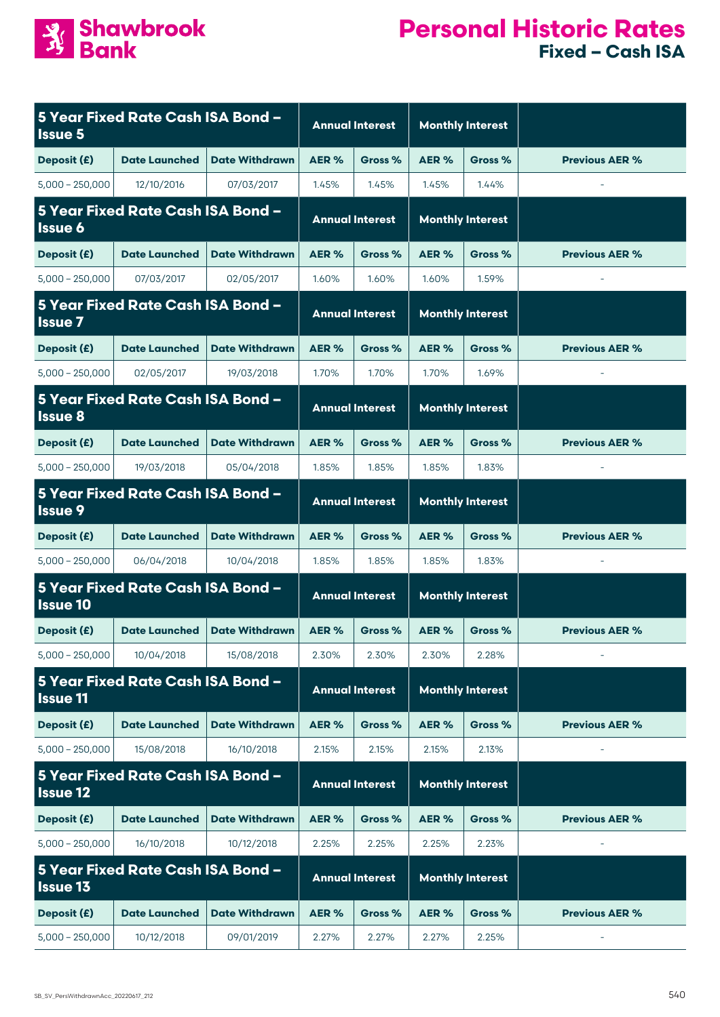

| <b>Issue 5</b>                                       | 5 Year Fixed Rate Cash ISA Bond - |                        | <b>Annual Interest</b> |                         | <b>Monthly Interest</b> |                         |                       |
|------------------------------------------------------|-----------------------------------|------------------------|------------------------|-------------------------|-------------------------|-------------------------|-----------------------|
| Deposit (£)                                          | <b>Date Launched</b>              | <b>Date Withdrawn</b>  | AER %                  | Gross %                 | AER%                    | Gross %                 | <b>Previous AER %</b> |
| $5,000 - 250,000$                                    | 12/10/2016                        | 07/03/2017             | 1.45%                  | 1.45%                   | 1.45%                   | 1.44%                   | $\bar{a}$             |
| 5 Year Fixed Rate Cash ISA Bond -<br><b>Issue 6</b>  |                                   | <b>Annual Interest</b> |                        | <b>Monthly Interest</b> |                         |                         |                       |
| Deposit (£)                                          | <b>Date Launched</b>              | <b>Date Withdrawn</b>  | AER%                   | Gross %                 | AER%                    | Gross %                 | <b>Previous AER %</b> |
| $5,000 - 250,000$                                    | 07/03/2017                        | 02/05/2017             | 1.60%                  | 1.60%                   | 1.60%                   | 1.59%                   | $\bar{a}$             |
| 5 Year Fixed Rate Cash ISA Bond -<br><b>Issue 7</b>  |                                   |                        | <b>Annual Interest</b> |                         |                         | <b>Monthly Interest</b> |                       |
| Deposit (£)                                          | <b>Date Launched</b>              | <b>Date Withdrawn</b>  | AER %                  | Gross %                 | AER%                    | Gross %                 | <b>Previous AER %</b> |
| $5,000 - 250,000$                                    | 02/05/2017                        | 19/03/2018             | 1.70%                  | 1.70%                   | 1.70%                   | 1.69%                   |                       |
| <b>Issue 8</b>                                       | 5 Year Fixed Rate Cash ISA Bond - |                        |                        | <b>Annual Interest</b>  |                         | <b>Monthly Interest</b> |                       |
| Deposit (£)                                          | <b>Date Launched</b>              | <b>Date Withdrawn</b>  | AER%                   | Gross %                 | AER%                    | Gross %                 | <b>Previous AER %</b> |
| $5,000 - 250,000$                                    | 19/03/2018                        | 05/04/2018             | 1.85%                  | 1.85%                   | 1.85%                   | 1.83%                   |                       |
| <b>Issue 9</b>                                       | 5 Year Fixed Rate Cash ISA Bond - |                        | <b>Annual Interest</b> |                         | <b>Monthly Interest</b> |                         |                       |
| Deposit (£)                                          | <b>Date Launched</b>              | <b>Date Withdrawn</b>  | AER%                   | Gross %                 | AER%                    | Gross %                 | <b>Previous AER %</b> |
| $5,000 - 250,000$                                    | 06/04/2018                        | 10/04/2018             | 1.85%                  | 1.85%                   | 1.85%                   | 1.83%                   |                       |
| <b>Issue 10</b>                                      | 5 Year Fixed Rate Cash ISA Bond - |                        | <b>Annual Interest</b> |                         | <b>Monthly Interest</b> |                         |                       |
| Deposit (£)                                          | <b>Date Launched</b>              | <b>Date Withdrawn</b>  | AER%                   | Gross %                 | AER%                    | Gross %                 | <b>Previous AER %</b> |
| $5,000 - 250,000$                                    | 10/04/2018                        | 15/08/2018             | 2.30%                  | 2.30%                   | 2.30%                   | 2.28%                   |                       |
| <b>Issue 11</b>                                      | 5 Year Fixed Rate Cash ISA Bond - |                        |                        | <b>Annual Interest</b>  |                         | <b>Monthly Interest</b> |                       |
| Deposit (£)                                          | <b>Date Launched</b>              | <b>Date Withdrawn</b>  | AER %                  | Gross %                 | AER%                    | Gross %                 | <b>Previous AER %</b> |
| $5,000 - 250,000$                                    | 15/08/2018                        | 16/10/2018             | 2.15%                  | 2.15%                   | 2.15%                   | 2.13%                   |                       |
| <b>Issue 12</b>                                      | 5 Year Fixed Rate Cash ISA Bond - |                        |                        | <b>Annual Interest</b>  |                         | <b>Monthly Interest</b> |                       |
| Deposit (£)                                          | <b>Date Launched</b>              | <b>Date Withdrawn</b>  | AER %                  | Gross %                 | AER%                    | Gross %                 | <b>Previous AER %</b> |
| $5,000 - 250,000$                                    | 16/10/2018                        | 10/12/2018             | 2.25%                  | 2.25%                   | 2.25%                   | 2.23%                   |                       |
| 5 Year Fixed Rate Cash ISA Bond -<br><b>Issue 13</b> |                                   | <b>Annual Interest</b> |                        | <b>Monthly Interest</b> |                         |                         |                       |
| Deposit (£)                                          | <b>Date Launched</b>              | <b>Date Withdrawn</b>  | AER %                  | Gross %                 | AER%                    | Gross %                 | <b>Previous AER %</b> |
| $5,000 - 250,000$                                    | 10/12/2018                        | 09/01/2019             | 2.27%                  | 2.27%                   | 2.27%                   | 2.25%                   |                       |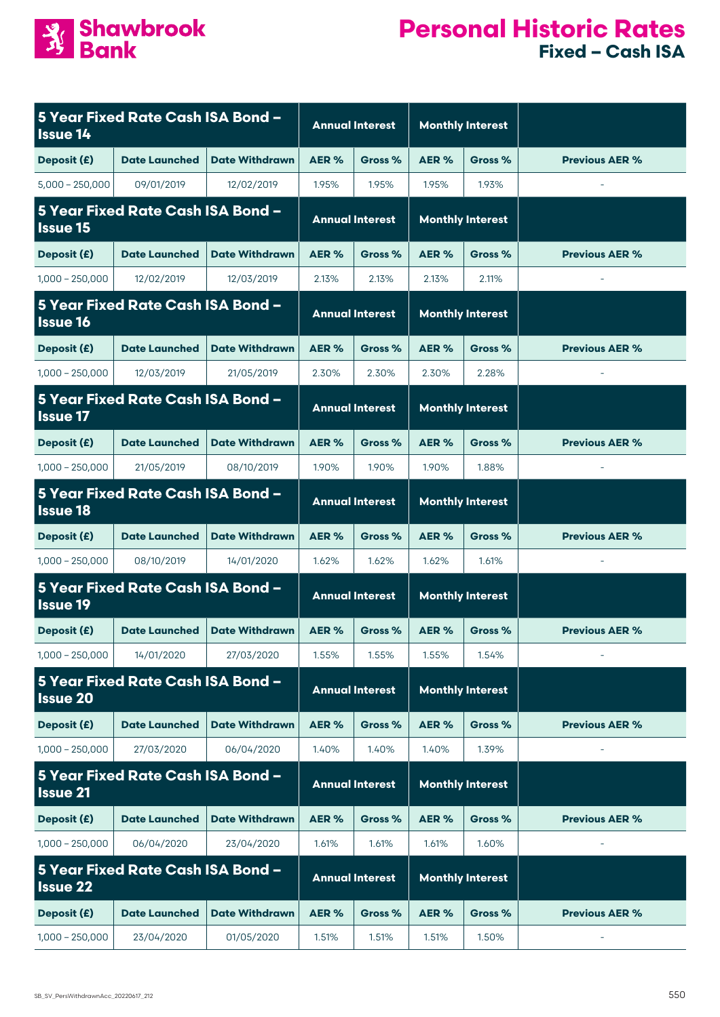

| 5 Year Fixed Rate Cash ISA Bond -<br><b>Issue 14</b> |                      |                        |                        | <b>Annual Interest</b>  | <b>Monthly Interest</b> |         |                       |
|------------------------------------------------------|----------------------|------------------------|------------------------|-------------------------|-------------------------|---------|-----------------------|
| Deposit (£)                                          | <b>Date Launched</b> | <b>Date Withdrawn</b>  | AER <sub>%</sub>       | Gross %                 | AER%                    | Gross % | <b>Previous AER %</b> |
| $5,000 - 250,000$                                    | 09/01/2019           | 12/02/2019             | 1.95%                  | 1.95%                   | 1.95%                   | 1.93%   |                       |
| 5 Year Fixed Rate Cash ISA Bond -<br><b>Issue 15</b> |                      |                        | <b>Annual Interest</b> |                         | <b>Monthly Interest</b> |         |                       |
| Deposit (£)                                          | <b>Date Launched</b> | <b>Date Withdrawn</b>  | AER <sub>%</sub>       | Gross %                 | AER%                    | Gross % | <b>Previous AER %</b> |
| $1,000 - 250,000$                                    | 12/02/2019           | 12/03/2019             | 2.13%                  | 2.13%                   | 2.13%                   | 2.11%   |                       |
| 5 Year Fixed Rate Cash ISA Bond -<br><b>Issue 16</b> |                      |                        | <b>Annual Interest</b> |                         | <b>Monthly Interest</b> |         |                       |
| Deposit (£)                                          | <b>Date Launched</b> | <b>Date Withdrawn</b>  | AER <sub>%</sub>       | Gross %                 | AER %                   | Gross % | <b>Previous AER %</b> |
| $1,000 - 250,000$                                    | 12/03/2019           | 21/05/2019             | 2.30%                  | 2.30%                   | 2.30%                   | 2.28%   |                       |
| 5 Year Fixed Rate Cash ISA Bond -<br><b>Issue 17</b> |                      | <b>Annual Interest</b> |                        | <b>Monthly Interest</b> |                         |         |                       |
| Deposit (£)                                          | <b>Date Launched</b> | <b>Date Withdrawn</b>  | AER <sub>%</sub>       | Gross %                 | AER%                    | Gross % | <b>Previous AER %</b> |
| $1,000 - 250,000$                                    | 21/05/2019           | 08/10/2019             | 1.90%                  | 1.90%                   | 1.90%                   | 1.88%   |                       |
| 5 Year Fixed Rate Cash ISA Bond -<br><b>Issue 18</b> |                      | <b>Annual Interest</b> |                        | <b>Monthly Interest</b> |                         |         |                       |
| Deposit (£)                                          | <b>Date Launched</b> | <b>Date Withdrawn</b>  | AER%                   | Gross %                 | AER%                    | Gross % | <b>Previous AER %</b> |
| $1,000 - 250,000$                                    | 08/10/2019           | 14/01/2020             | 1.62%                  | 1.62%                   | 1.62%                   | 1.61%   | $\sim$                |
| 5 Year Fixed Rate Cash ISA Bond -<br><b>Issue 19</b> |                      |                        | <b>Annual Interest</b> |                         | <b>Monthly Interest</b> |         |                       |
| Deposit (£)                                          | <b>Date Launched</b> | <b>Date Withdrawn</b>  | AER <sub>%</sub>       | Gross %                 | AER %                   | Gross % | <b>Previous AER %</b> |
| $1,000 - 250,000$                                    | 14/01/2020           | 27/03/2020             | 1.55%                  | 1.55%                   | 1.55%                   | 1.54%   |                       |
| 5 Year Fixed Rate Cash ISA Bond -<br><b>Issue 20</b> |                      | <b>Annual Interest</b> |                        | <b>Monthly Interest</b> |                         |         |                       |
| Deposit (£)                                          | <b>Date Launched</b> | <b>Date Withdrawn</b>  | AER%                   | Gross %                 | AER %                   | Gross % | <b>Previous AER %</b> |
| $1,000 - 250,000$                                    | 27/03/2020           | 06/04/2020             | 1.40%                  | 1.40%                   | 1.40%                   | 1.39%   |                       |
| 5 Year Fixed Rate Cash ISA Bond -<br><b>Issue 21</b> |                      |                        | <b>Annual Interest</b> |                         | <b>Monthly Interest</b> |         |                       |
| Deposit (£)                                          | <b>Date Launched</b> | <b>Date Withdrawn</b>  | AER%                   | Gross %                 | AER %                   | Gross % | <b>Previous AER %</b> |
| $1,000 - 250,000$                                    | 06/04/2020           | 23/04/2020             | 1.61%                  | 1.61%                   | 1.61%                   | 1.60%   |                       |
| 5 Year Fixed Rate Cash ISA Bond -<br><b>Issue 22</b> |                      |                        | <b>Annual Interest</b> |                         | <b>Monthly Interest</b> |         |                       |
| Deposit (£)                                          | <b>Date Launched</b> | <b>Date Withdrawn</b>  | AER%                   | Gross %                 | AER%                    | Gross % | <b>Previous AER %</b> |
| $1,000 - 250,000$                                    | 23/04/2020           | 01/05/2020             | 1.51%                  | 1.51%                   | 1.51%                   | 1.50%   |                       |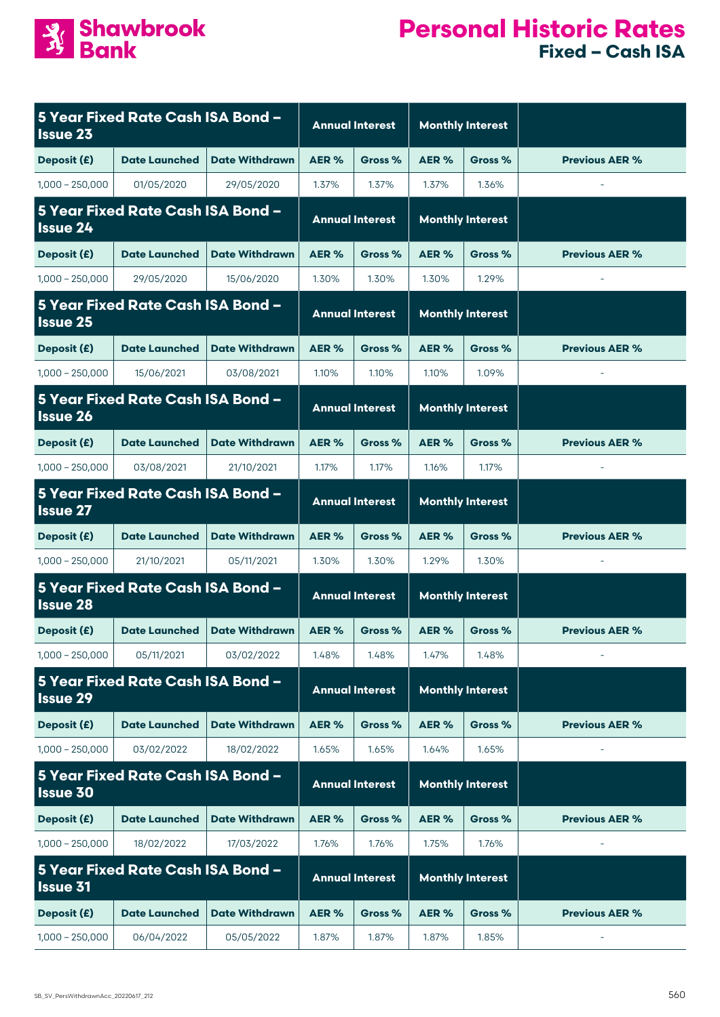

| 5 Year Fixed Rate Cash ISA Bond -<br><b>Issue 23</b> |                      |                        |                        | <b>Annual Interest</b>  | <b>Monthly Interest</b> |         |                          |
|------------------------------------------------------|----------------------|------------------------|------------------------|-------------------------|-------------------------|---------|--------------------------|
| Deposit (£)                                          | <b>Date Launched</b> | <b>Date Withdrawn</b>  | AER %                  | Gross %                 | AER %                   | Gross % | <b>Previous AER %</b>    |
| $1,000 - 250,000$                                    | 01/05/2020           | 29/05/2020             | 1.37%                  | 1.37%                   | 1.37%                   | 1.36%   | $\overline{\phantom{a}}$ |
| 5 Year Fixed Rate Cash ISA Bond -<br><b>Issue 24</b> |                      |                        | <b>Annual Interest</b> |                         | <b>Monthly Interest</b> |         |                          |
| Deposit (£)                                          | <b>Date Launched</b> | <b>Date Withdrawn</b>  | AER %                  | Gross %                 | AER %                   | Gross % | <b>Previous AER %</b>    |
| $1,000 - 250,000$                                    | 29/05/2020           | 15/06/2020             | 1.30%                  | 1.30%                   | 1.30%                   | 1.29%   | $\overline{\phantom{a}}$ |
| 5 Year Fixed Rate Cash ISA Bond -<br><b>Issue 25</b> |                      |                        | <b>Annual Interest</b> |                         | <b>Monthly Interest</b> |         |                          |
| Deposit (£)                                          | <b>Date Launched</b> | <b>Date Withdrawn</b>  | AER %                  | Gross %                 | AER%                    | Gross % | <b>Previous AER %</b>    |
| $1,000 - 250,000$                                    | 15/06/2021           | 03/08/2021             | 1.10%                  | 1.10%                   | 1.10%                   | 1.09%   | $\overline{\phantom{a}}$ |
| 5 Year Fixed Rate Cash ISA Bond -<br><b>Issue 26</b> |                      | <b>Annual Interest</b> |                        | <b>Monthly Interest</b> |                         |         |                          |
| Deposit (£)                                          | <b>Date Launched</b> | <b>Date Withdrawn</b>  | AER %                  | Gross %                 | AER %                   | Gross % | <b>Previous AER %</b>    |
| $1,000 - 250,000$                                    | 03/08/2021           | 21/10/2021             | 1.17%                  | 1.17%                   | 1.16%                   | 1.17%   |                          |
| 5 Year Fixed Rate Cash ISA Bond -<br><b>Issue 27</b> |                      | <b>Annual Interest</b> |                        | <b>Monthly Interest</b> |                         |         |                          |
| Deposit (£)                                          | <b>Date Launched</b> | <b>Date Withdrawn</b>  | AER%                   | Gross %                 | AER%                    | Gross % | <b>Previous AER %</b>    |
| $1,000 - 250,000$                                    | 21/10/2021           | 05/11/2021             | 1.30%                  | 1.30%                   | 1.29%                   | 1.30%   | $\bar{\phantom{a}}$      |
| 5 Year Fixed Rate Cash ISA Bond -<br><b>Issue 28</b> |                      |                        | <b>Annual Interest</b> |                         | <b>Monthly Interest</b> |         |                          |
| Deposit (£)                                          | <b>Date Launched</b> | <b>Date Withdrawn</b>  | AER %                  | Gross %                 | AER %                   | Gross % | <b>Previous AER %</b>    |
| $1,000 - 250,000$                                    | 05/11/2021           | 03/02/2022             | 1.48%                  | 1.48%                   | 1.47%                   | 1.48%   |                          |
| 5 Year Fixed Rate Cash ISA Bond -<br><b>Issue 29</b> |                      | <b>Annual Interest</b> |                        | <b>Monthly Interest</b> |                         |         |                          |
| Deposit (£)                                          | <b>Date Launched</b> | <b>Date Withdrawn</b>  | AER %                  | Gross %                 | AER%                    | Gross % | <b>Previous AER %</b>    |
| $1,000 - 250,000$                                    | 03/02/2022           | 18/02/2022             | 1.65%                  | 1.65%                   | 1.64%                   | 1.65%   |                          |
| 5 Year Fixed Rate Cash ISA Bond -<br><b>Issue 30</b> |                      |                        | <b>Annual Interest</b> |                         | <b>Monthly Interest</b> |         |                          |
| Deposit (£)                                          | <b>Date Launched</b> | <b>Date Withdrawn</b>  | AER %                  | Gross %                 | AER%                    | Gross % | <b>Previous AER %</b>    |
| $1,000 - 250,000$                                    | 18/02/2022           | 17/03/2022             | 1.76%                  | 1.76%                   | 1.75%                   | 1.76%   |                          |
| 5 Year Fixed Rate Cash ISA Bond -<br><b>Issue 31</b> |                      |                        | <b>Annual Interest</b> |                         | <b>Monthly Interest</b> |         |                          |
| Deposit (£)                                          | <b>Date Launched</b> | <b>Date Withdrawn</b>  | AER %                  | Gross %                 | AER%                    | Gross % | <b>Previous AER %</b>    |
| $1,000 - 250,000$                                    | 06/04/2022           | 05/05/2022             | 1.87%                  | 1.87%                   | 1.87%                   | 1.85%   |                          |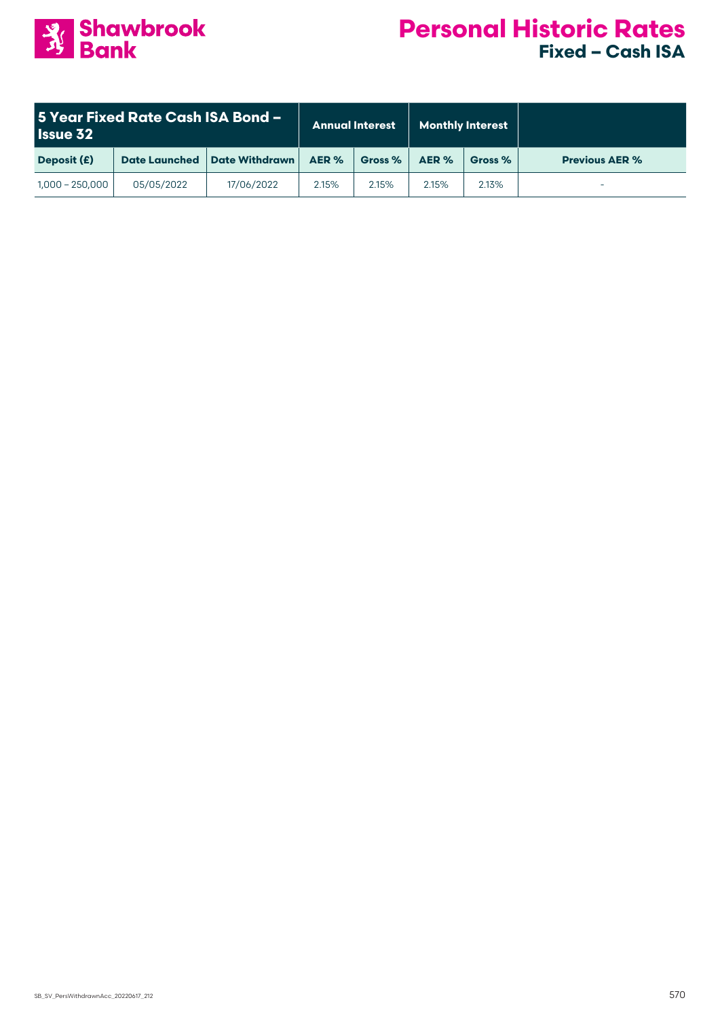

| 5 Year Fixed Rate Cash ISA Bond –<br><b>Issue 32</b> |                      | <b>Annual Interest</b> |       | <b>Monthly Interest</b> |       |         |                       |
|------------------------------------------------------|----------------------|------------------------|-------|-------------------------|-------|---------|-----------------------|
| Deposit (£)                                          | <b>Date Launched</b> | <b>Date Withdrawn</b>  | AER % | Gross %                 | AER % | Gross % | <b>Previous AER %</b> |
| $1,000 - 250,000$                                    | 05/05/2022           | 17/06/2022             | 2.15% | 2.15%                   | 2.15% | 2.13%   |                       |